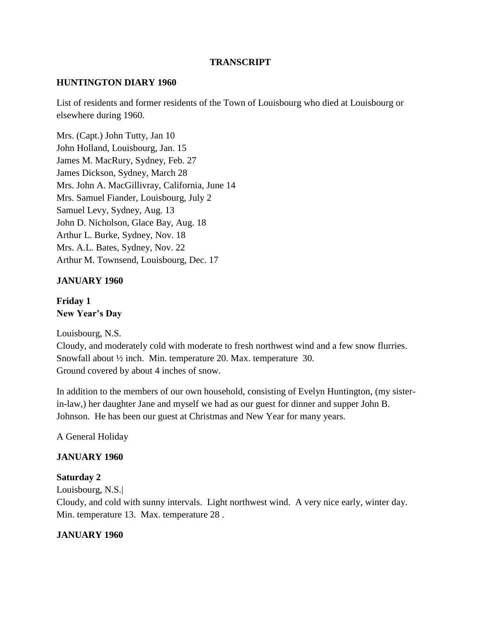#### **TRANSCRIPT**

#### **HUNTINGTON DIARY 1960**

List of residents and former residents of the Town of Louisbourg who died at Louisbourg or elsewhere during 1960.

Mrs. (Capt.) John Tutty, Jan 10 John Holland, Louisbourg, Jan. 15 James M. MacRury, Sydney, Feb. 27 James Dickson, Sydney, March 28 Mrs. John A. MacGillivray, California, June 14 Mrs. Samuel Fiander, Louisbourg, July 2 Samuel Levy, Sydney, Aug. 13 John D. Nicholson, Glace Bay, Aug. 18 Arthur L. Burke, Sydney, Nov. 18 Mrs. A.L. Bates, Sydney, Nov. 22 Arthur M. Townsend, Louisbourg, Dec. 17

#### **JANUARY 1960**

**Friday 1 New Year's Day**

Louisbourg, N.S.

Cloudy, and moderately cold with moderate to fresh northwest wind and a few snow flurries. Snowfall about ½ inch. Min. temperature 20. Max. temperature 30. Ground covered by about 4 inches of snow.

In addition to the members of our own household, consisting of Evelyn Huntington, (my sisterin-law,) her daughter Jane and myself we had as our guest for dinner and supper John B. Johnson. He has been our guest at Christmas and New Year for many years.

A General Holiday

#### **JANUARY 1960**

#### **Saturday 2**

Louisbourg, N.S.|

Cloudy, and cold with sunny intervals. Light northwest wind. A very nice early, winter day. Min. temperature 13. Max. temperature 28 .

#### **JANUARY 1960**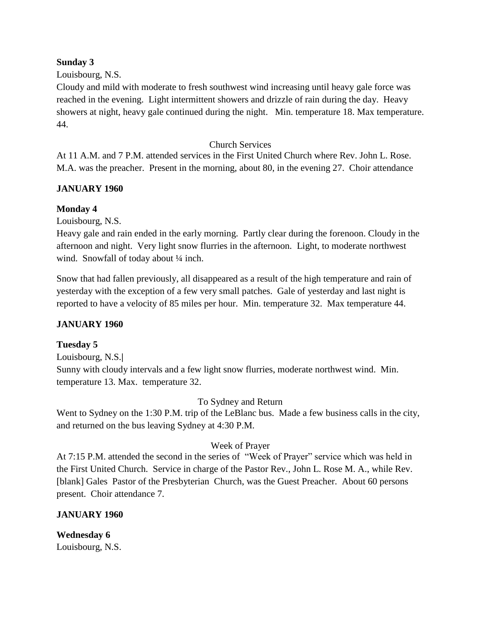#### **Sunday 3**

#### Louisbourg, N.S.

Cloudy and mild with moderate to fresh southwest wind increasing until heavy gale force was reached in the evening. Light intermittent showers and drizzle of rain during the day. Heavy showers at night, heavy gale continued during the night. Min. temperature 18. Max temperature. 44.

#### Church Services

At 11 A.M. and 7 P.M. attended services in the First United Church where Rev. John L. Rose. M.A. was the preacher. Present in the morning, about 80, in the evening 27. Choir attendance

#### **JANUARY 1960**

#### **Monday 4**

Louisbourg, N.S.

Heavy gale and rain ended in the early morning. Partly clear during the forenoon. Cloudy in the afternoon and night. Very light snow flurries in the afternoon. Light, to moderate northwest wind. Snowfall of today about 1/4 inch.

Snow that had fallen previously, all disappeared as a result of the high temperature and rain of yesterday with the exception of a few very small patches. Gale of yesterday and last night is reported to have a velocity of 85 miles per hour. Min. temperature 32. Max temperature 44.

#### **JANUARY 1960**

#### **Tuesday 5**

Louisbourg, N.S.**|** Sunny with cloudy intervals and a few light snow flurries, moderate northwest wind. Min. temperature 13. Max. temperature 32.

To Sydney and Return

Went to Sydney on the 1:30 P.M. trip of the LeBlanc bus. Made a few business calls in the city, and returned on the bus leaving Sydney at 4:30 P.M.

#### Week of Prayer

At 7:15 P.M. attended the second in the series of "Week of Prayer" service which was held in the First United Church. Service in charge of the Pastor Rev., John L. Rose M. A., while Rev. [blank] Gales Pastor of the Presbyterian Church, was the Guest Preacher. About 60 persons present. Choir attendance 7.

# **JANUARY 1960**

# **Wednesday 6**

Louisbourg, N.S.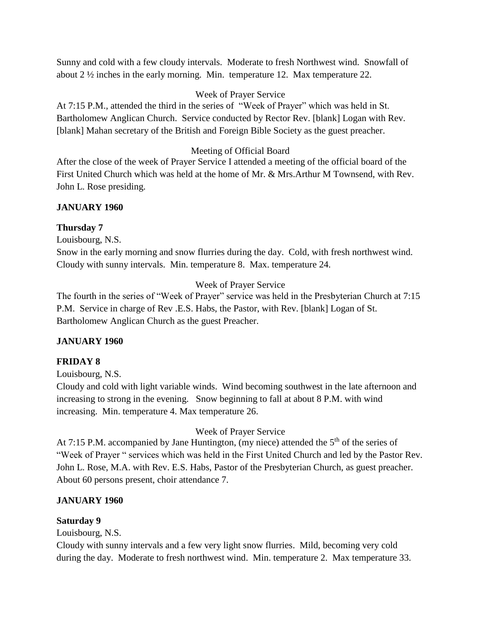Sunny and cold with a few cloudy intervals. Moderate to fresh Northwest wind. Snowfall of about 2 ½ inches in the early morning. Min. temperature 12. Max temperature 22.

## Week of Prayer Service

At 7:15 P.M., attended the third in the series of "Week of Prayer" which was held in St. Bartholomew Anglican Church. Service conducted by Rector Rev. [blank] Logan with Rev. [blank] Mahan secretary of the British and Foreign Bible Society as the guest preacher.

# Meeting of Official Board

After the close of the week of Prayer Service I attended a meeting of the official board of the First United Church which was held at the home of Mr. & Mrs.Arthur M Townsend, with Rev. John L. Rose presiding.

## **JANUARY 1960**

## **Thursday 7**

Louisbourg, N.S.

Snow in the early morning and snow flurries during the day. Cold, with fresh northwest wind. Cloudy with sunny intervals. Min. temperature 8. Max. temperature 24.

# Week of Prayer Service

The fourth in the series of "Week of Prayer" service was held in the Presbyterian Church at 7:15 P.M. Service in charge of Rev .E.S. Habs, the Pastor, with Rev. [blank] Logan of St. Bartholomew Anglican Church as the guest Preacher.

# **JANUARY 1960**

# **FRIDAY 8**

Louisbourg, N.S.

Cloudy and cold with light variable winds. Wind becoming southwest in the late afternoon and increasing to strong in the evening. Snow beginning to fall at about 8 P.M. with wind increasing. Min. temperature 4. Max temperature 26.

# Week of Prayer Service

At 7:15 P.M. accompanied by Jane Huntington, (my niece) attended the 5<sup>th</sup> of the series of "Week of Prayer " services which was held in the First United Church and led by the Pastor Rev. John L. Rose, M.A. with Rev. E.S. Habs, Pastor of the Presbyterian Church, as guest preacher. About 60 persons present, choir attendance 7.

# **JANUARY 1960**

# **Saturday 9**

Louisbourg, N.S.

Cloudy with sunny intervals and a few very light snow flurries. Mild, becoming very cold during the day. Moderate to fresh northwest wind. Min. temperature 2. Max temperature 33.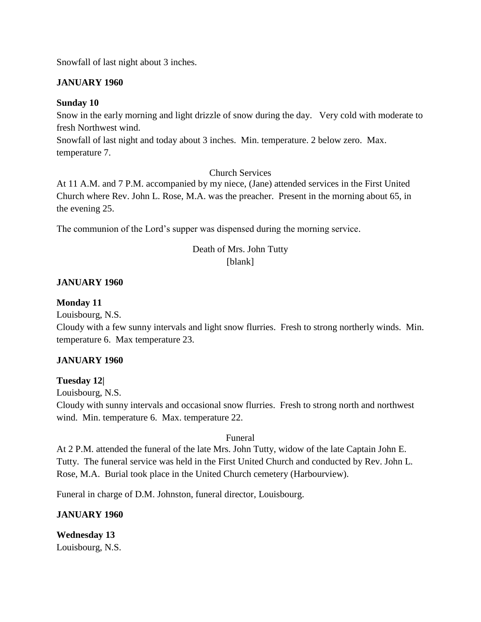Snowfall of last night about 3 inches.

#### **JANUARY 1960**

#### **Sunday 10**

Snow in the early morning and light drizzle of snow during the day. Very cold with moderate to fresh Northwest wind.

Snowfall of last night and today about 3 inches. Min. temperature. 2 below zero. Max. temperature 7.

Church Services

At 11 A.M. and 7 P.M. accompanied by my niece, (Jane) attended services in the First United Church where Rev. John L. Rose, M.A. was the preacher. Present in the morning about 65, in the evening 25.

The communion of the Lord's supper was dispensed during the morning service.

# Death of Mrs. John Tutty

## [blank]

#### **JANUARY 1960**

#### **Monday 11**

Louisbourg, N.S.

Cloudy with a few sunny intervals and light snow flurries. Fresh to strong northerly winds. Min. temperature 6. Max temperature 23.

#### **JANUARY 1960**

#### **Tuesday 12|**

Louisbourg, N.S.

Cloudy with sunny intervals and occasional snow flurries. Fresh to strong north and northwest wind. Min. temperature 6. Max. temperature 22.

#### Funeral

At 2 P.M. attended the funeral of the late Mrs. John Tutty, widow of the late Captain John E. Tutty. The funeral service was held in the First United Church and conducted by Rev. John L. Rose, M.A. Burial took place in the United Church cemetery (Harbourview).

Funeral in charge of D.M. Johnston, funeral director, Louisbourg.

#### **JANUARY 1960**

**Wednesday 13** Louisbourg, N.S.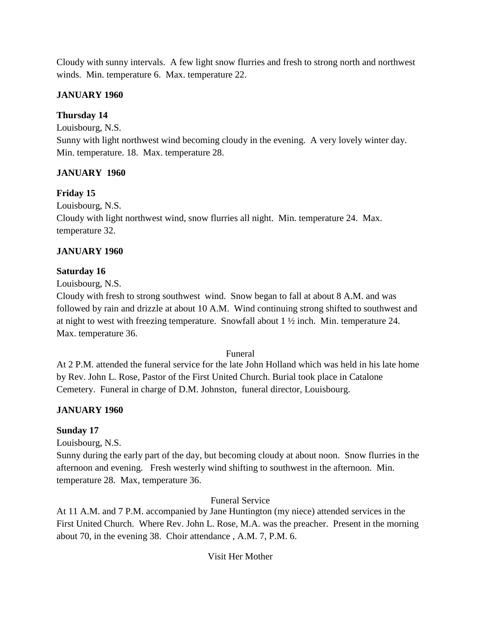Cloudy with sunny intervals. A few light snow flurries and fresh to strong north and northwest winds. Min. temperature 6. Max. temperature 22.

# **JANUARY 1960**

## **Thursday 14**

Louisbourg, N.S.

Sunny with light northwest wind becoming cloudy in the evening. A very lovely winter day. Min. temperature. 18. Max. temperature 28.

## **JANUARY 1960**

## **Friday 15**

Louisbourg, N.S.

Cloudy with light northwest wind, snow flurries all night. Min. temperature 24. Max. temperature 32.

## **JANUARY 1960**

#### **Saturday 16**

Louisbourg, N.S.

Cloudy with fresh to strong southwest wind. Snow began to fall at about 8 A.M. and was followed by rain and drizzle at about 10 A.M. Wind continuing strong shifted to southwest and at night to west with freezing temperature. Snowfall about  $1 \frac{1}{2}$  inch. Min. temperature 24. Max. temperature 36.

#### Funeral

At 2 P.M. attended the funeral service for the late John Holland which was held in his late home by Rev. John L. Rose, Pastor of the First United Church. Burial took place in Catalone Cemetery. Funeral in charge of D.M. Johnston, funeral director, Louisbourg.

# **JANUARY 1960**

#### **Sunday 17**

Louisbourg, N.S.

Sunny during the early part of the day, but becoming cloudy at about noon. Snow flurries in the afternoon and evening. Fresh westerly wind shifting to southwest in the afternoon. Min. temperature 28. Max, temperature 36.

#### Funeral Service

At 11 A.M. and 7 P.M. accompanied by Jane Huntington (my niece) attended services in the First United Church. Where Rev. John L. Rose, M.A. was the preacher. Present in the morning about 70, in the evening 38. Choir attendance , A.M. 7, P.M. 6.

#### Visit Her Mother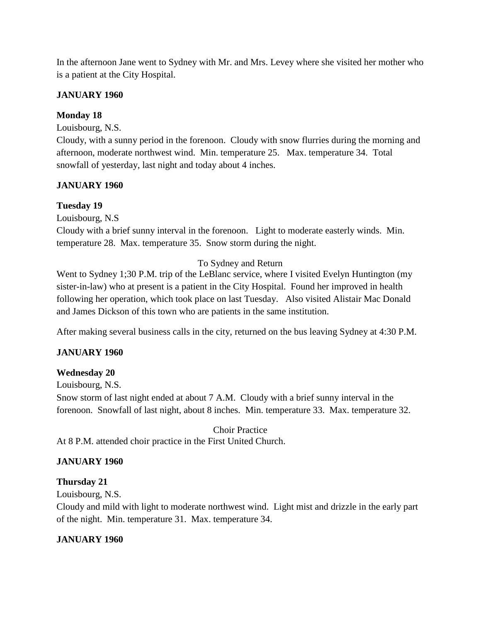In the afternoon Jane went to Sydney with Mr. and Mrs. Levey where she visited her mother who is a patient at the City Hospital.

## **JANUARY 1960**

## **Monday 18**

Louisbourg, N.S.

Cloudy, with a sunny period in the forenoon. Cloudy with snow flurries during the morning and afternoon, moderate northwest wind. Min. temperature 25. Max. temperature 34. Total snowfall of yesterday, last night and today about 4 inches.

## **JANUARY 1960**

# **Tuesday 19**

Louisbourg, N.S

Cloudy with a brief sunny interval in the forenoon. Light to moderate easterly winds. Min. temperature 28. Max. temperature 35. Snow storm during the night.

# To Sydney and Return

Went to Sydney 1;30 P.M. trip of the LeBlanc service, where I visited Evelyn Huntington (my sister-in-law) who at present is a patient in the City Hospital. Found her improved in health following her operation, which took place on last Tuesday. Also visited Alistair Mac Donald and James Dickson of this town who are patients in the same institution.

After making several business calls in the city, returned on the bus leaving Sydney at 4:30 P.M.

# **JANUARY 1960**

# **Wednesday 20**

Louisbourg, N.S. Snow storm of last night ended at about 7 A.M. Cloudy with a brief sunny interval in the forenoon. Snowfall of last night, about 8 inches. Min. temperature 33. Max. temperature 32.

Choir Practice At 8 P.M. attended choir practice in the First United Church.

# **JANUARY 1960**

#### **Thursday 21**

Louisbourg, N.S.

Cloudy and mild with light to moderate northwest wind. Light mist and drizzle in the early part of the night. Min. temperature 31. Max. temperature 34.

# **JANUARY 1960**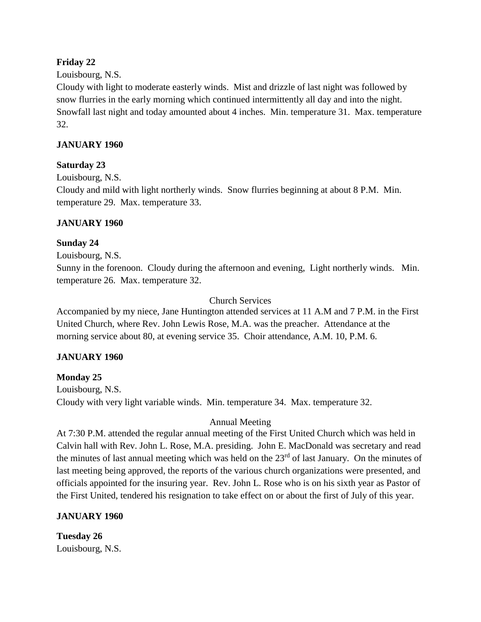#### **Friday 22**

#### Louisbourg, N.S.

Cloudy with light to moderate easterly winds. Mist and drizzle of last night was followed by snow flurries in the early morning which continued intermittently all day and into the night. Snowfall last night and today amounted about 4 inches. Min. temperature 31. Max. temperature 32.

#### **JANUARY 1960**

#### **Saturday 23**

Louisbourg, N.S. Cloudy and mild with light northerly winds. Snow flurries beginning at about 8 P.M. Min. temperature 29. Max. temperature 33.

#### **JANUARY 1960**

#### **Sunday 24**

Louisbourg, N.S.

Sunny in the forenoon. Cloudy during the afternoon and evening, Light northerly winds. Min. temperature 26. Max. temperature 32.

#### Church Services

Accompanied by my niece, Jane Huntington attended services at 11 A.M and 7 P.M. in the First United Church, where Rev. John Lewis Rose, M.A. was the preacher. Attendance at the morning service about 80, at evening service 35. Choir attendance, A.M. 10, P.M. 6.

#### **JANUARY 1960**

#### **Monday 25**

Louisbourg, N.S. Cloudy with very light variable winds. Min. temperature 34. Max. temperature 32.

#### Annual Meeting

At 7:30 P.M. attended the regular annual meeting of the First United Church which was held in Calvin hall with Rev. John L. Rose, M.A. presiding. John E. MacDonald was secretary and read the minutes of last annual meeting which was held on the 23<sup>rd</sup> of last January. On the minutes of last meeting being approved, the reports of the various church organizations were presented, and officials appointed for the insuring year. Rev. John L. Rose who is on his sixth year as Pastor of the First United, tendered his resignation to take effect on or about the first of July of this year.

#### **JANUARY 1960**

**Tuesday 26** Louisbourg, N.S.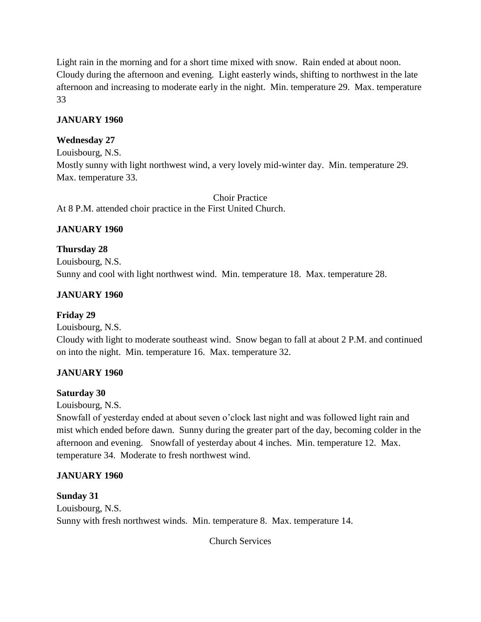Light rain in the morning and for a short time mixed with snow. Rain ended at about noon. Cloudy during the afternoon and evening. Light easterly winds, shifting to northwest in the late afternoon and increasing to moderate early in the night. Min. temperature 29. Max. temperature 33

## **JANUARY 1960**

## **Wednesday 27**

Louisbourg, N.S.

Mostly sunny with light northwest wind, a very lovely mid-winter day. Min. temperature 29. Max. temperature 33.

Choir Practice At 8 P.M. attended choir practice in the First United Church.

## **JANUARY 1960**

## **Thursday 28**

Louisbourg, N.S. Sunny and cool with light northwest wind. Min. temperature 18. Max. temperature 28.

## **JANUARY 1960**

#### **Friday 29**

Louisbourg, N.S.

Cloudy with light to moderate southeast wind. Snow began to fall at about 2 P.M. and continued on into the night. Min. temperature 16. Max. temperature 32.

# **JANUARY 1960**

#### **Saturday 30**

Louisbourg, N.S.

Snowfall of yesterday ended at about seven o'clock last night and was followed light rain and mist which ended before dawn. Sunny during the greater part of the day, becoming colder in the afternoon and evening. Snowfall of yesterday about 4 inches. Min. temperature 12. Max. temperature 34. Moderate to fresh northwest wind.

# **JANUARY 1960**

#### **Sunday 31**

Louisbourg, N.S. Sunny with fresh northwest winds. Min. temperature 8. Max. temperature 14.

Church Services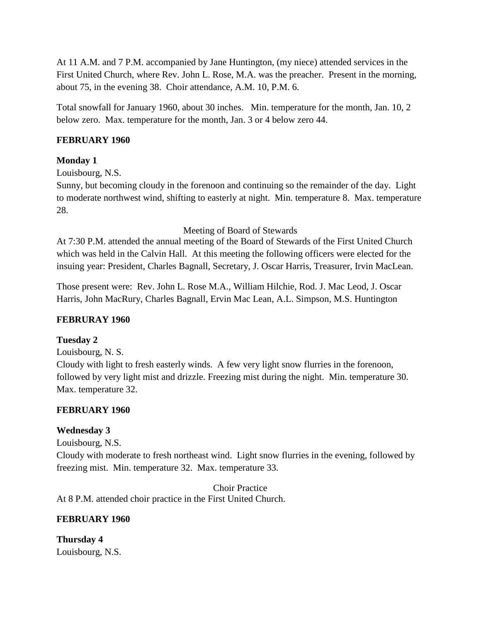At 11 A.M. and 7 P.M. accompanied by Jane Huntington, (my niece) attended services in the First United Church, where Rev. John L. Rose, M.A. was the preacher. Present in the morning, about 75, in the evening 38. Choir attendance, A.M. 10, P.M. 6.

Total snowfall for January 1960, about 30 inches. Min. temperature for the month, Jan. 10, 2 below zero. Max. temperature for the month, Jan. 3 or 4 below zero 44.

#### **FEBRUARY 1960**

#### **Monday 1**

Louisbourg, N.S.

Sunny, but becoming cloudy in the forenoon and continuing so the remainder of the day. Light to moderate northwest wind, shifting to easterly at night. Min. temperature 8. Max. temperature 28.

Meeting of Board of Stewards

At 7:30 P.M. attended the annual meeting of the Board of Stewards of the First United Church which was held in the Calvin Hall. At this meeting the following officers were elected for the insuing year: President, Charles Bagnall, Secretary, J. Oscar Harris, Treasurer, Irvin MacLean.

Those present were: Rev. John L. Rose M.A., William Hilchie, Rod. J. Mac Leod, J. Oscar Harris, John MacRury, Charles Bagnall, Ervin Mac Lean, A.L. Simpson, M.S. Huntington

#### **FEBRURAY 1960**

#### **Tuesday 2**

Louisbourg, N. S. Cloudy with light to fresh easterly winds. A few very light snow flurries in the forenoon, followed by very light mist and drizzle. Freezing mist during the night. Min. temperature 30. Max. temperature 32.

#### **FEBRUARY 1960**

#### **Wednesday 3**

Louisbourg, N.S.

Cloudy with moderate to fresh northeast wind. Light snow flurries in the evening, followed by freezing mist. Min. temperature 32. Max. temperature 33.

Choir Practice At 8 P.M. attended choir practice in the First United Church.

#### **FEBRUARY 1960**

**Thursday 4** Louisbourg, N.S.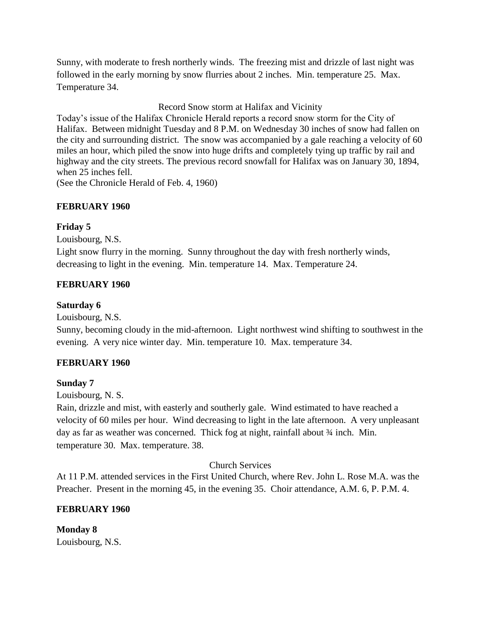Sunny, with moderate to fresh northerly winds. The freezing mist and drizzle of last night was followed in the early morning by snow flurries about 2 inches. Min. temperature 25. Max. Temperature 34.

Record Snow storm at Halifax and Vicinity

Today's issue of the Halifax Chronicle Herald reports a record snow storm for the City of Halifax. Between midnight Tuesday and 8 P.M. on Wednesday 30 inches of snow had fallen on the city and surrounding district. The snow was accompanied by a gale reaching a velocity of 60 miles an hour, which piled the snow into huge drifts and completely tying up traffic by rail and highway and the city streets. The previous record snowfall for Halifax was on January 30, 1894, when 25 inches fell.

(See the Chronicle Herald of Feb. 4, 1960)

#### **FEBRUARY 1960**

#### **Friday 5**

Louisbourg, N.S.

Light snow flurry in the morning. Sunny throughout the day with fresh northerly winds, decreasing to light in the evening. Min. temperature 14. Max. Temperature 24.

#### **FEBRUARY 1960**

#### **Saturday 6**

Louisbourg, N.S.

Sunny, becoming cloudy in the mid-afternoon. Light northwest wind shifting to southwest in the evening. A very nice winter day. Min. temperature 10. Max. temperature 34.

#### **FEBRUARY 1960**

#### **Sunday 7**

Louisbourg, N. S.

Rain, drizzle and mist, with easterly and southerly gale. Wind estimated to have reached a velocity of 60 miles per hour. Wind decreasing to light in the late afternoon. A very unpleasant day as far as weather was concerned. Thick fog at night, rainfall about  $\frac{3}{4}$  inch. Min. temperature 30. Max. temperature. 38.

#### Church Services

At 11 P.M. attended services in the First United Church, where Rev. John L. Rose M.A. was the Preacher. Present in the morning 45, in the evening 35. Choir attendance, A.M. 6, P. P.M. 4.

#### **FEBRUARY 1960**

**Monday 8** Louisbourg, N.S.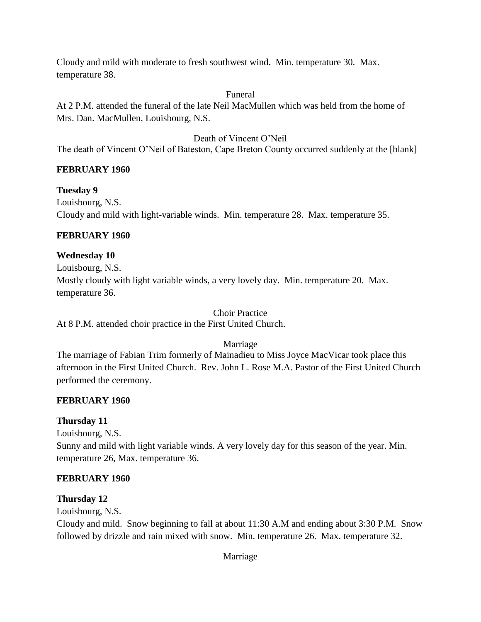Cloudy and mild with moderate to fresh southwest wind. Min. temperature 30. Max. temperature 38.

#### Funeral

At 2 P.M. attended the funeral of the late Neil MacMullen which was held from the home of Mrs. Dan. MacMullen, Louisbourg, N.S.

## Death of Vincent O'Neil

The death of Vincent O'Neil of Bateston, Cape Breton County occurred suddenly at the [blank]

#### **FEBRUARY 1960**

**Tuesday 9** Louisbourg, N.S. Cloudy and mild with light-variable winds. Min. temperature 28. Max. temperature 35.

#### **FEBRUARY 1960**

## **Wednesday 10**

Louisbourg, N.S.

Mostly cloudy with light variable winds, a very lovely day. Min. temperature 20. Max. temperature 36.

Choir Practice

At 8 P.M. attended choir practice in the First United Church.

Marriage

The marriage of Fabian Trim formerly of Mainadieu to Miss Joyce MacVicar took place this afternoon in the First United Church. Rev. John L. Rose M.A. Pastor of the First United Church performed the ceremony.

#### **FEBRUARY 1960**

#### **Thursday 11**

Louisbourg, N.S. Sunny and mild with light variable winds. A very lovely day for this season of the year. Min. temperature 26, Max. temperature 36.

#### **FEBRUARY 1960**

#### **Thursday 12**

Louisbourg, N.S.

Cloudy and mild. Snow beginning to fall at about 11:30 A.M and ending about 3:30 P.M. Snow followed by drizzle and rain mixed with snow. Min. temperature 26. Max. temperature 32.

Marriage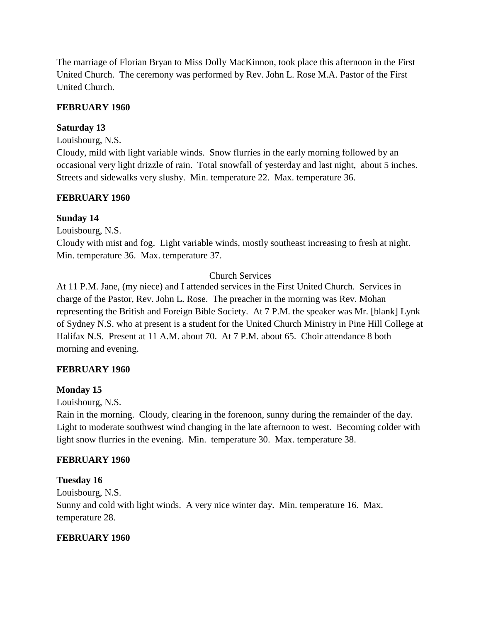The marriage of Florian Bryan to Miss Dolly MacKinnon, took place this afternoon in the First United Church. The ceremony was performed by Rev. John L. Rose M.A. Pastor of the First United Church.

## **FEBRUARY 1960**

# **Saturday 13**

Louisbourg, N.S.

Cloudy, mild with light variable winds. Snow flurries in the early morning followed by an occasional very light drizzle of rain. Total snowfall of yesterday and last night, about 5 inches. Streets and sidewalks very slushy. Min. temperature 22. Max. temperature 36.

#### **FEBRUARY 1960**

#### **Sunday 14**

Louisbourg, N.S.

Cloudy with mist and fog. Light variable winds, mostly southeast increasing to fresh at night. Min. temperature 36. Max. temperature 37.

#### Church Services

At 11 P.M. Jane, (my niece) and I attended services in the First United Church. Services in charge of the Pastor, Rev. John L. Rose. The preacher in the morning was Rev. Mohan representing the British and Foreign Bible Society. At 7 P.M. the speaker was Mr. [blank] Lynk of Sydney N.S. who at present is a student for the United Church Ministry in Pine Hill College at Halifax N.S. Present at 11 A.M. about 70. At 7 P.M. about 65. Choir attendance 8 both morning and evening.

#### **FEBRUARY 1960**

#### **Monday 15**

Louisbourg, N.S.

Rain in the morning. Cloudy, clearing in the forenoon, sunny during the remainder of the day. Light to moderate southwest wind changing in the late afternoon to west. Becoming colder with light snow flurries in the evening. Min. temperature 30. Max. temperature 38.

#### **FEBRUARY 1960**

#### **Tuesday 16**

Louisbourg, N.S. Sunny and cold with light winds. A very nice winter day. Min. temperature 16. Max. temperature 28.

#### **FEBRUARY 1960**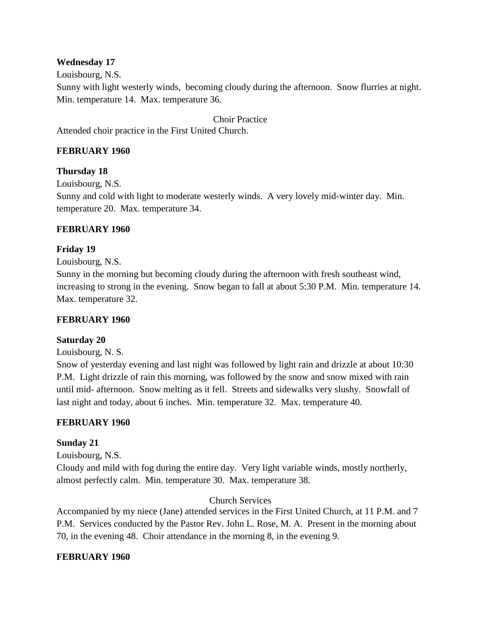#### **Wednesday 17**

Louisbourg, N.S.

Sunny with light westerly winds, becoming cloudy during the afternoon. Snow flurries at night. Min. temperature 14. Max. temperature 36.

Choir Practice

Attended choir practice in the First United Church.

## **FEBRUARY 1960**

## **Thursday 18**

Louisbourg, N.S.

Sunny and cold with light to moderate westerly winds. A very lovely mid-winter day. Min. temperature 20. Max. temperature 34.

#### **FEBRUARY 1960**

#### **Friday 19**

Louisbourg, N.S.

Sunny in the morning but becoming cloudy during the afternoon with fresh southeast wind, increasing to strong in the evening. Snow began to fall at about 5:30 P.M. Min. temperature 14. Max. temperature 32.

#### **FEBRUARY 1960**

#### **Saturday 20**

Louisbourg, N. S.

Snow of yesterday evening and last night was followed by light rain and drizzle at about 10:30 P.M. Light drizzle of rain this morning, was followed by the snow and snow mixed with rain until mid- afternoon. Snow melting as it fell. Streets and sidewalks very slushy. Snowfall of last night and today, about 6 inches. Min. temperature 32. Max. temperature 40.

#### **FEBRUARY 1960**

#### **Sunday 21**

Louisbourg, N.S.

Cloudy and mild with fog during the entire day. Very light variable winds, mostly northerly, almost perfectly calm. Min. temperature 30. Max. temperature 38.

#### Church Services

Accompanied by my niece (Jane) attended services in the First United Church, at 11 P.M. and 7 P.M. Services conducted by the Pastor Rev. John L. Rose, M. A. Present in the morning about 70, in the evening 48. Choir attendance in the morning 8, in the evening 9.

#### **FEBRUARY 1960**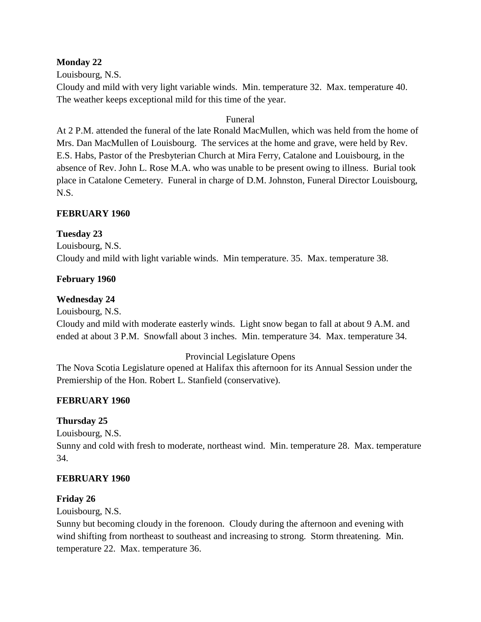#### **Monday 22**

Louisbourg, N.S.

Cloudy and mild with very light variable winds. Min. temperature 32. Max. temperature 40. The weather keeps exceptional mild for this time of the year.

#### Funeral

At 2 P.M. attended the funeral of the late Ronald MacMullen, which was held from the home of Mrs. Dan MacMullen of Louisbourg. The services at the home and grave, were held by Rev. E.S. Habs, Pastor of the Presbyterian Church at Mira Ferry, Catalone and Louisbourg, in the absence of Rev. John L. Rose M.A. who was unable to be present owing to illness. Burial took place in Catalone Cemetery. Funeral in charge of D.M. Johnston, Funeral Director Louisbourg, N.S.

#### **FEBRUARY 1960**

#### **Tuesday 23**

Louisbourg, N.S. Cloudy and mild with light variable winds. Min temperature. 35. Max. temperature 38.

#### **February 1960**

#### **Wednesday 24**

Louisbourg, N.S.

Cloudy and mild with moderate easterly winds. Light snow began to fall at about 9 A.M. and ended at about 3 P.M. Snowfall about 3 inches. Min. temperature 34. Max. temperature 34.

#### Provincial Legislature Opens

The Nova Scotia Legislature opened at Halifax this afternoon for its Annual Session under the Premiership of the Hon. Robert L. Stanfield (conservative).

#### **FEBRUARY 1960**

#### **Thursday 25**

Louisbourg, N.S.

Sunny and cold with fresh to moderate, northeast wind. Min. temperature 28. Max. temperature 34.

#### **FEBRUARY 1960**

#### **Friday 26**

Louisbourg, N.S.

Sunny but becoming cloudy in the forenoon. Cloudy during the afternoon and evening with wind shifting from northeast to southeast and increasing to strong. Storm threatening. Min. temperature 22. Max. temperature 36.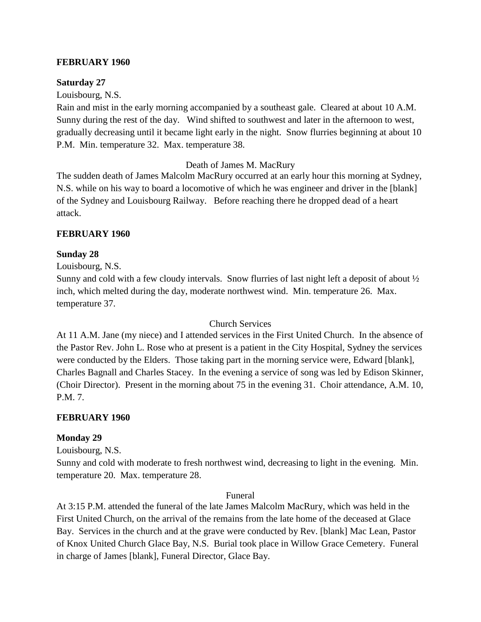#### **FEBRUARY 1960**

#### **Saturday 27**

Louisbourg, N.S.

Rain and mist in the early morning accompanied by a southeast gale. Cleared at about 10 A.M. Sunny during the rest of the day. Wind shifted to southwest and later in the afternoon to west, gradually decreasing until it became light early in the night. Snow flurries beginning at about 10 P.M. Min. temperature 32. Max. temperature 38.

Death of James M. MacRury

The sudden death of James Malcolm MacRury occurred at an early hour this morning at Sydney, N.S. while on his way to board a locomotive of which he was engineer and driver in the [blank] of the Sydney and Louisbourg Railway. Before reaching there he dropped dead of a heart attack.

#### **FEBRUARY 1960**

#### **Sunday 28**

Louisbourg, N.S.

Sunny and cold with a few cloudy intervals. Snow flurries of last night left a deposit of about ½ inch, which melted during the day, moderate northwest wind. Min. temperature 26. Max. temperature 37.

#### Church Services

At 11 A.M. Jane (my niece) and I attended services in the First United Church. In the absence of the Pastor Rev. John L. Rose who at present is a patient in the City Hospital, Sydney the services were conducted by the Elders. Those taking part in the morning service were, Edward [blank], Charles Bagnall and Charles Stacey. In the evening a service of song was led by Edison Skinner, (Choir Director). Present in the morning about 75 in the evening 31. Choir attendance, A.M. 10, P.M. 7.

#### **FEBRUARY 1960**

#### **Monday 29**

Louisbourg, N.S.

Sunny and cold with moderate to fresh northwest wind, decreasing to light in the evening. Min. temperature 20. Max. temperature 28.

#### Funeral

At 3:15 P.M. attended the funeral of the late James Malcolm MacRury, which was held in the First United Church, on the arrival of the remains from the late home of the deceased at Glace Bay. Services in the church and at the grave were conducted by Rev. [blank] Mac Lean, Pastor of Knox United Church Glace Bay, N.S. Burial took place in Willow Grace Cemetery. Funeral in charge of James [blank], Funeral Director, Glace Bay.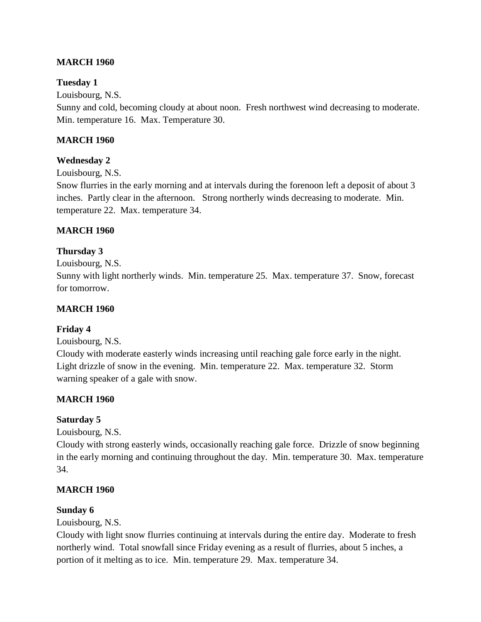## **MARCH 1960**

#### **Tuesday 1**

Louisbourg, N.S.

Sunny and cold, becoming cloudy at about noon. Fresh northwest wind decreasing to moderate. Min. temperature 16. Max. Temperature 30.

## **MARCH 1960**

## **Wednesday 2**

Louisbourg, N.S.

Snow flurries in the early morning and at intervals during the forenoon left a deposit of about 3 inches. Partly clear in the afternoon. Strong northerly winds decreasing to moderate. Min. temperature 22. Max. temperature 34.

## **MARCH 1960**

#### **Thursday 3**

Louisbourg, N.S.

Sunny with light northerly winds. Min. temperature 25. Max. temperature 37. Snow, forecast for tomorrow.

#### **MARCH 1960**

#### **Friday 4**

Louisbourg, N.S.

Cloudy with moderate easterly winds increasing until reaching gale force early in the night. Light drizzle of snow in the evening. Min. temperature 22. Max. temperature 32. Storm warning speaker of a gale with snow.

#### **MARCH 1960**

#### **Saturday 5**

Louisbourg, N.S.

Cloudy with strong easterly winds, occasionally reaching gale force. Drizzle of snow beginning in the early morning and continuing throughout the day. Min. temperature 30. Max. temperature 34.

#### **MARCH 1960**

#### **Sunday 6**

Louisbourg, N.S.

Cloudy with light snow flurries continuing at intervals during the entire day. Moderate to fresh northerly wind. Total snowfall since Friday evening as a result of flurries, about 5 inches, a portion of it melting as to ice. Min. temperature 29. Max. temperature 34.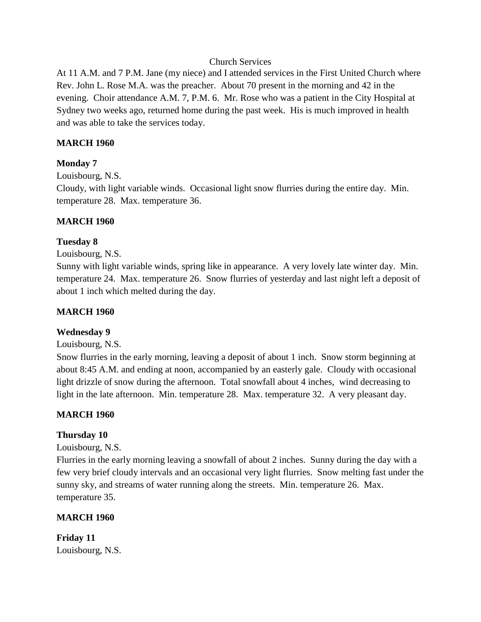#### Church Services

At 11 A.M. and 7 P.M. Jane (my niece) and I attended services in the First United Church where Rev. John L. Rose M.A. was the preacher. About 70 present in the morning and 42 in the evening. Choir attendance A.M. 7, P.M. 6. Mr. Rose who was a patient in the City Hospital at Sydney two weeks ago, returned home during the past week. His is much improved in health and was able to take the services today.

#### **MARCH 1960**

#### **Monday 7**

Louisbourg, N.S.

Cloudy, with light variable winds. Occasional light snow flurries during the entire day. Min. temperature 28. Max. temperature 36.

#### **MARCH 1960**

#### **Tuesday 8**

Louisbourg, N.S.

Sunny with light variable winds, spring like in appearance. A very lovely late winter day. Min. temperature 24. Max. temperature 26. Snow flurries of yesterday and last night left a deposit of about 1 inch which melted during the day.

#### **MARCH 1960**

#### **Wednesday 9**

Louisbourg, N.S.

Snow flurries in the early morning, leaving a deposit of about 1 inch. Snow storm beginning at about 8:45 A.M. and ending at noon, accompanied by an easterly gale. Cloudy with occasional light drizzle of snow during the afternoon. Total snowfall about 4 inches, wind decreasing to light in the late afternoon. Min. temperature 28. Max. temperature 32. A very pleasant day.

#### **MARCH 1960**

#### **Thursday 10**

Louisbourg, N.S.

Flurries in the early morning leaving a snowfall of about 2 inches. Sunny during the day with a few very brief cloudy intervals and an occasional very light flurries. Snow melting fast under the sunny sky, and streams of water running along the streets. Min. temperature 26. Max. temperature 35.

#### **MARCH 1960**

**Friday 11** Louisbourg, N.S.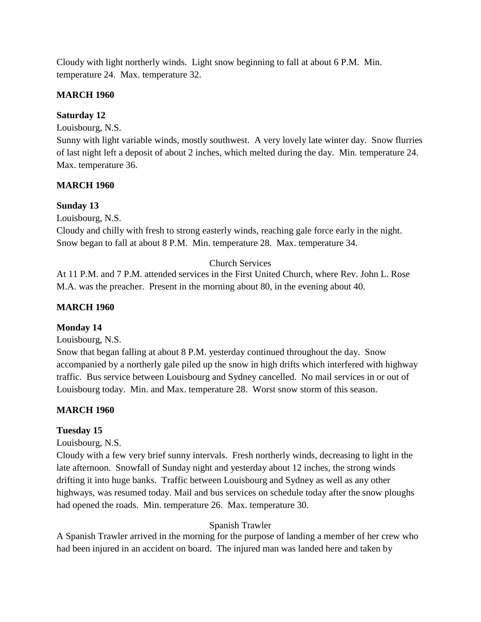Cloudy with light northerly winds. Light snow beginning to fall at about 6 P.M. Min. temperature 24. Max. temperature 32.

## **MARCH 1960**

## **Saturday 12**

Louisbourg, N.S.

Sunny with light variable winds, mostly southwest. A very lovely late winter day. Snow flurries of last night left a deposit of about 2 inches, which melted during the day. Min. temperature 24. Max. temperature 36.

## **MARCH 1960**

## **Sunday 13**

Louisbourg, N.S.

Cloudy and chilly with fresh to strong easterly winds, reaching gale force early in the night. Snow began to fall at about 8 P.M. Min. temperature 28. Max. temperature 34.

# Church Services

At 11 P.M. and 7 P.M. attended services in the First United Church, where Rev. John L. Rose M.A. was the preacher. Present in the morning about 80, in the evening about 40.

# **MARCH 1960**

#### **Monday 14**

Louisbourg, N.S.

Snow that began falling at about 8 P.M. yesterday continued throughout the day. Snow accompanied by a northerly gale piled up the snow in high drifts which interfered with highway traffic. Bus service between Louisbourg and Sydney cancelled. No mail services in or out of Louisbourg today. Min. and Max. temperature 28. Worst snow storm of this season.

# **MARCH 1960**

# **Tuesday 15**

Louisbourg, N.S.

Cloudy with a few very brief sunny intervals. Fresh northerly winds, decreasing to light in the late afternoon. Snowfall of Sunday night and yesterday about 12 inches, the strong winds drifting it into huge banks. Traffic between Louisbourg and Sydney as well as any other highways, was resumed today. Mail and bus services on schedule today after the snow ploughs had opened the roads. Min. temperature 26. Max. temperature 30.

# Spanish Trawler

A Spanish Trawler arrived in the morning for the purpose of landing a member of her crew who had been injured in an accident on board. The injured man was landed here and taken by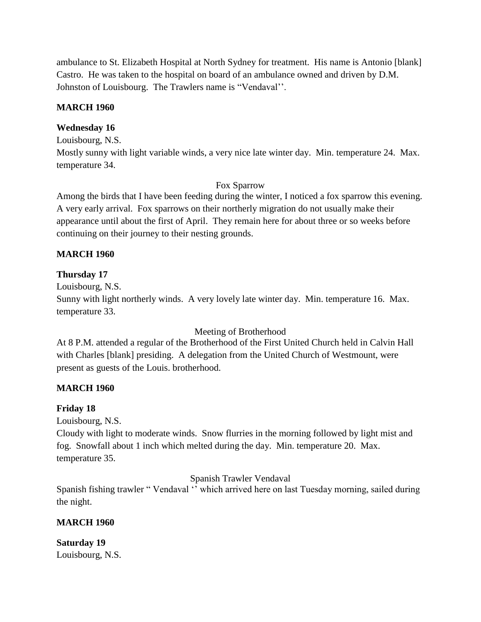ambulance to St. Elizabeth Hospital at North Sydney for treatment. His name is Antonio [blank] Castro. He was taken to the hospital on board of an ambulance owned and driven by D.M. Johnston of Louisbourg. The Trawlers name is "Vendaval''.

#### **MARCH 1960**

# **Wednesday 16**

Louisbourg, N.S.

Mostly sunny with light variable winds, a very nice late winter day. Min. temperature 24. Max. temperature 34.

## Fox Sparrow

Among the birds that I have been feeding during the winter, I noticed a fox sparrow this evening. A very early arrival. Fox sparrows on their northerly migration do not usually make their appearance until about the first of April. They remain here for about three or so weeks before continuing on their journey to their nesting grounds.

## **MARCH 1960**

## **Thursday 17**

Louisbourg, N.S.

Sunny with light northerly winds. A very lovely late winter day. Min. temperature 16. Max. temperature 33.

#### Meeting of Brotherhood

At 8 P.M. attended a regular of the Brotherhood of the First United Church held in Calvin Hall with Charles [blank] presiding. A delegation from the United Church of Westmount, were present as guests of the Louis. brotherhood.

#### **MARCH 1960**

#### **Friday 18**

Louisbourg, N.S.

Cloudy with light to moderate winds. Snow flurries in the morning followed by light mist and fog. Snowfall about 1 inch which melted during the day. Min. temperature 20. Max. temperature 35.

Spanish Trawler Vendaval

Spanish fishing trawler " Vendaval " which arrived here on last Tuesday morning, sailed during the night.

# **MARCH 1960**

**Saturday 19** Louisbourg, N.S.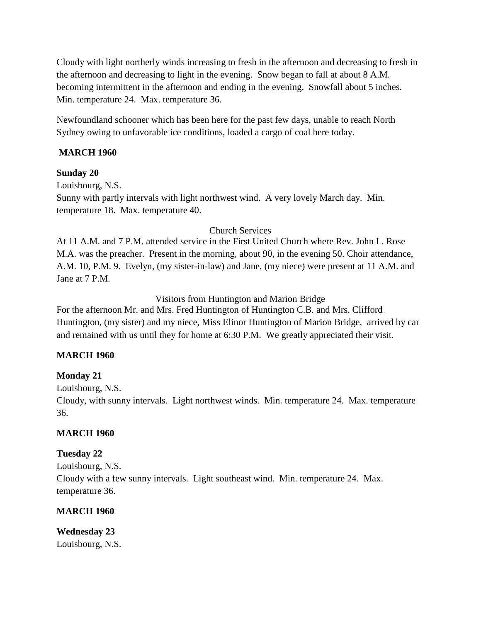Cloudy with light northerly winds increasing to fresh in the afternoon and decreasing to fresh in the afternoon and decreasing to light in the evening. Snow began to fall at about 8 A.M. becoming intermittent in the afternoon and ending in the evening. Snowfall about 5 inches. Min. temperature 24. Max. temperature 36.

Newfoundland schooner which has been here for the past few days, unable to reach North Sydney owing to unfavorable ice conditions, loaded a cargo of coal here today.

# **MARCH 1960**

## **Sunday 20**

Louisbourg, N.S. Sunny with partly intervals with light northwest wind. A very lovely March day. Min. temperature 18. Max. temperature 40.

## Church Services

At 11 A.M. and 7 P.M. attended service in the First United Church where Rev. John L. Rose M.A. was the preacher. Present in the morning, about 90, in the evening 50. Choir attendance, A.M. 10, P.M. 9. Evelyn, (my sister-in-law) and Jane, (my niece) were present at 11 A.M. and Jane at 7 P.M.

## Visitors from Huntington and Marion Bridge

For the afternoon Mr. and Mrs. Fred Huntington of Huntington C.B. and Mrs. Clifford Huntington, (my sister) and my niece, Miss Elinor Huntington of Marion Bridge, arrived by car and remained with us until they for home at 6:30 P.M. We greatly appreciated their visit.

# **MARCH 1960**

# **Monday 21**

Louisbourg, N.S.

Cloudy, with sunny intervals. Light northwest winds. Min. temperature 24. Max. temperature 36.

#### **MARCH 1960**

# **Tuesday 22**

Louisbourg, N.S.

Cloudy with a few sunny intervals. Light southeast wind. Min. temperature 24. Max. temperature 36.

# **MARCH 1960**

**Wednesday 23** Louisbourg, N.S.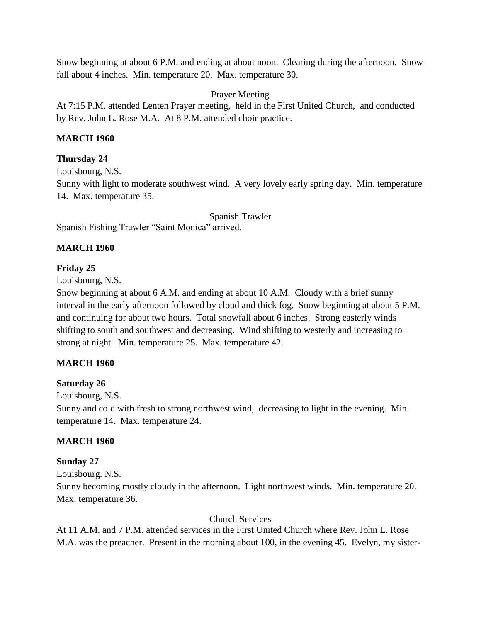Snow beginning at about 6 P.M. and ending at about noon. Clearing during the afternoon. Snow fall about 4 inches. Min. temperature 20. Max. temperature 30.

Prayer Meeting

At 7:15 P.M. attended Lenten Prayer meeting, held in the First United Church, and conducted by Rev. John L. Rose M.A. At 8 P.M. attended choir practice.

## **MARCH 1960**

## **Thursday 24**

Louisbourg, N.S. Sunny with light to moderate southwest wind. A very lovely early spring day. Min. temperature 14. Max. temperature 35.

Spanish Trawler Spanish Fishing Trawler "Saint Monica" arrived.

# **MARCH 1960**

#### **Friday 25**

Louisbourg, N.S.

Snow beginning at about 6 A.M. and ending at about 10 A.M. Cloudy with a brief sunny interval in the early afternoon followed by cloud and thick fog. Snow beginning at about 5 P.M. and continuing for about two hours. Total snowfall about 6 inches. Strong easterly winds shifting to south and southwest and decreasing. Wind shifting to westerly and increasing to strong at night. Min. temperature 25. Max. temperature 42.

# **MARCH 1960**

# **Saturday 26**

Louisbourg, N.S.

Sunny and cold with fresh to strong northwest wind, decreasing to light in the evening. Min. temperature 14. Max. temperature 24.

# **MARCH 1960**

# **Sunday 27**

Louisbourg. N.S.

Sunny becoming mostly cloudy in the afternoon. Light northwest winds. Min. temperature 20. Max. temperature 36.

#### Church Services

At 11 A.M. and 7 P.M. attended services in the First United Church where Rev. John L. Rose M.A. was the preacher. Present in the morning about 100, in the evening 45. Evelyn, my sister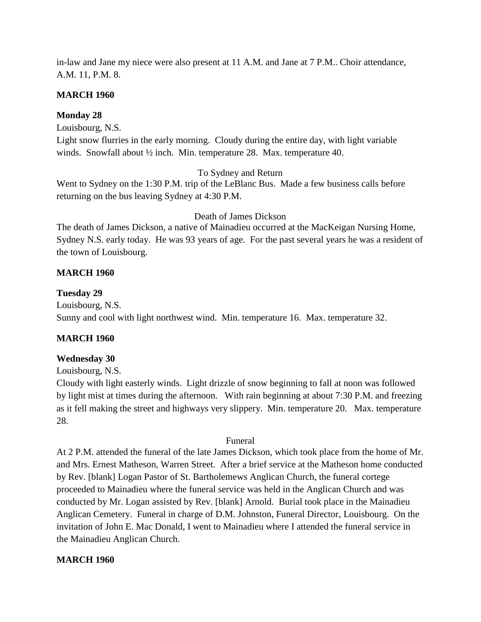in-law and Jane my niece were also present at 11 A.M. and Jane at 7 P.M.. Choir attendance, A.M. 11, P.M. 8.

#### **MARCH 1960**

#### **Monday 28**

Louisbourg, N.S.

Light snow flurries in the early morning. Cloudy during the entire day, with light variable winds. Snowfall about ½ inch. Min. temperature 28. Max. temperature 40.

To Sydney and Return

Went to Sydney on the 1:30 P.M. trip of the LeBlanc Bus. Made a few business calls before returning on the bus leaving Sydney at 4:30 P.M.

Death of James Dickson

The death of James Dickson, a native of Mainadieu occurred at the MacKeigan Nursing Home, Sydney N.S. early today. He was 93 years of age. For the past several years he was a resident of the town of Louisbourg.

#### **MARCH 1960**

#### **Tuesday 29**

Louisbourg, N.S. Sunny and cool with light northwest wind. Min. temperature 16. Max. temperature 32.

#### **MARCH 1960**

#### **Wednesday 30**

Louisbourg, N.S.

Cloudy with light easterly winds. Light drizzle of snow beginning to fall at noon was followed by light mist at times during the afternoon. With rain beginning at about 7:30 P.M. and freezing as it fell making the street and highways very slippery. Min. temperature 20. Max. temperature 28.

#### Funeral

At 2 P.M. attended the funeral of the late James Dickson, which took place from the home of Mr. and Mrs. Ernest Matheson, Warren Street. After a brief service at the Matheson home conducted by Rev. [blank] Logan Pastor of St. Bartholemews Anglican Church, the funeral cortege proceeded to Mainadieu where the funeral service was held in the Anglican Church and was conducted by Mr. Logan assisted by Rev. [blank] Arnold. Burial took place in the Mainadieu Anglican Cemetery. Funeral in charge of D.M. Johnston, Funeral Director, Louisbourg. On the invitation of John E. Mac Donald, I went to Mainadieu where I attended the funeral service in the Mainadieu Anglican Church.

#### **MARCH 1960**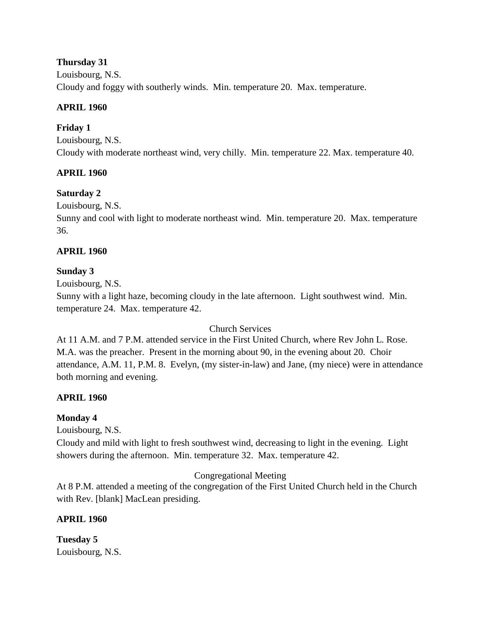#### **Thursday 31**

Louisbourg, N.S. Cloudy and foggy with southerly winds. Min. temperature 20. Max. temperature.

## **APRIL 1960**

# **Friday 1**

Louisbourg, N.S. Cloudy with moderate northeast wind, very chilly. Min. temperature 22. Max. temperature 40.

# **APRIL 1960**

# **Saturday 2**

Louisbourg, N.S.

Sunny and cool with light to moderate northeast wind. Min. temperature 20. Max. temperature 36.

## **APRIL 1960**

## **Sunday 3**

Louisbourg, N.S.

Sunny with a light haze, becoming cloudy in the late afternoon. Light southwest wind. Min. temperature 24. Max. temperature 42.

#### Church Services

At 11 A.M. and 7 P.M. attended service in the First United Church, where Rev John L. Rose. M.A. was the preacher. Present in the morning about 90, in the evening about 20. Choir attendance, A.M. 11, P.M. 8. Evelyn, (my sister-in-law) and Jane, (my niece) were in attendance both morning and evening.

# **APRIL 1960**

# **Monday 4**

Louisbourg, N.S.

Cloudy and mild with light to fresh southwest wind, decreasing to light in the evening. Light showers during the afternoon. Min. temperature 32. Max. temperature 42.

# Congregational Meeting

At 8 P.M. attended a meeting of the congregation of the First United Church held in the Church with Rev. [blank] MacLean presiding.

# **APRIL 1960**

**Tuesday 5** Louisbourg, N.S.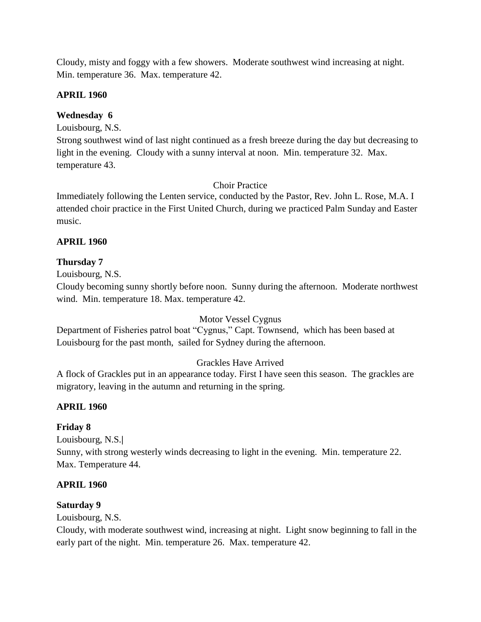Cloudy, misty and foggy with a few showers. Moderate southwest wind increasing at night. Min. temperature 36. Max. temperature 42.

#### **APRIL 1960**

## **Wednesday 6**

Louisbourg, N.S.

Strong southwest wind of last night continued as a fresh breeze during the day but decreasing to light in the evening. Cloudy with a sunny interval at noon. Min. temperature 32. Max. temperature 43.

## Choir Practice

Immediately following the Lenten service, conducted by the Pastor, Rev. John L. Rose, M.A. I attended choir practice in the First United Church, during we practiced Palm Sunday and Easter music.

## **APRIL 1960**

## **Thursday 7**

Louisbourg, N.S.

Cloudy becoming sunny shortly before noon. Sunny during the afternoon. Moderate northwest wind. Min. temperature 18. Max. temperature 42.

# Motor Vessel Cygnus

Department of Fisheries patrol boat "Cygnus," Capt. Townsend, which has been based at Louisbourg for the past month, sailed for Sydney during the afternoon.

# Grackles Have Arrived

A flock of Grackles put in an appearance today. First I have seen this season. The grackles are migratory, leaving in the autumn and returning in the spring.

# **APRIL 1960**

# **Friday 8**

Louisbourg, N.S.**|** Sunny, with strong westerly winds decreasing to light in the evening. Min. temperature 22. Max. Temperature 44.

#### **APRIL 1960**

#### **Saturday 9**

Louisbourg, N.S.

Cloudy, with moderate southwest wind, increasing at night. Light snow beginning to fall in the early part of the night. Min. temperature 26. Max. temperature 42.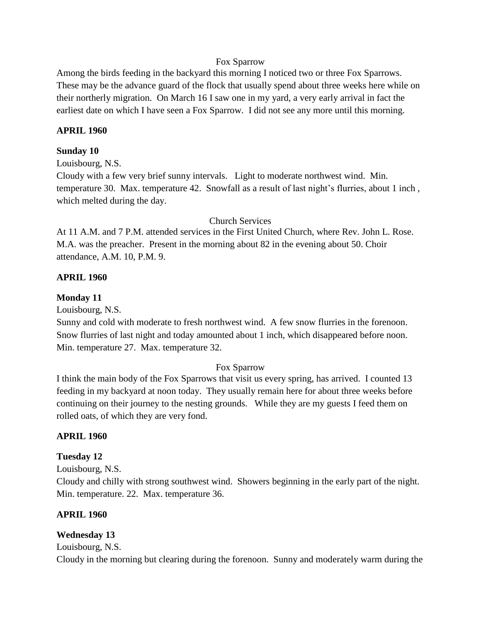#### Fox Sparrow

Among the birds feeding in the backyard this morning I noticed two or three Fox Sparrows. These may be the advance guard of the flock that usually spend about three weeks here while on their northerly migration. On March 16 I saw one in my yard, a very early arrival in fact the earliest date on which I have seen a Fox Sparrow. I did not see any more until this morning.

#### **APRIL 1960**

#### **Sunday 10**

Louisbourg, N.S.

Cloudy with a few very brief sunny intervals. Light to moderate northwest wind. Min. temperature 30. Max. temperature 42. Snowfall as a result of last night's flurries, about 1 inch , which melted during the day.

#### Church Services

At 11 A.M. and 7 P.M. attended services in the First United Church, where Rev. John L. Rose. M.A. was the preacher. Present in the morning about 82 in the evening about 50. Choir attendance, A.M. 10, P.M. 9.

#### **APRIL 1960**

#### **Monday 11**

Louisbourg, N.S.

Sunny and cold with moderate to fresh northwest wind. A few snow flurries in the forenoon. Snow flurries of last night and today amounted about 1 inch, which disappeared before noon. Min. temperature 27. Max. temperature 32.

#### Fox Sparrow

I think the main body of the Fox Sparrows that visit us every spring, has arrived. I counted 13 feeding in my backyard at noon today. They usually remain here for about three weeks before continuing on their journey to the nesting grounds. While they are my guests I feed them on rolled oats, of which they are very fond.

#### **APRIL 1960**

#### **Tuesday 12**

Louisbourg, N.S.

Cloudy and chilly with strong southwest wind. Showers beginning in the early part of the night. Min. temperature. 22. Max. temperature 36.

#### **APRIL 1960**

#### **Wednesday 13**

Louisbourg, N.S.

Cloudy in the morning but clearing during the forenoon. Sunny and moderately warm during the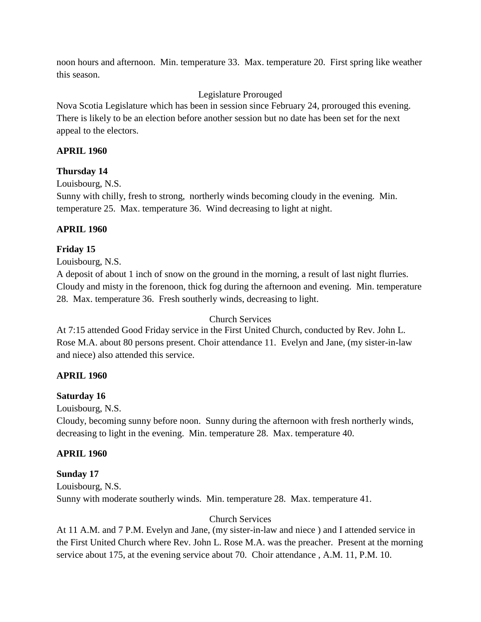noon hours and afternoon. Min. temperature 33. Max. temperature 20. First spring like weather this season.

## Legislature Prorouged

Nova Scotia Legislature which has been in session since February 24, prorouged this evening. There is likely to be an election before another session but no date has been set for the next appeal to the electors.

## **APRIL 1960**

#### **Thursday 14**

Louisbourg, N.S.

Sunny with chilly, fresh to strong, northerly winds becoming cloudy in the evening. Min. temperature 25. Max. temperature 36. Wind decreasing to light at night.

## **APRIL 1960**

## **Friday 15**

Louisbourg, N.S.

A deposit of about 1 inch of snow on the ground in the morning, a result of last night flurries. Cloudy and misty in the forenoon, thick fog during the afternoon and evening. Min. temperature 28. Max. temperature 36. Fresh southerly winds, decreasing to light.

#### Church Services

At 7:15 attended Good Friday service in the First United Church, conducted by Rev. John L. Rose M.A. about 80 persons present. Choir attendance 11. Evelyn and Jane, (my sister-in-law and niece) also attended this service.

#### **APRIL 1960**

#### **Saturday 16**

Louisbourg, N.S.

Cloudy, becoming sunny before noon. Sunny during the afternoon with fresh northerly winds, decreasing to light in the evening. Min. temperature 28. Max. temperature 40.

#### **APRIL 1960**

#### **Sunday 17**

Louisbourg, N.S. Sunny with moderate southerly winds. Min. temperature 28. Max. temperature 41.

#### Church Services

At 11 A.M. and 7 P.M. Evelyn and Jane, (my sister-in-law and niece ) and I attended service in the First United Church where Rev. John L. Rose M.A. was the preacher. Present at the morning service about 175, at the evening service about 70. Choir attendance , A.M. 11, P.M. 10.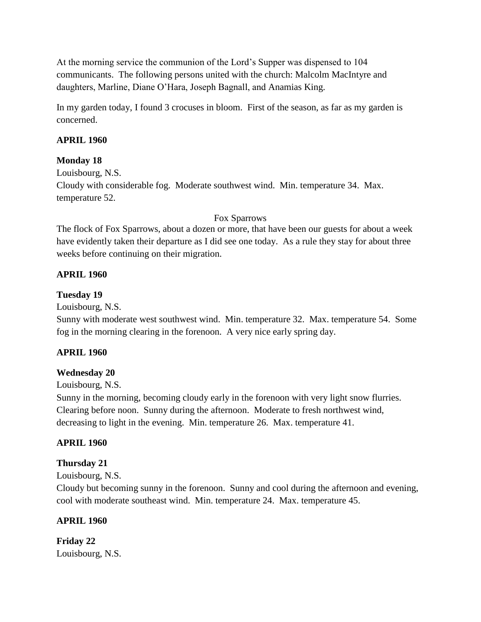At the morning service the communion of the Lord's Supper was dispensed to 104 communicants. The following persons united with the church: Malcolm MacIntyre and daughters, Marline, Diane O'Hara, Joseph Bagnall, and Anamias King.

In my garden today, I found 3 crocuses in bloom. First of the season, as far as my garden is concerned.

#### **APRIL 1960**

#### **Monday 18**

Louisbourg, N.S. Cloudy with considerable fog. Moderate southwest wind. Min. temperature 34. Max. temperature 52.

#### Fox Sparrows

The flock of Fox Sparrows, about a dozen or more, that have been our guests for about a week have evidently taken their departure as I did see one today. As a rule they stay for about three weeks before continuing on their migration.

#### **APRIL 1960**

#### **Tuesday 19**

Louisbourg, N.S.

Sunny with moderate west southwest wind. Min. temperature 32. Max. temperature 54. Some fog in the morning clearing in the forenoon. A very nice early spring day.

#### **APRIL 1960**

#### **Wednesday 20**

Louisbourg, N.S.

Sunny in the morning, becoming cloudy early in the forenoon with very light snow flurries. Clearing before noon. Sunny during the afternoon. Moderate to fresh northwest wind, decreasing to light in the evening. Min. temperature 26. Max. temperature 41.

#### **APRIL 1960**

#### **Thursday 21**

Louisbourg, N.S.

Cloudy but becoming sunny in the forenoon. Sunny and cool during the afternoon and evening, cool with moderate southeast wind. Min. temperature 24. Max. temperature 45.

#### **APRIL 1960**

**Friday 22** Louisbourg, N.S.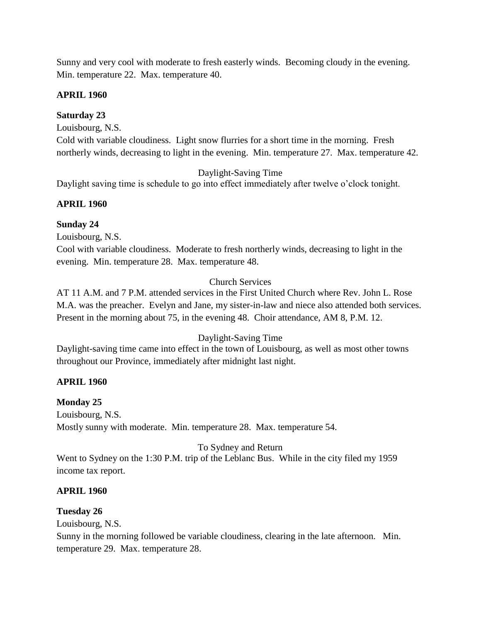Sunny and very cool with moderate to fresh easterly winds. Becoming cloudy in the evening. Min. temperature 22. Max. temperature 40.

## **APRIL 1960**

## **Saturday 23**

Louisbourg, N.S.

Cold with variable cloudiness. Light snow flurries for a short time in the morning. Fresh northerly winds, decreasing to light in the evening. Min. temperature 27. Max. temperature 42.

Daylight-Saving Time

Daylight saving time is schedule to go into effect immediately after twelve o'clock tonight.

## **APRIL 1960**

## **Sunday 24**

Louisbourg, N.S.

Cool with variable cloudiness. Moderate to fresh northerly winds, decreasing to light in the evening. Min. temperature 28. Max. temperature 48.

## Church Services

AT 11 A.M. and 7 P.M. attended services in the First United Church where Rev. John L. Rose M.A. was the preacher. Evelyn and Jane, my sister-in-law and niece also attended both services. Present in the morning about 75, in the evening 48. Choir attendance, AM 8, P.M. 12.

# Daylight-Saving Time

Daylight-saving time came into effect in the town of Louisbourg, as well as most other towns throughout our Province, immediately after midnight last night.

# **APRIL 1960**

#### **Monday 25**

Louisbourg, N.S. Mostly sunny with moderate. Min. temperature 28. Max. temperature 54.

To Sydney and Return

Went to Sydney on the 1:30 P.M. trip of the Leblanc Bus. While in the city filed my 1959 income tax report.

#### **APRIL 1960**

# **Tuesday 26**

Louisbourg, N.S.

Sunny in the morning followed be variable cloudiness, clearing in the late afternoon. Min. temperature 29. Max. temperature 28.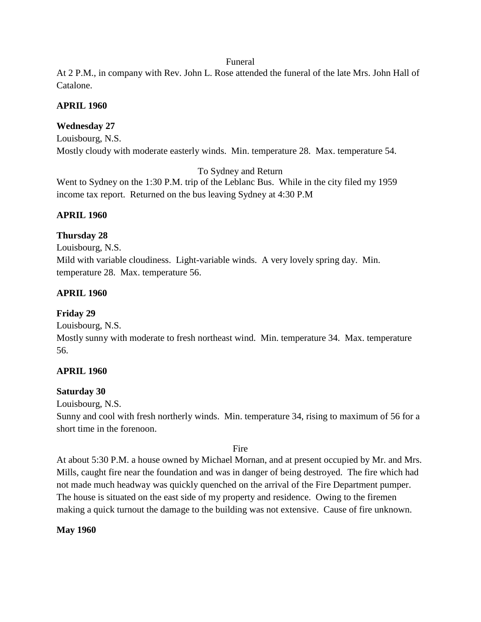#### Funeral

At 2 P.M., in company with Rev. John L. Rose attended the funeral of the late Mrs. John Hall of Catalone.

#### **APRIL 1960**

## **Wednesday 27**

Louisbourg, N.S. Mostly cloudy with moderate easterly winds. Min. temperature 28. Max. temperature 54.

To Sydney and Return

Went to Sydney on the 1:30 P.M. trip of the Leblanc Bus. While in the city filed my 1959 income tax report. Returned on the bus leaving Sydney at 4:30 P.M

#### **APRIL 1960**

#### **Thursday 28**

Louisbourg, N.S. Mild with variable cloudiness. Light-variable winds. A very lovely spring day. Min. temperature 28. Max. temperature 56.

#### **APRIL 1960**

#### **Friday 29**

Louisbourg, N.S.

Mostly sunny with moderate to fresh northeast wind. Min. temperature 34. Max. temperature 56.

#### **APRIL 1960**

#### **Saturday 30**

Louisbourg, N.S.

Sunny and cool with fresh northerly winds. Min. temperature 34, rising to maximum of 56 for a short time in the forenoon.

#### Fire

At about 5:30 P.M. a house owned by Michael Mornan, and at present occupied by Mr. and Mrs. Mills, caught fire near the foundation and was in danger of being destroyed. The fire which had not made much headway was quickly quenched on the arrival of the Fire Department pumper. The house is situated on the east side of my property and residence. Owing to the firemen making a quick turnout the damage to the building was not extensive. Cause of fire unknown.

#### **May 1960**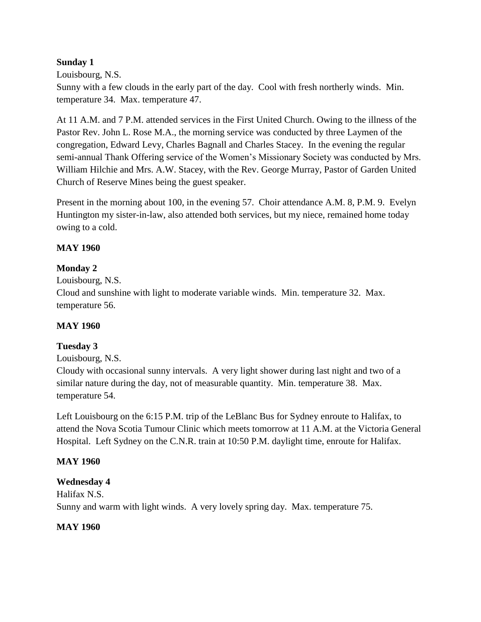## **Sunday 1**

Louisbourg, N.S.

Sunny with a few clouds in the early part of the day. Cool with fresh northerly winds. Min. temperature 34. Max. temperature 47.

At 11 A.M. and 7 P.M. attended services in the First United Church. Owing to the illness of the Pastor Rev. John L. Rose M.A., the morning service was conducted by three Laymen of the congregation, Edward Levy, Charles Bagnall and Charles Stacey. In the evening the regular semi-annual Thank Offering service of the Women's Missionary Society was conducted by Mrs. William Hilchie and Mrs. A.W. Stacey, with the Rev. George Murray, Pastor of Garden United Church of Reserve Mines being the guest speaker.

Present in the morning about 100, in the evening 57. Choir attendance A.M. 8, P.M. 9. Evelyn Huntington my sister-in-law, also attended both services, but my niece, remained home today owing to a cold.

## **MAY 1960**

## **Monday 2**

Louisbourg, N.S. Cloud and sunshine with light to moderate variable winds. Min. temperature 32. Max. temperature 56.

#### **MAY 1960**

# **Tuesday 3**

Louisbourg, N.S.

Cloudy with occasional sunny intervals. A very light shower during last night and two of a similar nature during the day, not of measurable quantity. Min. temperature 38. Max. temperature 54.

Left Louisbourg on the 6:15 P.M. trip of the LeBlanc Bus for Sydney enroute to Halifax, to attend the Nova Scotia Tumour Clinic which meets tomorrow at 11 A.M. at the Victoria General Hospital. Left Sydney on the C.N.R. train at 10:50 P.M. daylight time, enroute for Halifax.

#### **MAY 1960**

#### **Wednesday 4**

Halifax N.S. Sunny and warm with light winds. A very lovely spring day. Max. temperature 75.

#### **MAY 1960**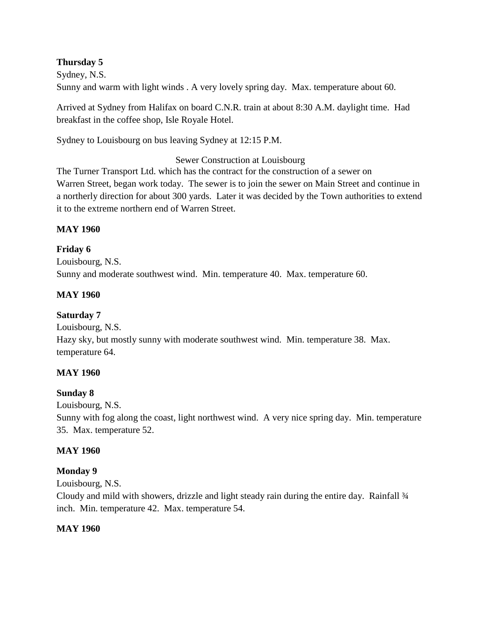## **Thursday 5**

Sydney, N.S. Sunny and warm with light winds . A very lovely spring day. Max. temperature about 60.

Arrived at Sydney from Halifax on board C.N.R. train at about 8:30 A.M. daylight time. Had breakfast in the coffee shop, Isle Royale Hotel.

Sydney to Louisbourg on bus leaving Sydney at 12:15 P.M.

Sewer Construction at Louisbourg

The Turner Transport Ltd. which has the contract for the construction of a sewer on Warren Street, began work today. The sewer is to join the sewer on Main Street and continue in a northerly direction for about 300 yards. Later it was decided by the Town authorities to extend it to the extreme northern end of Warren Street.

## **MAY 1960**

**Friday 6** Louisbourg, N.S. Sunny and moderate southwest wind. Min. temperature 40. Max. temperature 60.

## **MAY 1960**

## **Saturday 7**

Louisbourg, N.S.

Hazy sky, but mostly sunny with moderate southwest wind. Min. temperature 38. Max. temperature 64.

#### **MAY 1960**

#### **Sunday 8**

Louisbourg, N.S.

Sunny with fog along the coast, light northwest wind. A very nice spring day. Min. temperature 35. Max. temperature 52.

#### **MAY 1960**

#### **Monday 9**

Louisbourg, N.S.

Cloudy and mild with showers, drizzle and light steady rain during the entire day. Rainfall  $\frac{3}{4}$ inch. Min. temperature 42. Max. temperature 54.

#### **MAY 1960**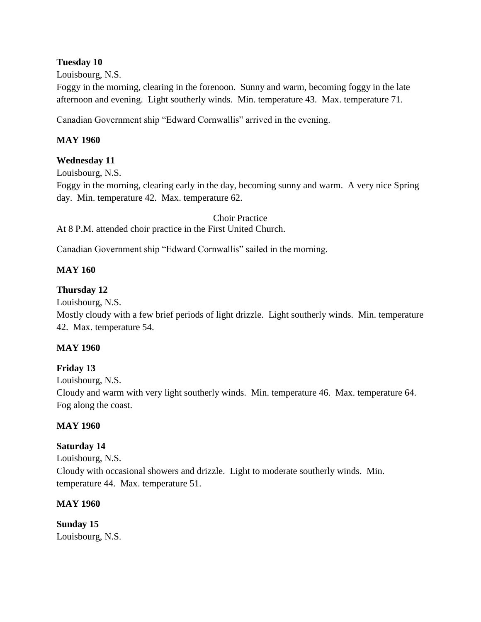#### **Tuesday 10**

Louisbourg, N.S.

Foggy in the morning, clearing in the forenoon. Sunny and warm, becoming foggy in the late afternoon and evening. Light southerly winds. Min. temperature 43. Max. temperature 71.

Canadian Government ship "Edward Cornwallis" arrived in the evening.

#### **MAY 1960**

#### **Wednesday 11**

Louisbourg, N.S.

Foggy in the morning, clearing early in the day, becoming sunny and warm. A very nice Spring day. Min. temperature 42. Max. temperature 62.

Choir Practice At 8 P.M. attended choir practice in the First United Church.

Canadian Government ship "Edward Cornwallis" sailed in the morning.

## **MAY 160**

## **Thursday 12**

Louisbourg, N.S.

Mostly cloudy with a few brief periods of light drizzle. Light southerly winds. Min. temperature 42. Max. temperature 54.

#### **MAY 1960**

#### **Friday 13**

Louisbourg, N.S.

Cloudy and warm with very light southerly winds. Min. temperature 46. Max. temperature 64. Fog along the coast.

#### **MAY 1960**

#### **Saturday 14**

Louisbourg, N.S.

Cloudy with occasional showers and drizzle. Light to moderate southerly winds. Min. temperature 44. Max. temperature 51.

#### **MAY 1960**

**Sunday 15** Louisbourg, N.S.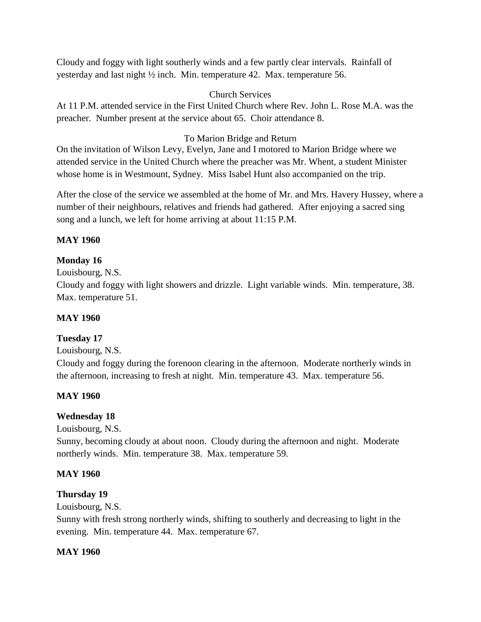Cloudy and foggy with light southerly winds and a few partly clear intervals. Rainfall of yesterday and last night ½ inch. Min. temperature 42. Max. temperature 56.

## Church Services

At 11 P.M. attended service in the First United Church where Rev. John L. Rose M.A. was the preacher. Number present at the service about 65. Choir attendance 8.

## To Marion Bridge and Return

On the invitation of Wilson Levy, Evelyn, Jane and I motored to Marion Bridge where we attended service in the United Church where the preacher was Mr. Whent, a student Minister whose home is in Westmount, Sydney. Miss Isabel Hunt also accompanied on the trip.

After the close of the service we assembled at the home of Mr. and Mrs. Havery Hussey, where a number of their neighbours, relatives and friends had gathered. After enjoying a sacred sing song and a lunch, we left for home arriving at about 11:15 P.M.

#### **MAY 1960**

## **Monday 16**

Louisbourg, N.S.

Cloudy and foggy with light showers and drizzle. Light variable winds. Min. temperature, 38. Max. temperature 51.

#### **MAY 1960**

#### **Tuesday 17**

Louisbourg, N.S.

Cloudy and foggy during the forenoon clearing in the afternoon. Moderate northerly winds in the afternoon, increasing to fresh at night. Min. temperature 43. Max. temperature 56.

#### **MAY 1960**

#### **Wednesday 18**

Louisbourg, N.S.

Sunny, becoming cloudy at about noon. Cloudy during the afternoon and night. Moderate northerly winds. Min. temperature 38. Max. temperature 59.

#### **MAY 1960**

#### **Thursday 19**

Louisbourg, N.S.

Sunny with fresh strong northerly winds, shifting to southerly and decreasing to light in the evening. Min. temperature 44. Max. temperature 67.

#### **MAY 1960**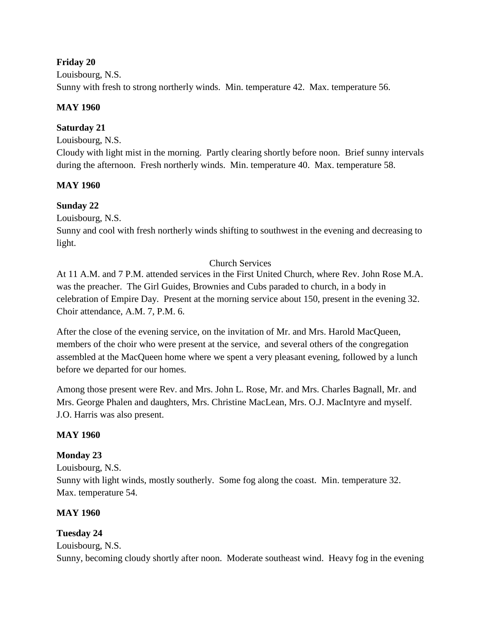#### **Friday 20**

Louisbourg, N.S. Sunny with fresh to strong northerly winds. Min. temperature 42. Max. temperature 56.

## **MAY 1960**

# **Saturday 21**

Louisbourg, N.S.

Cloudy with light mist in the morning. Partly clearing shortly before noon. Brief sunny intervals during the afternoon. Fresh northerly winds. Min. temperature 40. Max. temperature 58.

# **MAY 1960**

# **Sunday 22**

Louisbourg, N.S.

Sunny and cool with fresh northerly winds shifting to southwest in the evening and decreasing to light.

# Church Services

At 11 A.M. and 7 P.M. attended services in the First United Church, where Rev. John Rose M.A. was the preacher. The Girl Guides, Brownies and Cubs paraded to church, in a body in celebration of Empire Day. Present at the morning service about 150, present in the evening 32. Choir attendance, A.M. 7, P.M. 6.

After the close of the evening service, on the invitation of Mr. and Mrs. Harold MacQueen, members of the choir who were present at the service, and several others of the congregation assembled at the MacQueen home where we spent a very pleasant evening, followed by a lunch before we departed for our homes.

Among those present were Rev. and Mrs. John L. Rose, Mr. and Mrs. Charles Bagnall, Mr. and Mrs. George Phalen and daughters, Mrs. Christine MacLean, Mrs. O.J. MacIntyre and myself. J.O. Harris was also present.

# **MAY 1960**

# **Monday 23**

Louisbourg, N.S. Sunny with light winds, mostly southerly. Some fog along the coast. Min. temperature 32. Max. temperature 54.

# **MAY 1960**

# **Tuesday 24**

Louisbourg, N.S.

Sunny, becoming cloudy shortly after noon. Moderate southeast wind. Heavy fog in the evening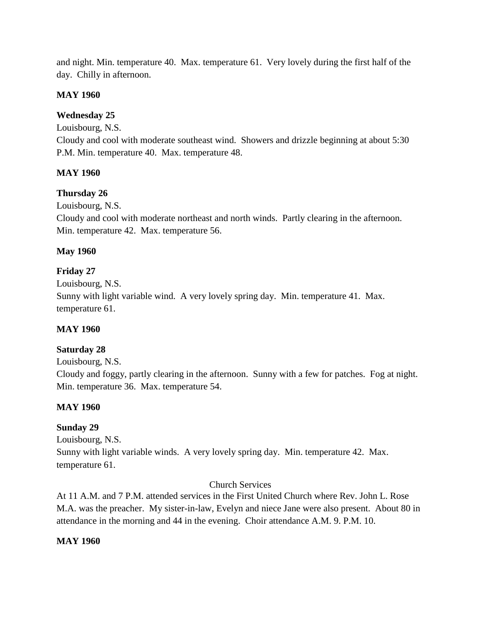and night. Min. temperature 40. Max. temperature 61. Very lovely during the first half of the day. Chilly in afternoon.

#### **MAY 1960**

# **Wednesday 25**

Louisbourg, N.S.

Cloudy and cool with moderate southeast wind. Showers and drizzle beginning at about 5:30 P.M. Min. temperature 40. Max. temperature 48.

## **MAY 1960**

## **Thursday 26**

Louisbourg, N.S.

Cloudy and cool with moderate northeast and north winds. Partly clearing in the afternoon. Min. temperature 42. Max. temperature 56.

## **May 1960**

# **Friday 27**

Louisbourg, N.S.

Sunny with light variable wind. A very lovely spring day. Min. temperature 41. Max. temperature 61.

# **MAY 1960**

# **Saturday 28**

Louisbourg, N.S.

Cloudy and foggy, partly clearing in the afternoon. Sunny with a few for patches. Fog at night. Min. temperature 36. Max. temperature 54.

# **MAY 1960**

# **Sunday 29**

Louisbourg, N.S. Sunny with light variable winds. A very lovely spring day. Min. temperature 42. Max. temperature 61.

#### Church Services

At 11 A.M. and 7 P.M. attended services in the First United Church where Rev. John L. Rose M.A. was the preacher. My sister-in-law, Evelyn and niece Jane were also present. About 80 in attendance in the morning and 44 in the evening. Choir attendance A.M. 9. P.M. 10.

#### **MAY 1960**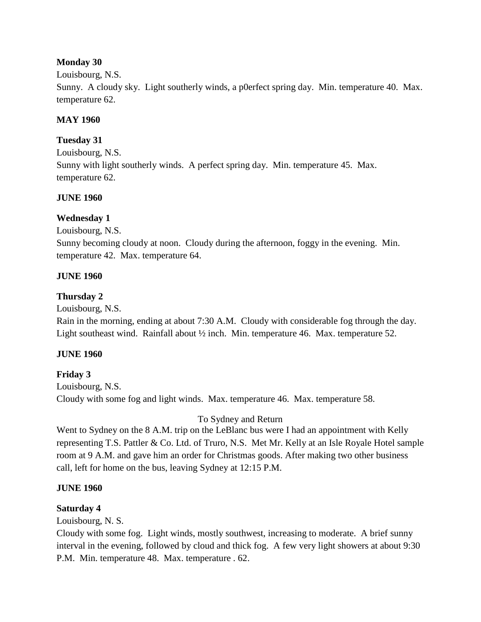#### **Monday 30**

#### Louisbourg, N.S.

Sunny. A cloudy sky. Light southerly winds, a p0erfect spring day. Min. temperature 40. Max. temperature 62.

#### **MAY 1960**

#### **Tuesday 31**

Louisbourg, N.S. Sunny with light southerly winds. A perfect spring day. Min. temperature 45. Max. temperature 62.

#### **JUNE 1960**

#### **Wednesday 1**

Louisbourg, N.S.

Sunny becoming cloudy at noon. Cloudy during the afternoon, foggy in the evening. Min. temperature 42. Max. temperature 64.

#### **JUNE 1960**

#### **Thursday 2**

Louisbourg, N.S.

Rain in the morning, ending at about 7:30 A.M. Cloudy with considerable fog through the day. Light southeast wind. Rainfall about <sup>1</sup>/<sub>2</sub> inch. Min. temperature 46. Max. temperature 52.

#### **JUNE 1960**

#### **Friday 3**

Louisbourg, N.S. Cloudy with some fog and light winds. Max. temperature 46. Max. temperature 58.

To Sydney and Return

Went to Sydney on the 8 A.M. trip on the LeBlanc bus were I had an appointment with Kelly representing T.S. Pattler & Co. Ltd. of Truro, N.S. Met Mr. Kelly at an Isle Royale Hotel sample room at 9 A.M. and gave him an order for Christmas goods. After making two other business call, left for home on the bus, leaving Sydney at 12:15 P.M.

#### **JUNE 1960**

#### **Saturday 4**

Louisbourg, N. S.

Cloudy with some fog. Light winds, mostly southwest, increasing to moderate. A brief sunny interval in the evening, followed by cloud and thick fog. A few very light showers at about 9:30 P.M. Min. temperature 48. Max. temperature . 62.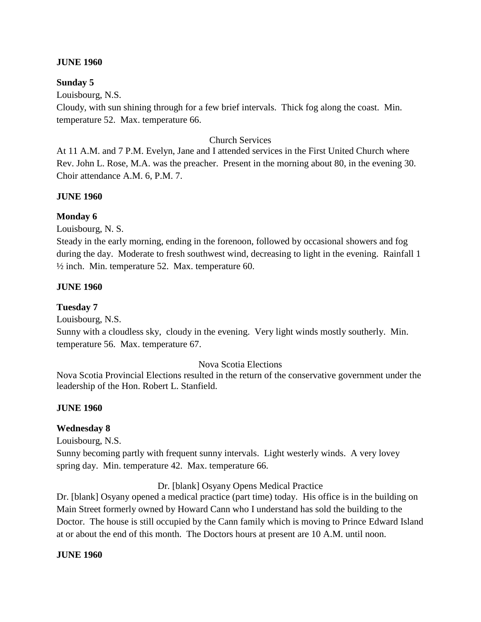#### **JUNE 1960**

#### **Sunday 5**

Louisbourg, N.S.

Cloudy, with sun shining through for a few brief intervals. Thick fog along the coast. Min. temperature 52. Max. temperature 66.

#### Church Services

At 11 A.M. and 7 P.M. Evelyn, Jane and I attended services in the First United Church where Rev. John L. Rose, M.A. was the preacher. Present in the morning about 80, in the evening 30. Choir attendance A.M. 6, P.M. 7.

#### **JUNE 1960**

#### **Monday 6**

Louisbourg, N. S.

Steady in the early morning, ending in the forenoon, followed by occasional showers and fog during the day. Moderate to fresh southwest wind, decreasing to light in the evening. Rainfall 1 ½ inch. Min. temperature 52. Max. temperature 60.

#### **JUNE 1960**

#### **Tuesday 7**

Louisbourg, N.S.

Sunny with a cloudless sky, cloudy in the evening. Very light winds mostly southerly. Min. temperature 56. Max. temperature 67.

#### Nova Scotia Elections

Nova Scotia Provincial Elections resulted in the return of the conservative government under the leadership of the Hon. Robert L. Stanfield.

#### **JUNE 1960**

#### **Wednesday 8**

Louisbourg, N.S.

Sunny becoming partly with frequent sunny intervals. Light westerly winds. A very lovey spring day. Min. temperature 42. Max. temperature 66.

Dr. [blank] Osyany Opens Medical Practice

Dr. [blank] Osyany opened a medical practice (part time) today. His office is in the building on Main Street formerly owned by Howard Cann who I understand has sold the building to the Doctor. The house is still occupied by the Cann family which is moving to Prince Edward Island at or about the end of this month. The Doctors hours at present are 10 A.M. until noon.

#### **JUNE 1960**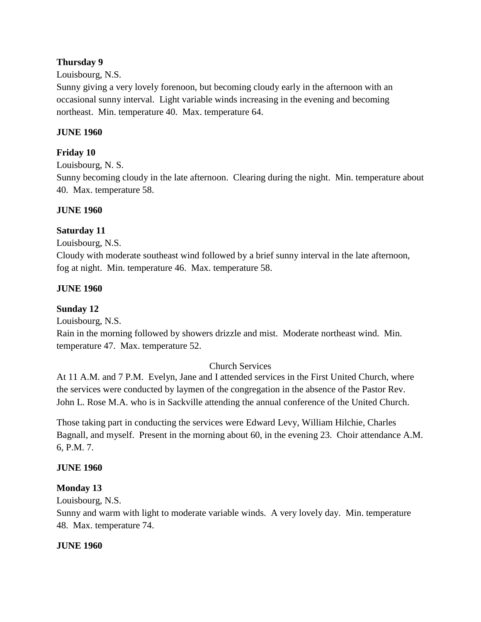## **Thursday 9**

#### Louisbourg, N.S.

Sunny giving a very lovely forenoon, but becoming cloudy early in the afternoon with an occasional sunny interval. Light variable winds increasing in the evening and becoming northeast. Min. temperature 40. Max. temperature 64.

## **JUNE 1960**

## **Friday 10**

Louisbourg, N. S.

Sunny becoming cloudy in the late afternoon. Clearing during the night. Min. temperature about 40. Max. temperature 58.

#### **JUNE 1960**

## **Saturday 11**

#### Louisbourg, N.S.

Cloudy with moderate southeast wind followed by a brief sunny interval in the late afternoon, fog at night. Min. temperature 46. Max. temperature 58.

## **JUNE 1960**

## **Sunday 12**

Louisbourg, N.S.

Rain in the morning followed by showers drizzle and mist. Moderate northeast wind. Min. temperature 47. Max. temperature 52.

## Church Services

At 11 A.M. and 7 P.M. Evelyn, Jane and I attended services in the First United Church, where the services were conducted by laymen of the congregation in the absence of the Pastor Rev. John L. Rose M.A. who is in Sackville attending the annual conference of the United Church.

Those taking part in conducting the services were Edward Levy, William Hilchie, Charles Bagnall, and myself. Present in the morning about 60, in the evening 23. Choir attendance A.M. 6, P.M. 7.

#### **JUNE 1960**

## **Monday 13**

Louisbourg, N.S.

Sunny and warm with light to moderate variable winds. A very lovely day. Min. temperature 48. Max. temperature 74.

#### **JUNE 1960**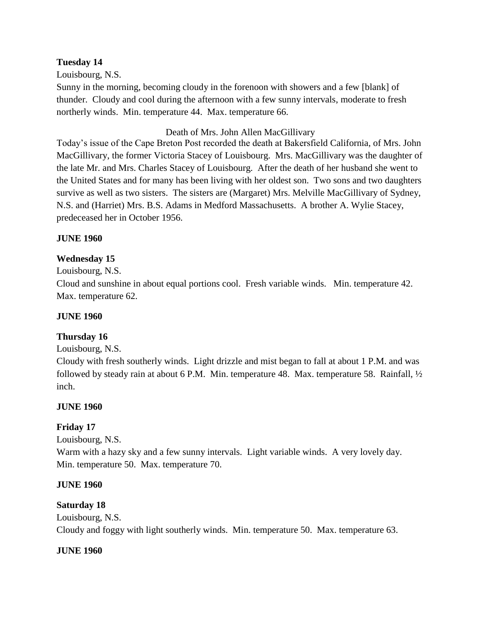#### **Tuesday 14**

Louisbourg, N.S.

Sunny in the morning, becoming cloudy in the forenoon with showers and a few [blank] of thunder. Cloudy and cool during the afternoon with a few sunny intervals, moderate to fresh northerly winds. Min. temperature 44. Max. temperature 66.

#### Death of Mrs. John Allen MacGillivary

Today's issue of the Cape Breton Post recorded the death at Bakersfield California, of Mrs. John MacGillivary, the former Victoria Stacey of Louisbourg. Mrs. MacGillivary was the daughter of the late Mr. and Mrs. Charles Stacey of Louisbourg. After the death of her husband she went to the United States and for many has been living with her oldest son. Two sons and two daughters survive as well as two sisters. The sisters are (Margaret) Mrs. Melville MacGillivary of Sydney, N.S. and (Harriet) Mrs. B.S. Adams in Medford Massachusetts. A brother A. Wylie Stacey, predeceased her in October 1956.

#### **JUNE 1960**

#### **Wednesday 15**

Louisbourg, N.S.

Cloud and sunshine in about equal portions cool. Fresh variable winds. Min. temperature 42. Max. temperature 62.

#### **JUNE 1960**

#### **Thursday 16**

#### Louisbourg, N.S.

Cloudy with fresh southerly winds. Light drizzle and mist began to fall at about 1 P.M. and was followed by steady rain at about 6 P.M. Min. temperature 48. Max. temperature 58. Rainfall,  $\frac{1}{2}$ inch.

#### **JUNE 1960**

#### **Friday 17**

Louisbourg, N.S.

Warm with a hazy sky and a few sunny intervals. Light variable winds. A very lovely day. Min. temperature 50. Max. temperature 70.

#### **JUNE 1960**

#### **Saturday 18**

Louisbourg, N.S. Cloudy and foggy with light southerly winds. Min. temperature 50. Max. temperature 63.

#### **JUNE 1960**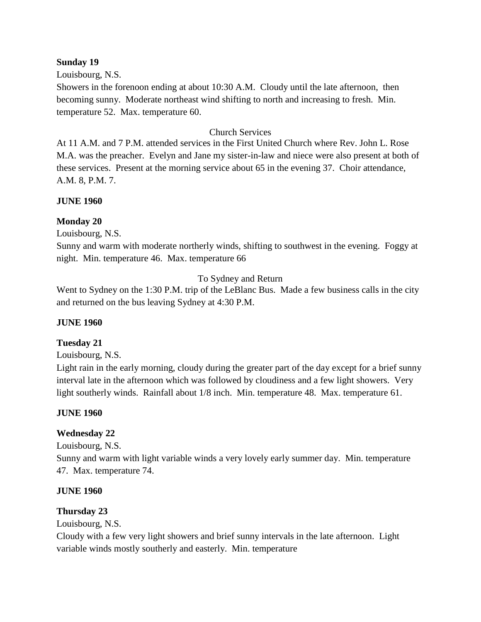#### **Sunday 19**

Louisbourg, N.S.

Showers in the forenoon ending at about 10:30 A.M. Cloudy until the late afternoon, then becoming sunny. Moderate northeast wind shifting to north and increasing to fresh. Min. temperature 52. Max. temperature 60.

## Church Services

At 11 A.M. and 7 P.M. attended services in the First United Church where Rev. John L. Rose M.A. was the preacher. Evelyn and Jane my sister-in-law and niece were also present at both of these services. Present at the morning service about 65 in the evening 37. Choir attendance, A.M. 8, P.M. 7.

#### **JUNE 1960**

#### **Monday 20**

Louisbourg, N.S.

Sunny and warm with moderate northerly winds, shifting to southwest in the evening. Foggy at night. Min. temperature 46. Max. temperature 66

To Sydney and Return

Went to Sydney on the 1:30 P.M. trip of the LeBlanc Bus. Made a few business calls in the city and returned on the bus leaving Sydney at 4:30 P.M.

#### **JUNE 1960**

#### **Tuesday 21**

Louisbourg, N.S.

Light rain in the early morning, cloudy during the greater part of the day except for a brief sunny interval late in the afternoon which was followed by cloudiness and a few light showers. Very light southerly winds. Rainfall about 1/8 inch. Min. temperature 48. Max. temperature 61.

#### **JUNE 1960**

#### **Wednesday 22**

Louisbourg, N.S.

Sunny and warm with light variable winds a very lovely early summer day. Min. temperature 47. Max. temperature 74.

#### **JUNE 1960**

#### **Thursday 23**

Louisbourg, N.S.

Cloudy with a few very light showers and brief sunny intervals in the late afternoon. Light variable winds mostly southerly and easterly. Min. temperature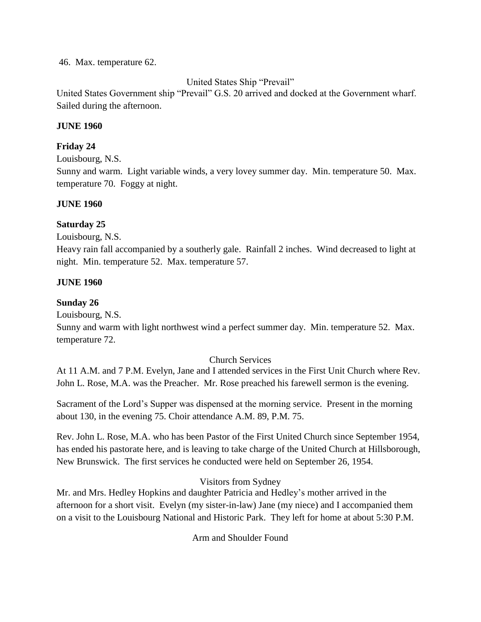#### 46. Max. temperature 62.

United States Ship "Prevail"

United States Government ship "Prevail" G.S. 20 arrived and docked at the Government wharf. Sailed during the afternoon.

#### **JUNE 1960**

#### **Friday 24**

Louisbourg, N.S.

Sunny and warm. Light variable winds, a very lovey summer day. Min. temperature 50. Max. temperature 70. Foggy at night.

#### **JUNE 1960**

#### **Saturday 25**

Louisbourg, N.S.

Heavy rain fall accompanied by a southerly gale. Rainfall 2 inches. Wind decreased to light at night. Min. temperature 52. Max. temperature 57.

#### **JUNE 1960**

#### **Sunday 26**

Louisbourg, N.S.

Sunny and warm with light northwest wind a perfect summer day. Min. temperature 52. Max. temperature 72.

#### Church Services

At 11 A.M. and 7 P.M. Evelyn, Jane and I attended services in the First Unit Church where Rev. John L. Rose, M.A. was the Preacher. Mr. Rose preached his farewell sermon is the evening.

Sacrament of the Lord's Supper was dispensed at the morning service. Present in the morning about 130, in the evening 75. Choir attendance A.M. 89, P.M. 75.

Rev. John L. Rose, M.A. who has been Pastor of the First United Church since September 1954, has ended his pastorate here, and is leaving to take charge of the United Church at Hillsborough, New Brunswick. The first services he conducted were held on September 26, 1954.

#### Visitors from Sydney

Mr. and Mrs. Hedley Hopkins and daughter Patricia and Hedley's mother arrived in the afternoon for a short visit. Evelyn (my sister-in-law) Jane (my niece) and I accompanied them on a visit to the Louisbourg National and Historic Park. They left for home at about 5:30 P.M.

Arm and Shoulder Found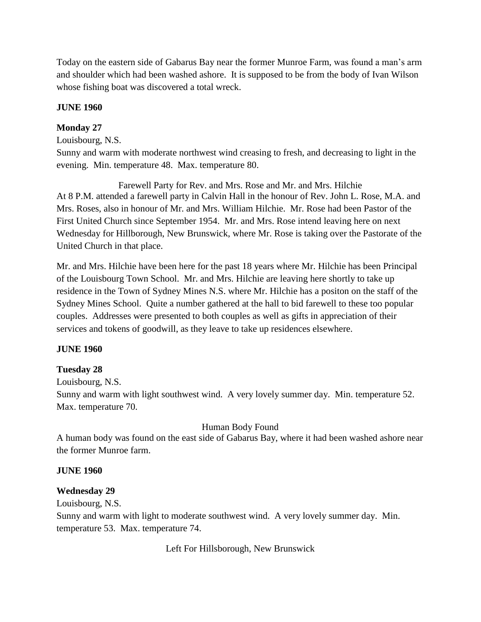Today on the eastern side of Gabarus Bay near the former Munroe Farm, was found a man's arm and shoulder which had been washed ashore. It is supposed to be from the body of Ivan Wilson whose fishing boat was discovered a total wreck.

#### **JUNE 1960**

## **Monday 27**

#### Louisbourg, N.S.

Sunny and warm with moderate northwest wind creasing to fresh, and decreasing to light in the evening. Min. temperature 48. Max. temperature 80.

Farewell Party for Rev. and Mrs. Rose and Mr. and Mrs. Hilchie At 8 P.M. attended a farewell party in Calvin Hall in the honour of Rev. John L. Rose, M.A. and Mrs. Roses, also in honour of Mr. and Mrs. William Hilchie. Mr. Rose had been Pastor of the First United Church since September 1954. Mr. and Mrs. Rose intend leaving here on next Wednesday for Hillborough, New Brunswick, where Mr. Rose is taking over the Pastorate of the United Church in that place.

Mr. and Mrs. Hilchie have been here for the past 18 years where Mr. Hilchie has been Principal of the Louisbourg Town School. Mr. and Mrs. Hilchie are leaving here shortly to take up residence in the Town of Sydney Mines N.S. where Mr. Hilchie has a positon on the staff of the Sydney Mines School. Quite a number gathered at the hall to bid farewell to these too popular couples. Addresses were presented to both couples as well as gifts in appreciation of their services and tokens of goodwill, as they leave to take up residences elsewhere.

#### **JUNE 1960**

#### **Tuesday 28**

Louisbourg, N.S.

Sunny and warm with light southwest wind. A very lovely summer day. Min. temperature 52. Max. temperature 70.

#### Human Body Found

A human body was found on the east side of Gabarus Bay, where it had been washed ashore near the former Munroe farm.

#### **JUNE 1960**

#### **Wednesday 29**

Louisbourg, N.S.

Sunny and warm with light to moderate southwest wind. A very lovely summer day. Min. temperature 53. Max. temperature 74.

Left For Hillsborough, New Brunswick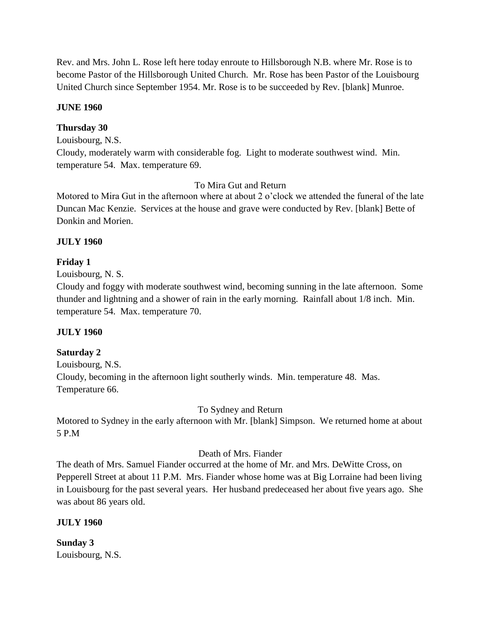Rev. and Mrs. John L. Rose left here today enroute to Hillsborough N.B. where Mr. Rose is to become Pastor of the Hillsborough United Church. Mr. Rose has been Pastor of the Louisbourg United Church since September 1954. Mr. Rose is to be succeeded by Rev. [blank] Munroe.

#### **JUNE 1960**

#### **Thursday 30**

Louisbourg, N.S.

Cloudy, moderately warm with considerable fog. Light to moderate southwest wind. Min. temperature 54. Max. temperature 69.

#### To Mira Gut and Return

Motored to Mira Gut in the afternoon where at about 2 o'clock we attended the funeral of the late Duncan Mac Kenzie. Services at the house and grave were conducted by Rev. [blank] Bette of Donkin and Morien.

#### **JULY 1960**

#### **Friday 1**

Louisbourg, N. S.

Cloudy and foggy with moderate southwest wind, becoming sunning in the late afternoon. Some thunder and lightning and a shower of rain in the early morning. Rainfall about 1/8 inch. Min. temperature 54. Max. temperature 70.

#### **JULY 1960**

#### **Saturday 2**

Louisbourg, N.S. Cloudy, becoming in the afternoon light southerly winds. Min. temperature 48. Mas. Temperature 66.

To Sydney and Return

Motored to Sydney in the early afternoon with Mr. [blank] Simpson. We returned home at about 5 P.M

#### Death of Mrs. Fiander

The death of Mrs. Samuel Fiander occurred at the home of Mr. and Mrs. DeWitte Cross, on Pepperell Street at about 11 P.M. Mrs. Fiander whose home was at Big Lorraine had been living in Louisbourg for the past several years. Her husband predeceased her about five years ago. She was about 86 years old.

#### **JULY 1960**

**Sunday 3** Louisbourg, N.S.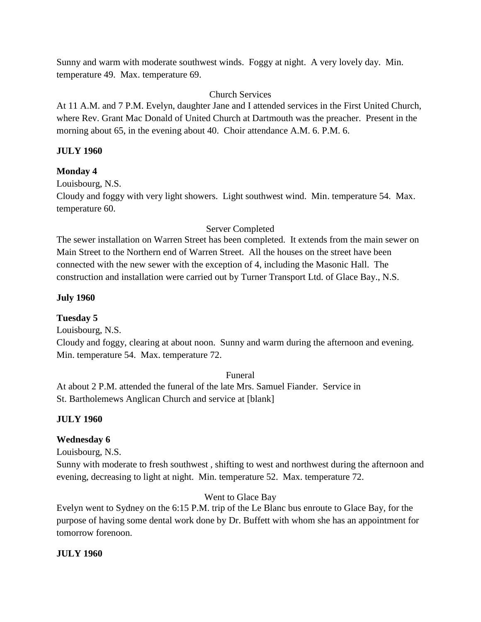Sunny and warm with moderate southwest winds. Foggy at night. A very lovely day. Min. temperature 49. Max. temperature 69.

## Church Services

At 11 A.M. and 7 P.M. Evelyn, daughter Jane and I attended services in the First United Church, where Rev. Grant Mac Donald of United Church at Dartmouth was the preacher. Present in the morning about 65, in the evening about 40. Choir attendance A.M. 6. P.M. 6.

## **JULY 1960**

## **Monday 4**

Louisbourg, N.S. Cloudy and foggy with very light showers. Light southwest wind. Min. temperature 54. Max. temperature 60.

#### Server Completed

The sewer installation on Warren Street has been completed. It extends from the main sewer on Main Street to the Northern end of Warren Street. All the houses on the street have been connected with the new sewer with the exception of 4, including the Masonic Hall. The construction and installation were carried out by Turner Transport Ltd. of Glace Bay., N.S.

## **July 1960**

#### **Tuesday 5**

Louisbourg, N.S.

Cloudy and foggy, clearing at about noon. Sunny and warm during the afternoon and evening. Min. temperature 54. Max. temperature 72.

#### Funeral

At about 2 P.M. attended the funeral of the late Mrs. Samuel Fiander. Service in St. Bartholemews Anglican Church and service at [blank]

#### **JULY 1960**

## **Wednesday 6**

Louisbourg, N.S.

Sunny with moderate to fresh southwest , shifting to west and northwest during the afternoon and evening, decreasing to light at night. Min. temperature 52. Max. temperature 72.

#### Went to Glace Bay

Evelyn went to Sydney on the 6:15 P.M. trip of the Le Blanc bus enroute to Glace Bay, for the purpose of having some dental work done by Dr. Buffett with whom she has an appointment for tomorrow forenoon.

#### **JULY 1960**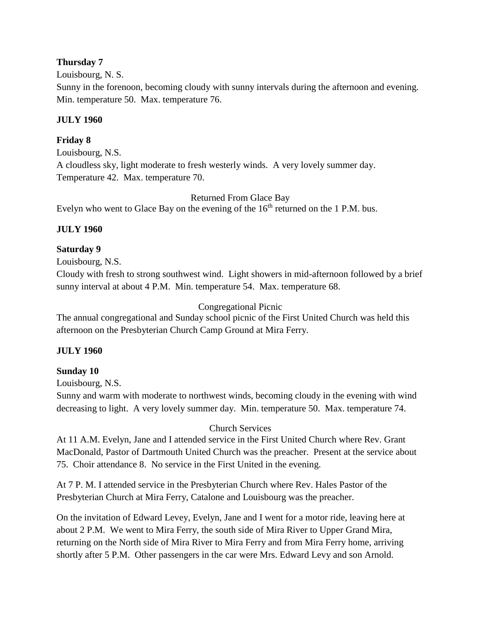#### **Thursday 7**

Louisbourg, N. S.

Sunny in the forenoon, becoming cloudy with sunny intervals during the afternoon and evening. Min. temperature 50. Max. temperature 76.

#### **JULY 1960**

#### **Friday 8**

Louisbourg, N.S. A cloudless sky, light moderate to fresh westerly winds. A very lovely summer day. Temperature 42. Max. temperature 70.

Returned From Glace Bay Evelyn who went to Glace Bay on the evening of the  $16<sup>th</sup>$  returned on the 1 P.M. bus.

#### **JULY 1960**

#### **Saturday 9**

Louisbourg, N.S.

Cloudy with fresh to strong southwest wind. Light showers in mid-afternoon followed by a brief sunny interval at about 4 P.M. Min. temperature 54. Max. temperature 68.

#### Congregational Picnic

The annual congregational and Sunday school picnic of the First United Church was held this afternoon on the Presbyterian Church Camp Ground at Mira Ferry.

#### **JULY 1960**

#### **Sunday 10**

Louisbourg, N.S.

Sunny and warm with moderate to northwest winds, becoming cloudy in the evening with wind decreasing to light. A very lovely summer day. Min. temperature 50. Max. temperature 74.

#### Church Services

At 11 A.M. Evelyn, Jane and I attended service in the First United Church where Rev. Grant MacDonald, Pastor of Dartmouth United Church was the preacher. Present at the service about 75. Choir attendance 8. No service in the First United in the evening.

At 7 P. M. I attended service in the Presbyterian Church where Rev. Hales Pastor of the Presbyterian Church at Mira Ferry, Catalone and Louisbourg was the preacher.

On the invitation of Edward Levey, Evelyn, Jane and I went for a motor ride, leaving here at about 2 P.M. We went to Mira Ferry, the south side of Mira River to Upper Grand Mira, returning on the North side of Mira River to Mira Ferry and from Mira Ferry home, arriving shortly after 5 P.M. Other passengers in the car were Mrs. Edward Levy and son Arnold.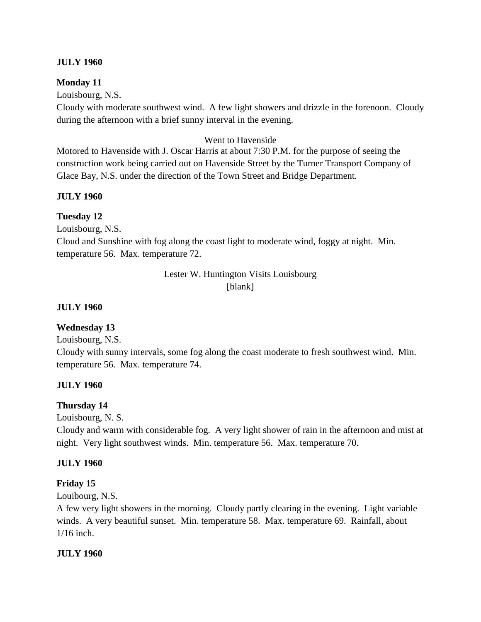#### **JULY 1960**

#### **Monday 11**

Louisbourg, N.S.

Cloudy with moderate southwest wind. A few light showers and drizzle in the forenoon. Cloudy during the afternoon with a brief sunny interval in the evening.

#### Went to Havenside

Motored to Havenside with J. Oscar Harris at about 7:30 P.M. for the purpose of seeing the construction work being carried out on Havenside Street by the Turner Transport Company of Glace Bay, N.S. under the direction of the Town Street and Bridge Department.

#### **JULY 1960**

#### **Tuesday 12**

Louisbourg, N.S.

Cloud and Sunshine with fog along the coast light to moderate wind, foggy at night. Min. temperature 56. Max. temperature 72.

> Lester W. Huntington Visits Louisbourg [blank]

#### **JULY 1960**

#### **Wednesday 13**

Louisbourg, N.S.

Cloudy with sunny intervals, some fog along the coast moderate to fresh southwest wind. Min. temperature 56. Max. temperature 74.

#### **JULY 1960**

#### **Thursday 14**

Louisbourg, N. S.

Cloudy and warm with considerable fog. A very light shower of rain in the afternoon and mist at night. Very light southwest winds. Min. temperature 56. Max. temperature 70.

#### **JULY 1960**

#### **Friday 15**

Louibourg, N.S.

A few very light showers in the morning. Cloudy partly clearing in the evening. Light variable winds. A very beautiful sunset. Min. temperature 58. Max. temperature 69. Rainfall, about 1/16 inch.

#### **JULY 1960**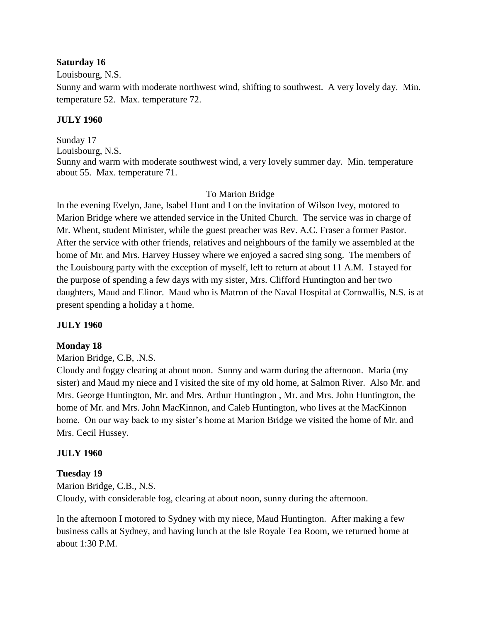#### **Saturday 16**

Louisbourg, N.S.

Sunny and warm with moderate northwest wind, shifting to southwest. A very lovely day. Min. temperature 52. Max. temperature 72.

#### **JULY 1960**

Sunday 17 Louisbourg, N.S. Sunny and warm with moderate southwest wind, a very lovely summer day. Min. temperature about 55. Max. temperature 71.

#### To Marion Bridge

In the evening Evelyn, Jane, Isabel Hunt and I on the invitation of Wilson Ivey, motored to Marion Bridge where we attended service in the United Church. The service was in charge of Mr. Whent, student Minister, while the guest preacher was Rev. A.C. Fraser a former Pastor. After the service with other friends, relatives and neighbours of the family we assembled at the home of Mr. and Mrs. Harvey Hussey where we enjoyed a sacred sing song. The members of the Louisbourg party with the exception of myself, left to return at about 11 A.M. I stayed for the purpose of spending a few days with my sister, Mrs. Clifford Huntington and her two daughters, Maud and Elinor. Maud who is Matron of the Naval Hospital at Cornwallis, N.S. is at present spending a holiday a t home.

#### **JULY 1960**

#### **Monday 18**

Marion Bridge, C.B, .N.S.

Cloudy and foggy clearing at about noon. Sunny and warm during the afternoon. Maria (my sister) and Maud my niece and I visited the site of my old home, at Salmon River. Also Mr. and Mrs. George Huntington, Mr. and Mrs. Arthur Huntington , Mr. and Mrs. John Huntington, the home of Mr. and Mrs. John MacKinnon, and Caleb Huntington, who lives at the MacKinnon home. On our way back to my sister's home at Marion Bridge we visited the home of Mr. and Mrs. Cecil Hussey.

#### **JULY 1960**

#### **Tuesday 19**

Marion Bridge, C.B., N.S. Cloudy, with considerable fog, clearing at about noon, sunny during the afternoon.

In the afternoon I motored to Sydney with my niece, Maud Huntington. After making a few business calls at Sydney, and having lunch at the Isle Royale Tea Room, we returned home at about 1:30 P.M.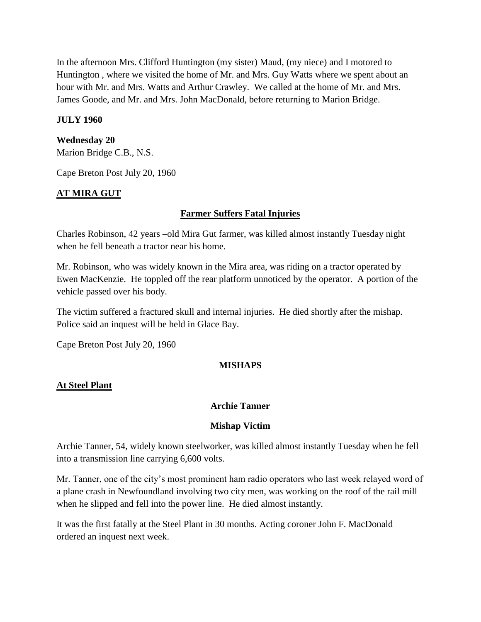In the afternoon Mrs. Clifford Huntington (my sister) Maud, (my niece) and I motored to Huntington , where we visited the home of Mr. and Mrs. Guy Watts where we spent about an hour with Mr. and Mrs. Watts and Arthur Crawley. We called at the home of Mr. and Mrs. James Goode, and Mr. and Mrs. John MacDonald, before returning to Marion Bridge.

#### **JULY 1960**

#### **Wednesday 20**

Marion Bridge C.B., N.S.

Cape Breton Post July 20, 1960

#### **AT MIRA GUT**

#### **Farmer Suffers Fatal Injuries**

Charles Robinson, 42 years –old Mira Gut farmer, was killed almost instantly Tuesday night when he fell beneath a tractor near his home.

Mr. Robinson, who was widely known in the Mira area, was riding on a tractor operated by Ewen MacKenzie. He toppled off the rear platform unnoticed by the operator. A portion of the vehicle passed over his body.

The victim suffered a fractured skull and internal injuries. He died shortly after the mishap. Police said an inquest will be held in Glace Bay.

Cape Breton Post July 20, 1960

#### **MISHAPS**

#### **At Steel Plant**

#### **Archie Tanner**

#### **Mishap Victim**

Archie Tanner, 54, widely known steelworker, was killed almost instantly Tuesday when he fell into a transmission line carrying 6,600 volts.

Mr. Tanner, one of the city's most prominent ham radio operators who last week relayed word of a plane crash in Newfoundland involving two city men, was working on the roof of the rail mill when he slipped and fell into the power line. He died almost instantly.

It was the first fatally at the Steel Plant in 30 months. Acting coroner John F. MacDonald ordered an inquest next week.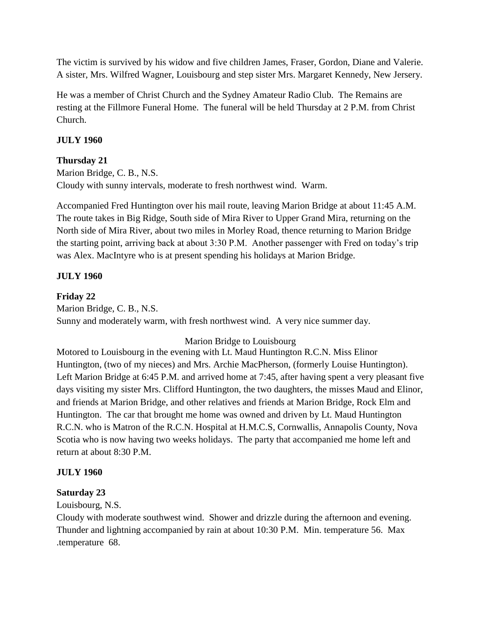The victim is survived by his widow and five children James, Fraser, Gordon, Diane and Valerie. A sister, Mrs. Wilfred Wagner, Louisbourg and step sister Mrs. Margaret Kennedy, New Jersery.

He was a member of Christ Church and the Sydney Amateur Radio Club. The Remains are resting at the Fillmore Funeral Home. The funeral will be held Thursday at 2 P.M. from Christ Church.

## **JULY 1960**

## **Thursday 21**

Marion Bridge, C. B., N.S. Cloudy with sunny intervals, moderate to fresh northwest wind. Warm.

Accompanied Fred Huntington over his mail route, leaving Marion Bridge at about 11:45 A.M. The route takes in Big Ridge, South side of Mira River to Upper Grand Mira, returning on the North side of Mira River, about two miles in Morley Road, thence returning to Marion Bridge the starting point, arriving back at about 3:30 P.M. Another passenger with Fred on today's trip was Alex. MacIntyre who is at present spending his holidays at Marion Bridge.

## **JULY 1960**

## **Friday 22**

Marion Bridge, C. B., N.S. Sunny and moderately warm, with fresh northwest wind. A very nice summer day.

#### Marion Bridge to Louisbourg

Motored to Louisbourg in the evening with Lt. Maud Huntington R.C.N. Miss Elinor Huntington, (two of my nieces) and Mrs. Archie MacPherson, (formerly Louise Huntington). Left Marion Bridge at 6:45 P.M. and arrived home at 7:45, after having spent a very pleasant five days visiting my sister Mrs. Clifford Huntington, the two daughters, the misses Maud and Elinor, and friends at Marion Bridge, and other relatives and friends at Marion Bridge, Rock Elm and Huntington. The car that brought me home was owned and driven by Lt. Maud Huntington R.C.N. who is Matron of the R.C.N. Hospital at H.M.C.S, Cornwallis, Annapolis County, Nova Scotia who is now having two weeks holidays. The party that accompanied me home left and return at about 8:30 P.M.

#### **JULY 1960**

#### **Saturday 23**

Louisbourg, N.S.

Cloudy with moderate southwest wind. Shower and drizzle during the afternoon and evening. Thunder and lightning accompanied by rain at about 10:30 P.M. Min. temperature 56. Max .temperature 68.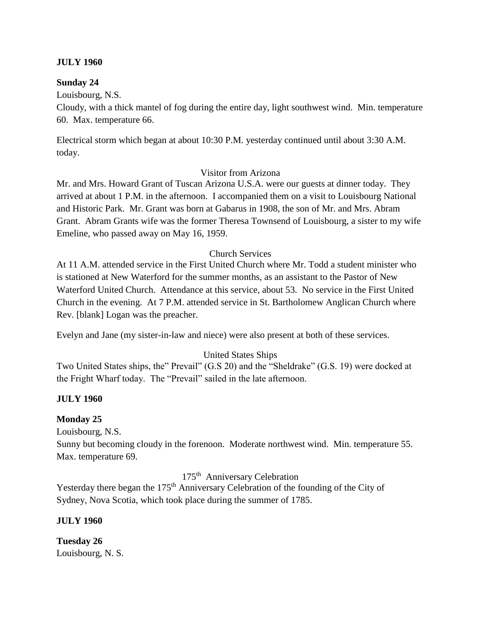#### **JULY 1960**

#### **Sunday 24**

Louisbourg, N.S.

Cloudy, with a thick mantel of fog during the entire day, light southwest wind. Min. temperature 60. Max. temperature 66.

Electrical storm which began at about 10:30 P.M. yesterday continued until about 3:30 A.M. today.

#### Visitor from Arizona

Mr. and Mrs. Howard Grant of Tuscan Arizona U.S.A. were our guests at dinner today. They arrived at about 1 P.M. in the afternoon. I accompanied them on a visit to Louisbourg National and Historic Park. Mr. Grant was born at Gabarus in 1908, the son of Mr. and Mrs. Abram Grant. Abram Grants wife was the former Theresa Townsend of Louisbourg, a sister to my wife Emeline, who passed away on May 16, 1959.

#### Church Services

At 11 A.M. attended service in the First United Church where Mr. Todd a student minister who is stationed at New Waterford for the summer months, as an assistant to the Pastor of New Waterford United Church. Attendance at this service, about 53. No service in the First United Church in the evening. At 7 P.M. attended service in St. Bartholomew Anglican Church where Rev. [blank] Logan was the preacher.

Evelyn and Jane (my sister-in-law and niece) were also present at both of these services.

#### United States Ships

Two United States ships, the" Prevail" (G.S 20) and the "Sheldrake" (G.S. 19) were docked at the Fright Wharf today. The "Prevail" sailed in the late afternoon.

#### **JULY 1960**

#### **Monday 25**

Louisbourg, N.S.

Sunny but becoming cloudy in the forenoon. Moderate northwest wind. Min. temperature 55. Max. temperature 69.

175th Anniversary Celebration

Yesterday there began the 175<sup>th</sup> Anniversary Celebration of the founding of the City of Sydney, Nova Scotia, which took place during the summer of 1785.

#### **JULY 1960**

**Tuesday 26** Louisbourg, N. S.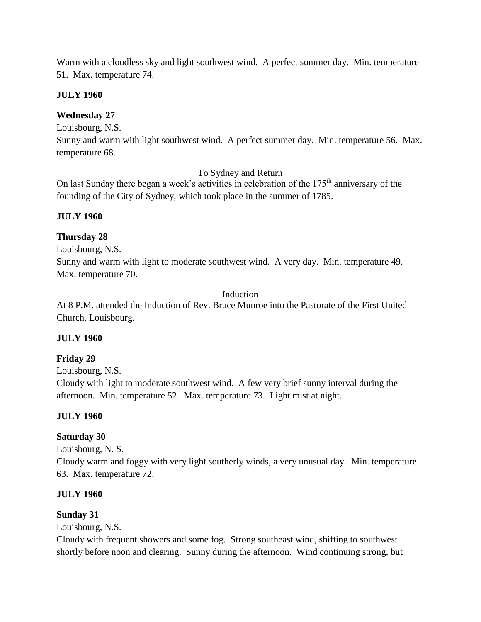Warm with a cloudless sky and light southwest wind. A perfect summer day. Min. temperature 51. Max. temperature 74.

#### **JULY 1960**

## **Wednesday 27**

Louisbourg, N.S.

Sunny and warm with light southwest wind. A perfect summer day. Min. temperature 56. Max. temperature 68.

To Sydney and Return

On last Sunday there began a week's activities in celebration of the 175<sup>th</sup> anniversary of the founding of the City of Sydney, which took place in the summer of 1785.

#### **JULY 1960**

#### **Thursday 28**

Louisbourg, N.S.

Sunny and warm with light to moderate southwest wind. A very day. Min. temperature 49. Max. temperature 70.

#### Induction

At 8 P.M. attended the Induction of Rev. Bruce Munroe into the Pastorate of the First United Church, Louisbourg.

#### **JULY 1960**

**Friday 29**

Louisbourg, N.S.

Cloudy with light to moderate southwest wind. A few very brief sunny interval during the afternoon. Min. temperature 52. Max. temperature 73. Light mist at night.

#### **JULY 1960**

#### **Saturday 30**

Louisbourg, N. S.

Cloudy warm and foggy with very light southerly winds, a very unusual day. Min. temperature 63. Max. temperature 72.

#### **JULY 1960**

#### **Sunday 31**

Louisbourg, N.S.

Cloudy with frequent showers and some fog. Strong southeast wind, shifting to southwest shortly before noon and clearing. Sunny during the afternoon. Wind continuing strong, but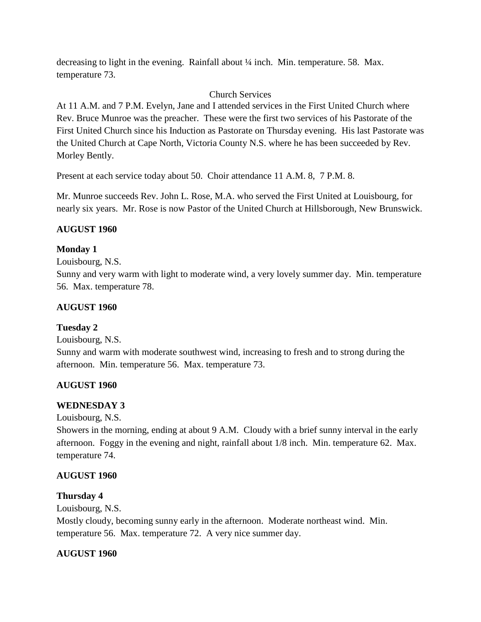decreasing to light in the evening. Rainfall about ¼ inch. Min. temperature. 58. Max. temperature 73.

## Church Services

At 11 A.M. and 7 P.M. Evelyn, Jane and I attended services in the First United Church where Rev. Bruce Munroe was the preacher. These were the first two services of his Pastorate of the First United Church since his Induction as Pastorate on Thursday evening. His last Pastorate was the United Church at Cape North, Victoria County N.S. where he has been succeeded by Rev. Morley Bently.

Present at each service today about 50. Choir attendance 11 A.M. 8, 7 P.M. 8.

Mr. Munroe succeeds Rev. John L. Rose, M.A. who served the First United at Louisbourg, for nearly six years. Mr. Rose is now Pastor of the United Church at Hillsborough, New Brunswick.

## **AUGUST 1960**

## **Monday 1**

Louisbourg, N.S.

Sunny and very warm with light to moderate wind, a very lovely summer day. Min. temperature 56. Max. temperature 78.

## **AUGUST 1960**

## **Tuesday 2**

Louisbourg, N.S.

Sunny and warm with moderate southwest wind, increasing to fresh and to strong during the afternoon. Min. temperature 56. Max. temperature 73.

## **AUGUST 1960**

## **WEDNESDAY 3**

Louisbourg, N.S.

Showers in the morning, ending at about 9 A.M. Cloudy with a brief sunny interval in the early afternoon. Foggy in the evening and night, rainfall about 1/8 inch. Min. temperature 62. Max. temperature 74.

## **AUGUST 1960**

## **Thursday 4**

Louisbourg, N.S.

Mostly cloudy, becoming sunny early in the afternoon. Moderate northeast wind. Min. temperature 56. Max. temperature 72. A very nice summer day.

## **AUGUST 1960**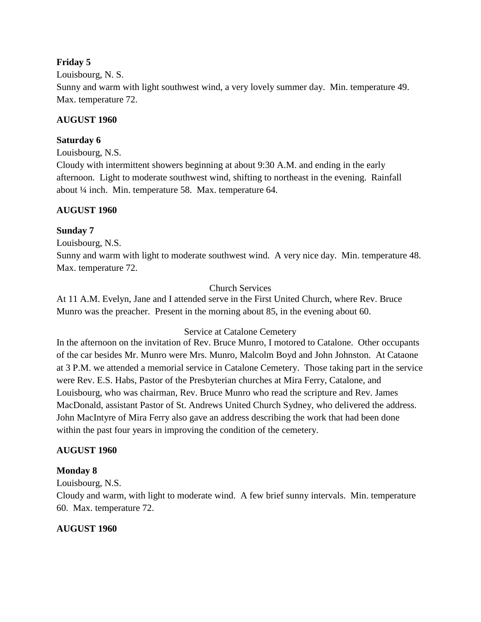#### **Friday 5**

Louisbourg, N. S.

Sunny and warm with light southwest wind, a very lovely summer day. Min. temperature 49. Max. temperature 72.

#### **AUGUST 1960**

#### **Saturday 6**

Louisbourg, N.S.

Cloudy with intermittent showers beginning at about 9:30 A.M. and ending in the early afternoon. Light to moderate southwest wind, shifting to northeast in the evening. Rainfall about ¼ inch. Min. temperature 58. Max. temperature 64.

#### **AUGUST 1960**

#### **Sunday 7**

Louisbourg, N.S.

Sunny and warm with light to moderate southwest wind. A very nice day. Min. temperature 48. Max. temperature 72.

#### Church Services

At 11 A.M. Evelyn, Jane and I attended serve in the First United Church, where Rev. Bruce Munro was the preacher. Present in the morning about 85, in the evening about 60.

#### Service at Catalone Cemetery

In the afternoon on the invitation of Rev. Bruce Munro, I motored to Catalone. Other occupants of the car besides Mr. Munro were Mrs. Munro, Malcolm Boyd and John Johnston. At Cataone at 3 P.M. we attended a memorial service in Catalone Cemetery. Those taking part in the service were Rev. E.S. Habs, Pastor of the Presbyterian churches at Mira Ferry, Catalone, and Louisbourg, who was chairman, Rev. Bruce Munro who read the scripture and Rev. James MacDonald, assistant Pastor of St. Andrews United Church Sydney, who delivered the address. John MacIntyre of Mira Ferry also gave an address describing the work that had been done within the past four years in improving the condition of the cemetery.

#### **AUGUST 1960**

#### **Monday 8**

Louisbourg, N.S.

Cloudy and warm, with light to moderate wind. A few brief sunny intervals. Min. temperature 60. Max. temperature 72.

#### **AUGUST 1960**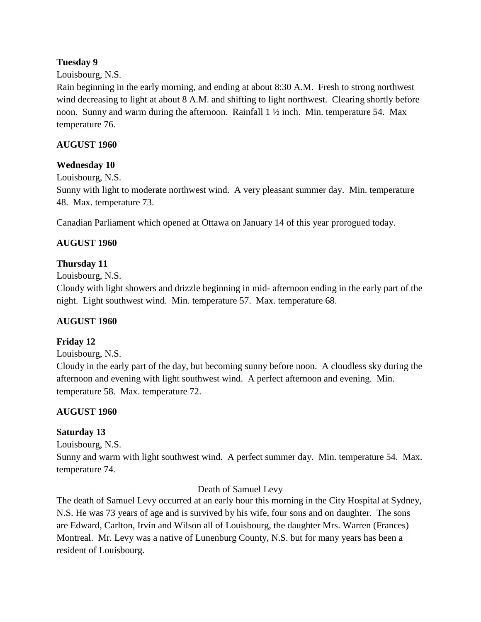## **Tuesday 9**

#### Louisbourg, N.S.

Rain beginning in the early morning, and ending at about 8:30 A.M. Fresh to strong northwest wind decreasing to light at about 8 A.M. and shifting to light northwest. Clearing shortly before noon. Sunny and warm during the afternoon. Rainfall 1 ½ inch. Min. temperature 54. Max temperature 76.

## **AUGUST 1960**

#### **Wednesday 10**

Louisbourg, N.S. Sunny with light to moderate northwest wind. A very pleasant summer day. Min. temperature 48. Max. temperature 73.

Canadian Parliament which opened at Ottawa on January 14 of this year prorogued today.

## **AUGUST 1960**

## **Thursday 11**

Louisbourg, N.S.

Cloudy with light showers and drizzle beginning in mid- afternoon ending in the early part of the night. Light southwest wind. Min. temperature 57. Max. temperature 68.

#### **AUGUST 1960**

#### **Friday 12**

Louisbourg, N.S.

Cloudy in the early part of the day, but becoming sunny before noon. A cloudless sky during the afternoon and evening with light southwest wind. A perfect afternoon and evening. Min. temperature 58. Max. temperature 72.

## **AUGUST 1960**

#### **Saturday 13**

Louisbourg, N.S.

Sunny and warm with light southwest wind. A perfect summer day. Min. temperature 54. Max. temperature 74.

#### Death of Samuel Levy

The death of Samuel Levy occurred at an early hour this morning in the City Hospital at Sydney, N.S. He was 73 years of age and is survived by his wife, four sons and on daughter. The sons are Edward, Carlton, Irvin and Wilson all of Louisbourg, the daughter Mrs. Warren (Frances) Montreal. Mr. Levy was a native of Lunenburg County, N.S. but for many years has been a resident of Louisbourg.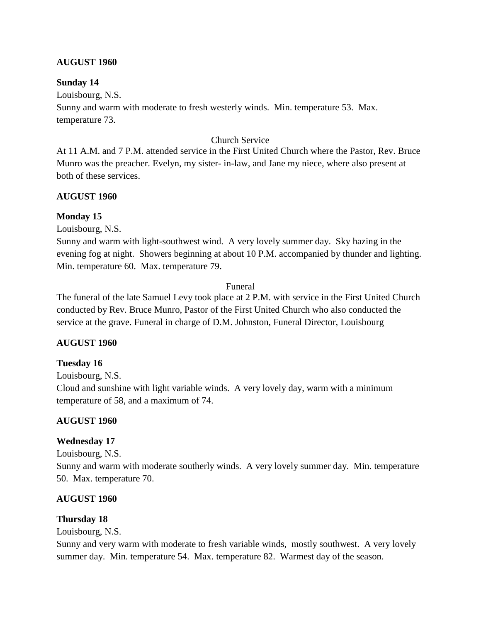#### **AUGUST 1960**

#### **Sunday 14**

Louisbourg, N.S.

Sunny and warm with moderate to fresh westerly winds. Min. temperature 53. Max. temperature 73.

#### Church Service

At 11 A.M. and 7 P.M. attended service in the First United Church where the Pastor, Rev. Bruce Munro was the preacher. Evelyn, my sister- in-law, and Jane my niece, where also present at both of these services.

#### **AUGUST 1960**

#### **Monday 15**

Louisbourg, N.S.

Sunny and warm with light-southwest wind. A very lovely summer day. Sky hazing in the evening fog at night. Showers beginning at about 10 P.M. accompanied by thunder and lighting. Min. temperature 60. Max. temperature 79.

#### Funeral

The funeral of the late Samuel Levy took place at 2 P.M. with service in the First United Church conducted by Rev. Bruce Munro, Pastor of the First United Church who also conducted the service at the grave. Funeral in charge of D.M. Johnston, Funeral Director, Louisbourg

#### **AUGUST 1960**

#### **Tuesday 16**

Louisbourg, N.S.

Cloud and sunshine with light variable winds. A very lovely day, warm with a minimum temperature of 58, and a maximum of 74.

#### **AUGUST 1960**

#### **Wednesday 17**

Louisbourg, N.S.

Sunny and warm with moderate southerly winds. A very lovely summer day. Min. temperature 50. Max. temperature 70.

#### **AUGUST 1960**

#### **Thursday 18**

Louisbourg, N.S.

Sunny and very warm with moderate to fresh variable winds, mostly southwest. A very lovely summer day. Min. temperature 54. Max. temperature 82. Warmest day of the season.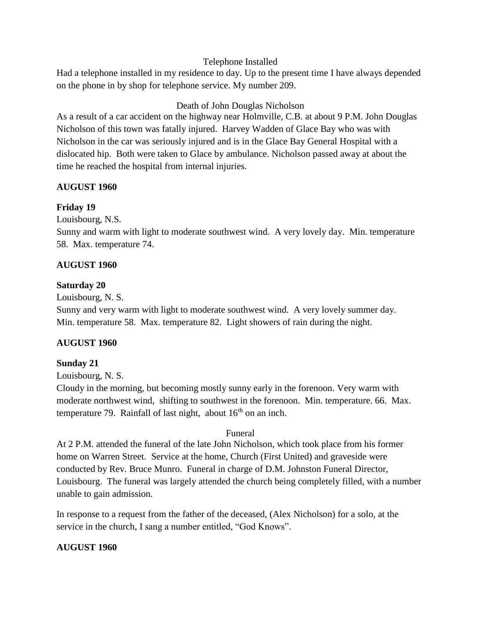#### Telephone Installed

Had a telephone installed in my residence to day. Up to the present time I have always depended on the phone in by shop for telephone service. My number 209.

#### Death of John Douglas Nicholson

As a result of a car accident on the highway near Holmville, C.B. at about 9 P.M. John Douglas Nicholson of this town was fatally injured. Harvey Wadden of Glace Bay who was with Nicholson in the car was seriously injured and is in the Glace Bay General Hospital with a dislocated hip. Both were taken to Glace by ambulance. Nicholson passed away at about the time he reached the hospital from internal injuries.

#### **AUGUST 1960**

#### **Friday 19**

Louisbourg, N.S.

Sunny and warm with light to moderate southwest wind. A very lovely day. Min. temperature 58. Max. temperature 74.

#### **AUGUST 1960**

#### **Saturday 20**

Louisbourg, N. S.

Sunny and very warm with light to moderate southwest wind. A very lovely summer day. Min. temperature 58. Max. temperature 82. Light showers of rain during the night.

#### **AUGUST 1960**

#### **Sunday 21**

Louisbourg, N. S.

Cloudy in the morning, but becoming mostly sunny early in the forenoon. Very warm with moderate northwest wind, shifting to southwest in the forenoon. Min. temperature. 66. Max. temperature 79. Rainfall of last night, about  $16<sup>th</sup>$  on an inch.

#### Funeral

At 2 P.M. attended the funeral of the late John Nicholson, which took place from his former home on Warren Street. Service at the home, Church (First United) and graveside were conducted by Rev. Bruce Munro. Funeral in charge of D.M. Johnston Funeral Director, Louisbourg. The funeral was largely attended the church being completely filled, with a number unable to gain admission.

In response to a request from the father of the deceased, (Alex Nicholson) for a solo, at the service in the church, I sang a number entitled, "God Knows".

#### **AUGUST 1960**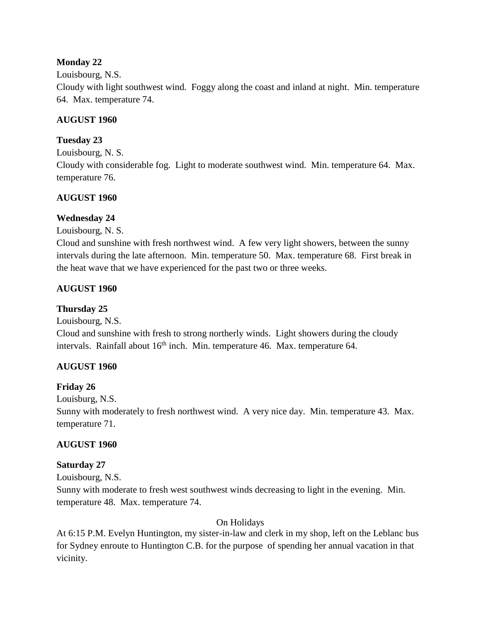## **Monday 22**

#### Louisbourg, N.S.

Cloudy with light southwest wind. Foggy along the coast and inland at night. Min. temperature 64. Max. temperature 74.

## **AUGUST 1960**

## **Tuesday 23**

Louisbourg, N. S.

Cloudy with considerable fog. Light to moderate southwest wind. Min. temperature 64. Max. temperature 76.

## **AUGUST 1960**

## **Wednesday 24**

Louisbourg, N. S.

Cloud and sunshine with fresh northwest wind. A few very light showers, between the sunny intervals during the late afternoon. Min. temperature 50. Max. temperature 68. First break in the heat wave that we have experienced for the past two or three weeks.

## **AUGUST 1960**

## **Thursday 25**

Louisbourg, N.S.

Cloud and sunshine with fresh to strong northerly winds. Light showers during the cloudy intervals. Rainfall about  $16<sup>th</sup>$  inch. Min. temperature 46. Max. temperature 64.

## **AUGUST 1960**

## **Friday 26**

Louisburg, N.S.

Sunny with moderately to fresh northwest wind. A very nice day. Min. temperature 43. Max. temperature 71.

## **AUGUST 1960**

## **Saturday 27**

Louisbourg, N.S. Sunny with moderate to fresh west southwest winds decreasing to light in the evening. Min. temperature 48. Max. temperature 74.

## On Holidays

At 6:15 P.M. Evelyn Huntington, my sister-in-law and clerk in my shop, left on the Leblanc bus for Sydney enroute to Huntington C.B. for the purpose of spending her annual vacation in that vicinity.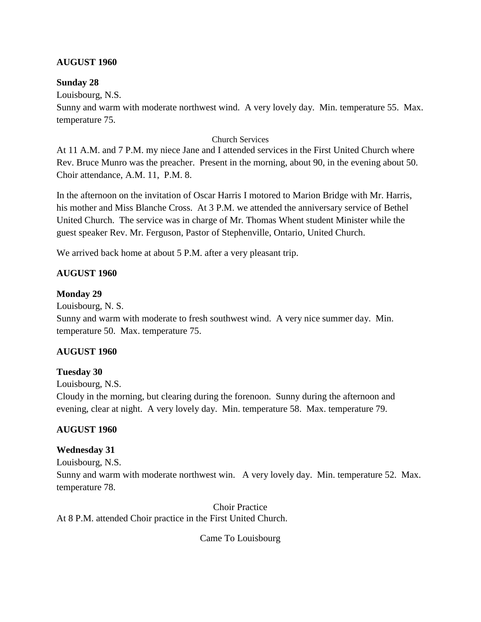#### **AUGUST 1960**

#### **Sunday 28**

Louisbourg, N.S.

Sunny and warm with moderate northwest wind. A very lovely day. Min. temperature 55. Max. temperature 75.

#### Church Services

At 11 A.M. and 7 P.M. my niece Jane and I attended services in the First United Church where Rev. Bruce Munro was the preacher. Present in the morning, about 90, in the evening about 50. Choir attendance, A.M. 11, P.M. 8.

In the afternoon on the invitation of Oscar Harris I motored to Marion Bridge with Mr. Harris, his mother and Miss Blanche Cross. At 3 P.M. we attended the anniversary service of Bethel United Church. The service was in charge of Mr. Thomas Whent student Minister while the guest speaker Rev. Mr. Ferguson, Pastor of Stephenville, Ontario, United Church.

We arrived back home at about 5 P.M. after a very pleasant trip.

#### **AUGUST 1960**

#### **Monday 29**

Louisbourg, N. S.

Sunny and warm with moderate to fresh southwest wind. A very nice summer day. Min. temperature 50. Max. temperature 75.

#### **AUGUST 1960**

#### **Tuesday 30**

Louisbourg, N.S.

Cloudy in the morning, but clearing during the forenoon. Sunny during the afternoon and evening, clear at night. A very lovely day. Min. temperature 58. Max. temperature 79.

#### **AUGUST 1960**

#### **Wednesday 31**

Louisbourg, N.S.

Sunny and warm with moderate northwest win. A very lovely day. Min. temperature 52. Max. temperature 78.

Choir Practice At 8 P.M. attended Choir practice in the First United Church.

Came To Louisbourg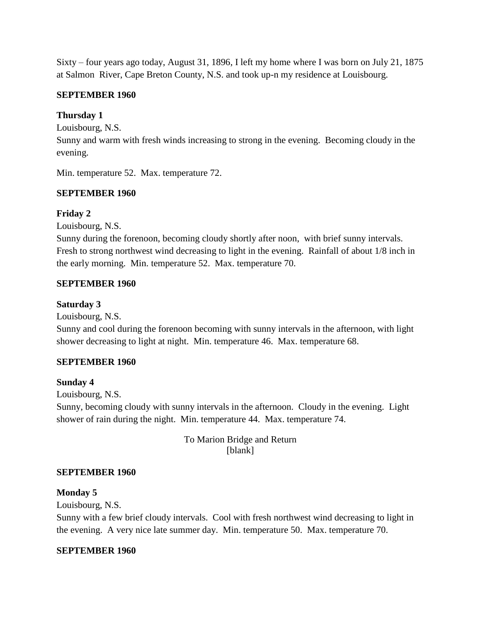Sixty – four years ago today, August 31, 1896, I left my home where I was born on July 21, 1875 at Salmon River, Cape Breton County, N.S. and took up-n my residence at Louisbourg.

#### **SEPTEMBER 1960**

## **Thursday 1**

Louisbourg, N.S.

Sunny and warm with fresh winds increasing to strong in the evening. Becoming cloudy in the evening.

Min. temperature 52. Max. temperature 72.

#### **SEPTEMBER 1960**

#### **Friday 2**

Louisbourg, N.S.

Sunny during the forenoon, becoming cloudy shortly after noon, with brief sunny intervals. Fresh to strong northwest wind decreasing to light in the evening. Rainfall of about 1/8 inch in the early morning. Min. temperature 52. Max. temperature 70.

#### **SEPTEMBER 1960**

#### **Saturday 3**

Louisbourg, N.S.

Sunny and cool during the forenoon becoming with sunny intervals in the afternoon, with light shower decreasing to light at night. Min. temperature 46. Max. temperature 68.

#### **SEPTEMBER 1960**

#### **Sunday 4**

Louisbourg, N.S.

Sunny, becoming cloudy with sunny intervals in the afternoon. Cloudy in the evening. Light shower of rain during the night. Min. temperature 44. Max. temperature 74.

> To Marion Bridge and Return [blank]

#### **SEPTEMBER 1960**

#### **Monday 5**

Louisbourg, N.S.

Sunny with a few brief cloudy intervals. Cool with fresh northwest wind decreasing to light in the evening. A very nice late summer day. Min. temperature 50. Max. temperature 70.

#### **SEPTEMBER 1960**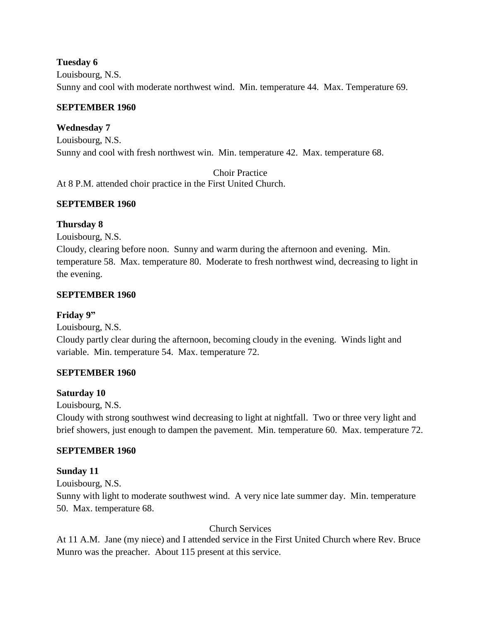#### **Tuesday 6**

Louisbourg, N.S. Sunny and cool with moderate northwest wind. Min. temperature 44. Max. Temperature 69.

#### **SEPTEMBER 1960**

#### **Wednesday 7**

Louisbourg, N.S. Sunny and cool with fresh northwest win. Min. temperature 42. Max. temperature 68.

Choir Practice At 8 P.M. attended choir practice in the First United Church.

#### **SEPTEMBER 1960**

#### **Thursday 8**

Louisbourg, N.S.

Cloudy, clearing before noon. Sunny and warm during the afternoon and evening. Min. temperature 58. Max. temperature 80. Moderate to fresh northwest wind, decreasing to light in the evening.

#### **SEPTEMBER 1960**

#### **Friday 9"**

Louisbourg, N.S.

Cloudy partly clear during the afternoon, becoming cloudy in the evening. Winds light and variable. Min. temperature 54. Max. temperature 72.

#### **SEPTEMBER 1960**

#### **Saturday 10**

Louisbourg, N.S.

Cloudy with strong southwest wind decreasing to light at nightfall. Two or three very light and brief showers, just enough to dampen the pavement. Min. temperature 60. Max. temperature 72.

#### **SEPTEMBER 1960**

#### **Sunday 11**

Louisbourg, N.S.

Sunny with light to moderate southwest wind. A very nice late summer day. Min. temperature 50. Max. temperature 68.

#### Church Services

At 11 A.M. Jane (my niece) and I attended service in the First United Church where Rev. Bruce Munro was the preacher. About 115 present at this service.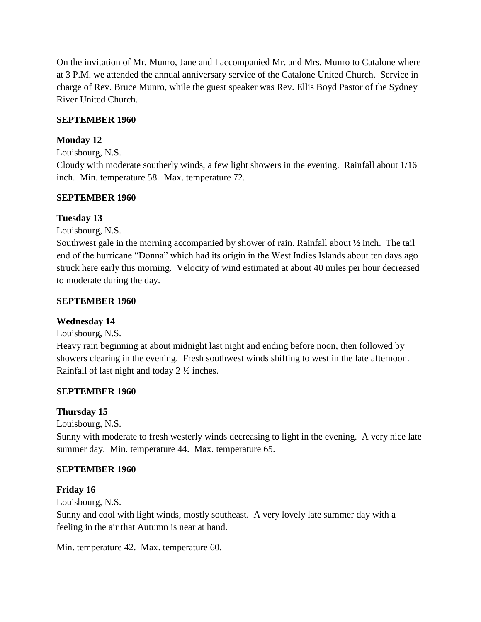On the invitation of Mr. Munro, Jane and I accompanied Mr. and Mrs. Munro to Catalone where at 3 P.M. we attended the annual anniversary service of the Catalone United Church. Service in charge of Rev. Bruce Munro, while the guest speaker was Rev. Ellis Boyd Pastor of the Sydney River United Church.

#### **SEPTEMBER 1960**

#### **Monday 12**

Louisbourg, N.S.

Cloudy with moderate southerly winds, a few light showers in the evening. Rainfall about 1/16 inch. Min. temperature 58. Max. temperature 72.

#### **SEPTEMBER 1960**

#### **Tuesday 13**

Louisbourg, N.S.

Southwest gale in the morning accompanied by shower of rain. Rainfall about ½ inch. The tail end of the hurricane "Donna" which had its origin in the West Indies Islands about ten days ago struck here early this morning. Velocity of wind estimated at about 40 miles per hour decreased to moderate during the day.

#### **SEPTEMBER 1960**

#### **Wednesday 14**

Louisbourg, N.S.

Heavy rain beginning at about midnight last night and ending before noon, then followed by showers clearing in the evening. Fresh southwest winds shifting to west in the late afternoon. Rainfall of last night and today 2 ½ inches.

#### **SEPTEMBER 1960**

#### **Thursday 15**

Louisbourg, N.S.

Sunny with moderate to fresh westerly winds decreasing to light in the evening. A very nice late summer day. Min. temperature 44. Max. temperature 65.

#### **SEPTEMBER 1960**

#### **Friday 16**

Louisbourg, N.S.

Sunny and cool with light winds, mostly southeast. A very lovely late summer day with a feeling in the air that Autumn is near at hand.

Min. temperature 42. Max. temperature 60.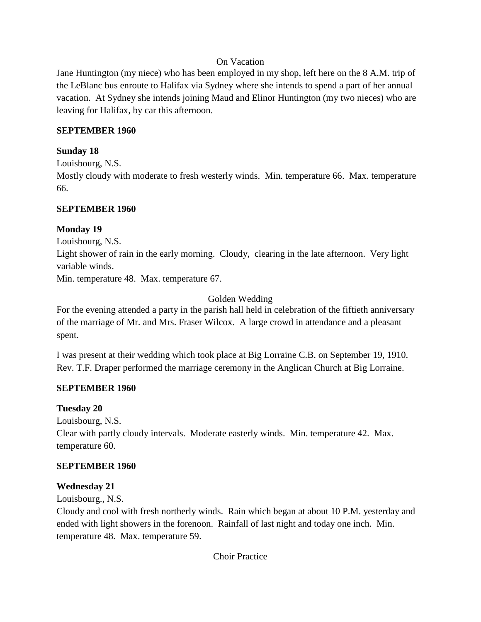#### On Vacation

Jane Huntington (my niece) who has been employed in my shop, left here on the 8 A.M. trip of the LeBlanc bus enroute to Halifax via Sydney where she intends to spend a part of her annual vacation. At Sydney she intends joining Maud and Elinor Huntington (my two nieces) who are leaving for Halifax, by car this afternoon.

#### **SEPTEMBER 1960**

#### **Sunday 18**

Louisbourg, N.S.

Mostly cloudy with moderate to fresh westerly winds. Min. temperature 66. Max. temperature 66.

#### **SEPTEMBER 1960**

#### **Monday 19**

Louisbourg, N.S.

Light shower of rain in the early morning. Cloudy, clearing in the late afternoon. Very light variable winds.

Min. temperature 48. Max. temperature 67.

Golden Wedding

For the evening attended a party in the parish hall held in celebration of the fiftieth anniversary of the marriage of Mr. and Mrs. Fraser Wilcox. A large crowd in attendance and a pleasant spent.

I was present at their wedding which took place at Big Lorraine C.B. on September 19, 1910. Rev. T.F. Draper performed the marriage ceremony in the Anglican Church at Big Lorraine.

#### **SEPTEMBER 1960**

#### **Tuesday 20**

Louisbourg, N.S. Clear with partly cloudy intervals. Moderate easterly winds. Min. temperature 42. Max. temperature 60.

#### **SEPTEMBER 1960**

#### **Wednesday 21**

Louisbourg., N.S.

Cloudy and cool with fresh northerly winds. Rain which began at about 10 P.M. yesterday and ended with light showers in the forenoon. Rainfall of last night and today one inch. Min. temperature 48. Max. temperature 59.

Choir Practice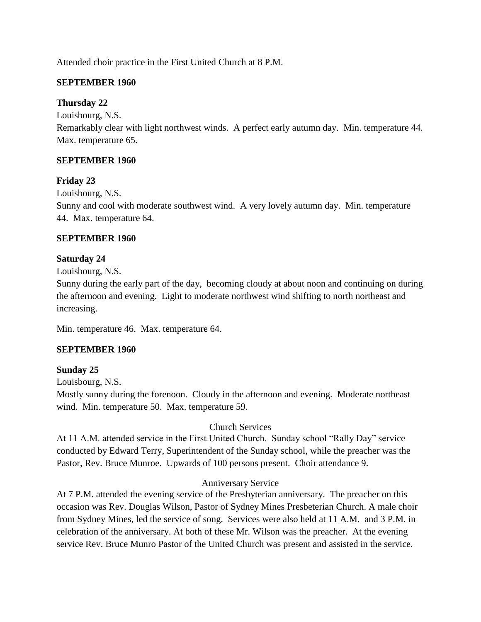Attended choir practice in the First United Church at 8 P.M.

## **SEPTEMBER 1960**

## **Thursday 22**

Louisbourg, N.S.

Remarkably clear with light northwest winds. A perfect early autumn day. Min. temperature 44. Max. temperature 65.

## **SEPTEMBER 1960**

## **Friday 23**

Louisbourg, N.S.

Sunny and cool with moderate southwest wind. A very lovely autumn day. Min. temperature 44. Max. temperature 64.

## **SEPTEMBER 1960**

## **Saturday 24**

Louisbourg, N.S.

Sunny during the early part of the day, becoming cloudy at about noon and continuing on during the afternoon and evening. Light to moderate northwest wind shifting to north northeast and increasing.

Min. temperature 46. Max. temperature 64.

## **SEPTEMBER 1960**

## **Sunday 25**

Louisbourg, N.S.

Mostly sunny during the forenoon. Cloudy in the afternoon and evening. Moderate northeast wind. Min. temperature 50. Max. temperature 59.

## Church Services

At 11 A.M. attended service in the First United Church. Sunday school "Rally Day" service conducted by Edward Terry, Superintendent of the Sunday school, while the preacher was the Pastor, Rev. Bruce Munroe. Upwards of 100 persons present. Choir attendance 9.

#### Anniversary Service

At 7 P.M. attended the evening service of the Presbyterian anniversary. The preacher on this occasion was Rev. Douglas Wilson, Pastor of Sydney Mines Presbeterian Church. A male choir from Sydney Mines, led the service of song. Services were also held at 11 A.M. and 3 P.M. in celebration of the anniversary. At both of these Mr. Wilson was the preacher. At the evening service Rev. Bruce Munro Pastor of the United Church was present and assisted in the service.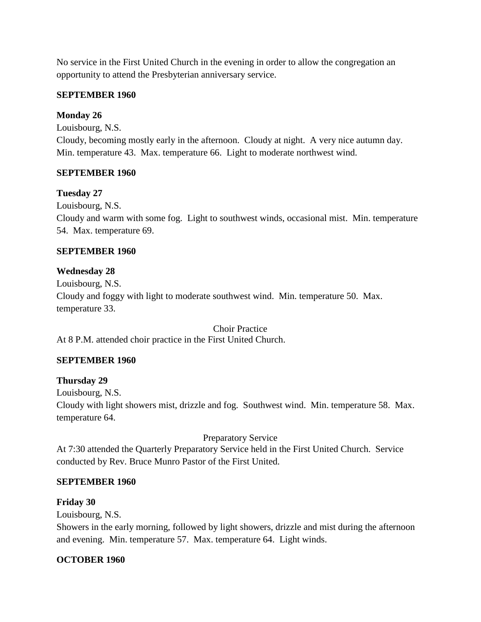No service in the First United Church in the evening in order to allow the congregation an opportunity to attend the Presbyterian anniversary service.

#### **SEPTEMBER 1960**

#### **Monday 26**

Louisbourg, N.S.

Cloudy, becoming mostly early in the afternoon. Cloudy at night. A very nice autumn day. Min. temperature 43. Max. temperature 66. Light to moderate northwest wind.

#### **SEPTEMBER 1960**

#### **Tuesday 27**

Louisbourg, N.S. Cloudy and warm with some fog. Light to southwest winds, occasional mist. Min. temperature 54. Max. temperature 69.

#### **SEPTEMBER 1960**

#### **Wednesday 28**

Louisbourg, N.S. Cloudy and foggy with light to moderate southwest wind. Min. temperature 50. Max. temperature 33.

Choir Practice At 8 P.M. attended choir practice in the First United Church.

#### **SEPTEMBER 1960**

#### **Thursday 29**

Louisbourg, N.S.

Cloudy with light showers mist, drizzle and fog. Southwest wind. Min. temperature 58. Max. temperature 64.

Preparatory Service

At 7:30 attended the Quarterly Preparatory Service held in the First United Church. Service conducted by Rev. Bruce Munro Pastor of the First United.

#### **SEPTEMBER 1960**

#### **Friday 30**

Louisbourg, N.S.

Showers in the early morning, followed by light showers, drizzle and mist during the afternoon and evening. Min. temperature 57. Max. temperature 64. Light winds.

#### **OCTOBER 1960**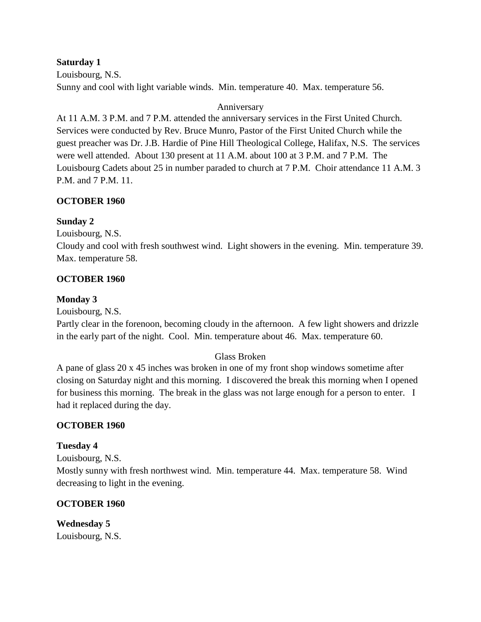#### **Saturday 1**

Louisbourg, N.S. Sunny and cool with light variable winds. Min. temperature 40. Max. temperature 56.

#### Anniversary

At 11 A.M. 3 P.M. and 7 P.M. attended the anniversary services in the First United Church. Services were conducted by Rev. Bruce Munro, Pastor of the First United Church while the guest preacher was Dr. J.B. Hardie of Pine Hill Theological College, Halifax, N.S. The services were well attended. About 130 present at 11 A.M. about 100 at 3 P.M. and 7 P.M. The Louisbourg Cadets about 25 in number paraded to church at 7 P.M. Choir attendance 11 A.M. 3 P.M. and 7 P.M. 11.

#### **OCTOBER 1960**

#### **Sunday 2**

Louisbourg, N.S.

Cloudy and cool with fresh southwest wind. Light showers in the evening. Min. temperature 39. Max. temperature 58.

#### **OCTOBER 1960**

#### **Monday 3**

Louisbourg, N.S.

Partly clear in the forenoon, becoming cloudy in the afternoon. A few light showers and drizzle in the early part of the night. Cool. Min. temperature about 46. Max. temperature 60.

#### Glass Broken

A pane of glass 20 x 45 inches was broken in one of my front shop windows sometime after closing on Saturday night and this morning. I discovered the break this morning when I opened for business this morning. The break in the glass was not large enough for a person to enter. I had it replaced during the day.

#### **OCTOBER 1960**

#### **Tuesday 4**

Louisbourg, N.S. Mostly sunny with fresh northwest wind. Min. temperature 44. Max. temperature 58. Wind decreasing to light in the evening.

#### **OCTOBER 1960**

**Wednesday 5** Louisbourg, N.S.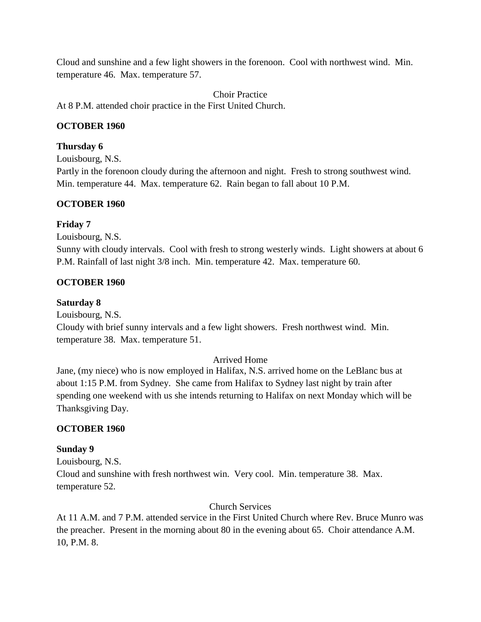Cloud and sunshine and a few light showers in the forenoon. Cool with northwest wind. Min. temperature 46. Max. temperature 57.

Choir Practice

At 8 P.M. attended choir practice in the First United Church.

## **OCTOBER 1960**

## **Thursday 6**

Louisbourg, N.S.

Partly in the forenoon cloudy during the afternoon and night. Fresh to strong southwest wind. Min. temperature 44. Max. temperature 62. Rain began to fall about 10 P.M.

## **OCTOBER 1960**

## **Friday 7**

Louisbourg, N.S.

Sunny with cloudy intervals. Cool with fresh to strong westerly winds. Light showers at about 6 P.M. Rainfall of last night 3/8 inch. Min. temperature 42. Max. temperature 60.

## **OCTOBER 1960**

## **Saturday 8**

Louisbourg, N.S.

Cloudy with brief sunny intervals and a few light showers. Fresh northwest wind. Min. temperature 38. Max. temperature 51.

#### Arrived Home

Jane, (my niece) who is now employed in Halifax, N.S. arrived home on the LeBlanc bus at about 1:15 P.M. from Sydney. She came from Halifax to Sydney last night by train after spending one weekend with us she intends returning to Halifax on next Monday which will be Thanksgiving Day.

#### **OCTOBER 1960**

#### **Sunday 9**

Louisbourg, N.S. Cloud and sunshine with fresh northwest win. Very cool. Min. temperature 38. Max. temperature 52.

Church Services

At 11 A.M. and 7 P.M. attended service in the First United Church where Rev. Bruce Munro was the preacher. Present in the morning about 80 in the evening about 65. Choir attendance A.M. 10, P.M. 8.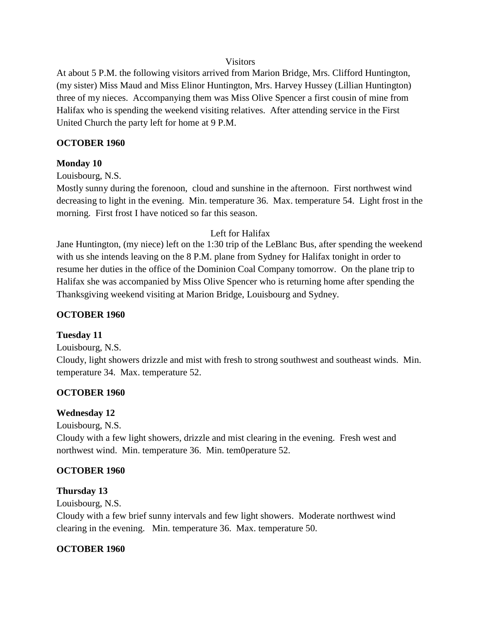#### Visitors

At about 5 P.M. the following visitors arrived from Marion Bridge, Mrs. Clifford Huntington, (my sister) Miss Maud and Miss Elinor Huntington, Mrs. Harvey Hussey (Lillian Huntington) three of my nieces. Accompanying them was Miss Olive Spencer a first cousin of mine from Halifax who is spending the weekend visiting relatives. After attending service in the First United Church the party left for home at 9 P.M.

#### **OCTOBER 1960**

#### **Monday 10**

Louisbourg, N.S.

Mostly sunny during the forenoon, cloud and sunshine in the afternoon. First northwest wind decreasing to light in the evening. Min. temperature 36. Max. temperature 54. Light frost in the morning. First frost I have noticed so far this season.

#### Left for Halifax

Jane Huntington, (my niece) left on the 1:30 trip of the LeBlanc Bus, after spending the weekend with us she intends leaving on the 8 P.M. plane from Sydney for Halifax tonight in order to resume her duties in the office of the Dominion Coal Company tomorrow. On the plane trip to Halifax she was accompanied by Miss Olive Spencer who is returning home after spending the Thanksgiving weekend visiting at Marion Bridge, Louisbourg and Sydney.

#### **OCTOBER 1960**

#### **Tuesday 11**

Louisbourg, N.S.

Cloudy, light showers drizzle and mist with fresh to strong southwest and southeast winds. Min. temperature 34. Max. temperature 52.

#### **OCTOBER 1960**

#### **Wednesday 12**

Louisbourg, N.S.

Cloudy with a few light showers, drizzle and mist clearing in the evening. Fresh west and northwest wind. Min. temperature 36. Min. tem0perature 52.

#### **OCTOBER 1960**

#### **Thursday 13**

Louisbourg, N.S.

Cloudy with a few brief sunny intervals and few light showers. Moderate northwest wind clearing in the evening. Min. temperature 36. Max. temperature 50.

#### **OCTOBER 1960**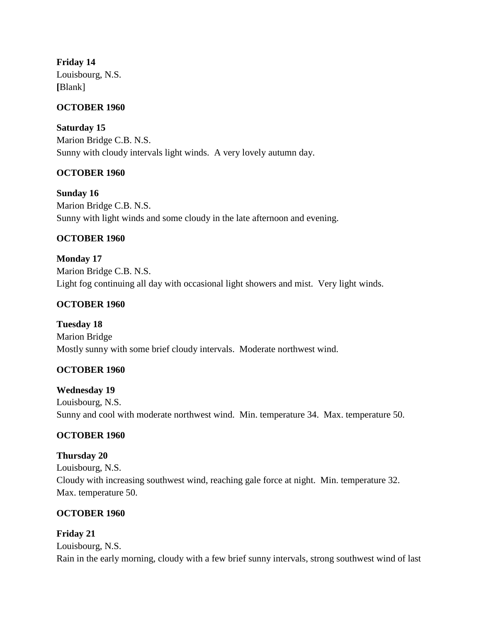**Friday 14** Louisbourg, N.S. **[**Blank]

#### **OCTOBER 1960**

**Saturday 15** Marion Bridge C.B. N.S. Sunny with cloudy intervals light winds. A very lovely autumn day.

#### **OCTOBER 1960**

**Sunday 16** Marion Bridge C.B. N.S. Sunny with light winds and some cloudy in the late afternoon and evening.

#### **OCTOBER 1960**

**Monday 17** Marion Bridge C.B. N.S. Light fog continuing all day with occasional light showers and mist. Very light winds.

#### **OCTOBER 1960**

**Tuesday 18** Marion Bridge Mostly sunny with some brief cloudy intervals. Moderate northwest wind.

#### **OCTOBER 1960**

**Wednesday 19** Louisbourg, N.S. Sunny and cool with moderate northwest wind. Min. temperature 34. Max. temperature 50.

#### **OCTOBER 1960**

#### **Thursday 20**

Louisbourg, N.S. Cloudy with increasing southwest wind, reaching gale force at night. Min. temperature 32. Max. temperature 50.

#### **OCTOBER 1960**

#### **Friday 21**

Louisbourg, N.S. Rain in the early morning, cloudy with a few brief sunny intervals, strong southwest wind of last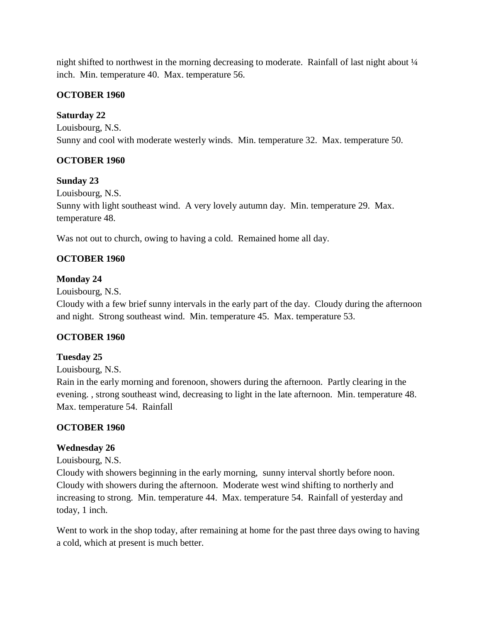night shifted to northwest in the morning decreasing to moderate. Rainfall of last night about ¼ inch. Min. temperature 40. Max. temperature 56.

#### **OCTOBER 1960**

#### **Saturday 22**

Louisbourg, N.S. Sunny and cool with moderate westerly winds. Min. temperature 32. Max. temperature 50.

## **OCTOBER 1960**

#### **Sunday 23**

Louisbourg, N.S. Sunny with light southeast wind. A very lovely autumn day. Min. temperature 29. Max. temperature 48.

Was not out to church, owing to having a cold. Remained home all day.

## **OCTOBER 1960**

## **Monday 24**

Louisbourg, N.S.

Cloudy with a few brief sunny intervals in the early part of the day. Cloudy during the afternoon and night. Strong southeast wind. Min. temperature 45. Max. temperature 53.

## **OCTOBER 1960**

#### **Tuesday 25**

Louisbourg, N.S.

Rain in the early morning and forenoon, showers during the afternoon. Partly clearing in the evening. , strong southeast wind, decreasing to light in the late afternoon. Min. temperature 48. Max. temperature 54. Rainfall

#### **OCTOBER 1960**

#### **Wednesday 26**

Louisbourg, N.S.

Cloudy with showers beginning in the early morning, sunny interval shortly before noon. Cloudy with showers during the afternoon. Moderate west wind shifting to northerly and increasing to strong. Min. temperature 44. Max. temperature 54. Rainfall of yesterday and today, 1 inch.

Went to work in the shop today, after remaining at home for the past three days owing to having a cold, which at present is much better.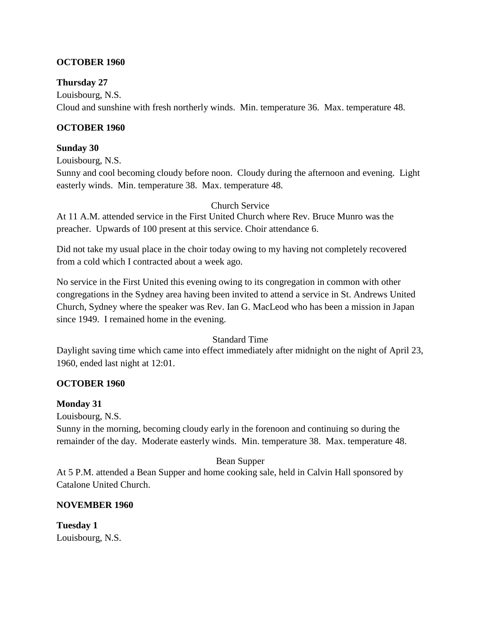## **OCTOBER 1960**

## **Thursday 27**

Louisbourg, N.S. Cloud and sunshine with fresh northerly winds. Min. temperature 36. Max. temperature 48.

## **OCTOBER 1960**

#### **Sunday 30**

Louisbourg, N.S.

Sunny and cool becoming cloudy before noon. Cloudy during the afternoon and evening. Light easterly winds. Min. temperature 38. Max. temperature 48.

Church Service

At 11 A.M. attended service in the First United Church where Rev. Bruce Munro was the preacher. Upwards of 100 present at this service. Choir attendance 6.

Did not take my usual place in the choir today owing to my having not completely recovered from a cold which I contracted about a week ago.

No service in the First United this evening owing to its congregation in common with other congregations in the Sydney area having been invited to attend a service in St. Andrews United Church, Sydney where the speaker was Rev. Ian G. MacLeod who has been a mission in Japan since 1949. I remained home in the evening.

#### Standard Time

Daylight saving time which came into effect immediately after midnight on the night of April 23, 1960, ended last night at 12:01.

#### **OCTOBER 1960**

#### **Monday 31**

Louisbourg, N.S.

Sunny in the morning, becoming cloudy early in the forenoon and continuing so during the remainder of the day. Moderate easterly winds. Min. temperature 38. Max. temperature 48.

#### Bean Supper

At 5 P.M. attended a Bean Supper and home cooking sale, held in Calvin Hall sponsored by Catalone United Church.

## **NOVEMBER 1960**

**Tuesday 1** Louisbourg, N.S.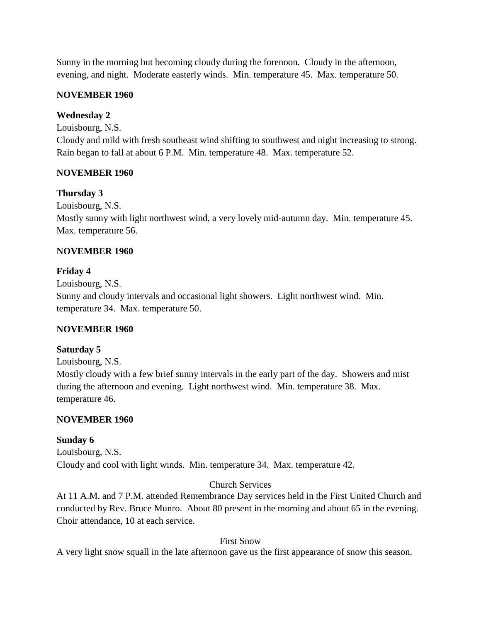Sunny in the morning but becoming cloudy during the forenoon. Cloudy in the afternoon, evening, and night. Moderate easterly winds. Min. temperature 45. Max. temperature 50.

## **NOVEMBER 1960**

## **Wednesday 2**

Louisbourg, N.S.

Cloudy and mild with fresh southeast wind shifting to southwest and night increasing to strong. Rain began to fall at about 6 P.M. Min. temperature 48. Max. temperature 52.

## **NOVEMBER 1960**

## **Thursday 3**

Louisbourg, N.S.

Mostly sunny with light northwest wind, a very lovely mid-autumn day. Min. temperature 45. Max. temperature 56.

## **NOVEMBER 1960**

## **Friday 4**

Louisbourg, N.S. Sunny and cloudy intervals and occasional light showers. Light northwest wind. Min. temperature 34. Max. temperature 50.

#### **NOVEMBER 1960**

#### **Saturday 5**

Louisbourg, N.S.

Mostly cloudy with a few brief sunny intervals in the early part of the day. Showers and mist during the afternoon and evening. Light northwest wind. Min. temperature 38. Max. temperature 46.

## **NOVEMBER 1960**

# **Sunday 6** Louisbourg, N.S.

Cloudy and cool with light winds. Min. temperature 34. Max. temperature 42.

## Church Services

At 11 A.M. and 7 P.M. attended Remembrance Day services held in the First United Church and conducted by Rev. Bruce Munro. About 80 present in the morning and about 65 in the evening. Choir attendance, 10 at each service.

#### First Snow

A very light snow squall in the late afternoon gave us the first appearance of snow this season.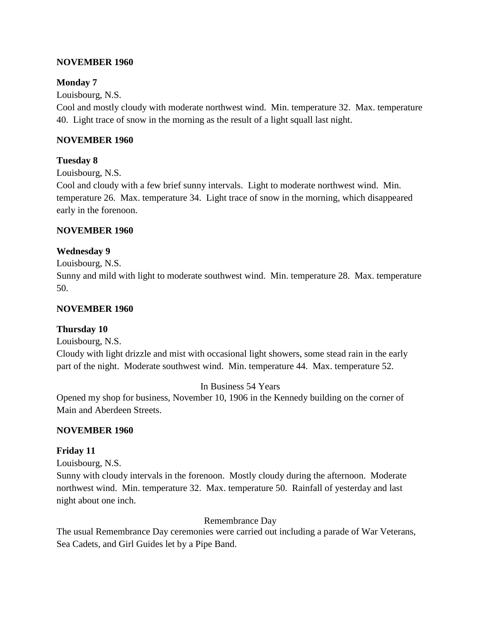#### **NOVEMBER 1960**

#### **Monday 7**

Louisbourg, N.S.

Cool and mostly cloudy with moderate northwest wind. Min. temperature 32. Max. temperature 40. Light trace of snow in the morning as the result of a light squall last night.

#### **NOVEMBER 1960**

#### **Tuesday 8**

Louisbourg, N.S.

Cool and cloudy with a few brief sunny intervals. Light to moderate northwest wind. Min. temperature 26. Max. temperature 34. Light trace of snow in the morning, which disappeared early in the forenoon.

#### **NOVEMBER 1960**

#### **Wednesday 9**

Louisbourg, N.S.

Sunny and mild with light to moderate southwest wind. Min. temperature 28. Max. temperature 50.

#### **NOVEMBER 1960**

#### **Thursday 10**

Louisbourg, N.S.

Cloudy with light drizzle and mist with occasional light showers, some stead rain in the early part of the night. Moderate southwest wind. Min. temperature 44. Max. temperature 52.

In Business 54 Years

Opened my shop for business, November 10, 1906 in the Kennedy building on the corner of Main and Aberdeen Streets.

#### **NOVEMBER 1960**

#### **Friday 11**

Louisbourg, N.S.

Sunny with cloudy intervals in the forenoon. Mostly cloudy during the afternoon. Moderate northwest wind. Min. temperature 32. Max. temperature 50. Rainfall of yesterday and last night about one inch.

Remembrance Day

The usual Remembrance Day ceremonies were carried out including a parade of War Veterans, Sea Cadets, and Girl Guides let by a Pipe Band.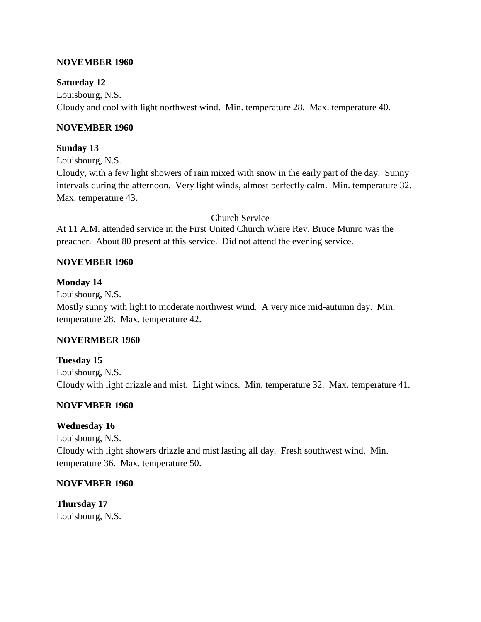### **NOVEMBER 1960**

### **Saturday 12**

Louisbourg, N.S. Cloudy and cool with light northwest wind. Min. temperature 28. Max. temperature 40.

### **NOVEMBER 1960**

### **Sunday 13**

Louisbourg, N.S.

Cloudy, with a few light showers of rain mixed with snow in the early part of the day. Sunny intervals during the afternoon. Very light winds, almost perfectly calm. Min. temperature 32. Max. temperature 43.

Church Service

At 11 A.M. attended service in the First United Church where Rev. Bruce Munro was the preacher. About 80 present at this service. Did not attend the evening service.

### **NOVEMBER 1960**

### **Monday 14**

Louisbourg, N.S. Mostly sunny with light to moderate northwest wind. A very nice mid-autumn day. Min. temperature 28. Max. temperature 42.

## **NOVERMBER 1960**

**Tuesday 15** Louisbourg, N.S. Cloudy with light drizzle and mist. Light winds. Min. temperature 32. Max. temperature 41.

## **NOVEMBER 1960**

## **Wednesday 16**

Louisbourg, N.S. Cloudy with light showers drizzle and mist lasting all day. Fresh southwest wind. Min. temperature 36. Max. temperature 50.

### **NOVEMBER 1960**

**Thursday 17** Louisbourg, N.S.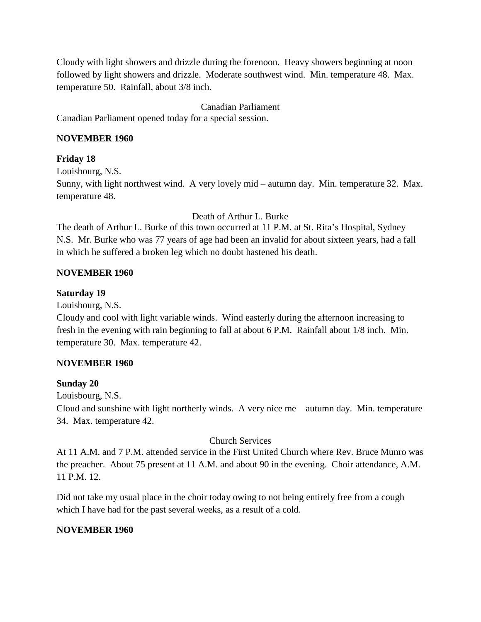Cloudy with light showers and drizzle during the forenoon. Heavy showers beginning at noon followed by light showers and drizzle. Moderate southwest wind. Min. temperature 48. Max. temperature 50. Rainfall, about 3/8 inch.

### Canadian Parliament

Canadian Parliament opened today for a special session.

### **NOVEMBER 1960**

## **Friday 18**

Louisbourg, N.S.

Sunny, with light northwest wind. A very lovely mid – autumn day. Min. temperature 32. Max. temperature 48.

Death of Arthur L. Burke

The death of Arthur L. Burke of this town occurred at 11 P.M. at St. Rita's Hospital, Sydney N.S. Mr. Burke who was 77 years of age had been an invalid for about sixteen years, had a fall in which he suffered a broken leg which no doubt hastened his death.

## **NOVEMBER 1960**

## **Saturday 19**

Louisbourg, N.S.

Cloudy and cool with light variable winds. Wind easterly during the afternoon increasing to fresh in the evening with rain beginning to fall at about 6 P.M. Rainfall about 1/8 inch. Min. temperature 30. Max. temperature 42.

## **NOVEMBER 1960**

## **Sunday 20**

Louisbourg, N.S.

Cloud and sunshine with light northerly winds. A very nice me – autumn day. Min. temperature 34. Max. temperature 42.

## Church Services

At 11 A.M. and 7 P.M. attended service in the First United Church where Rev. Bruce Munro was the preacher. About 75 present at 11 A.M. and about 90 in the evening. Choir attendance, A.M. 11 P.M. 12.

Did not take my usual place in the choir today owing to not being entirely free from a cough which I have had for the past several weeks, as a result of a cold.

## **NOVEMBER 1960**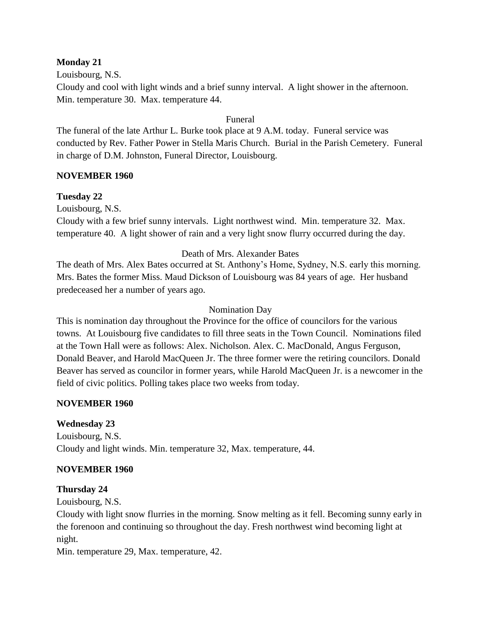### **Monday 21**

Louisbourg, N.S. Cloudy and cool with light winds and a brief sunny interval. A light shower in the afternoon. Min. temperature 30. Max. temperature 44.

Funeral

The funeral of the late Arthur L. Burke took place at 9 A.M. today. Funeral service was conducted by Rev. Father Power in Stella Maris Church. Burial in the Parish Cemetery. Funeral in charge of D.M. Johnston, Funeral Director, Louisbourg.

### **NOVEMBER 1960**

### **Tuesday 22**

Louisbourg, N.S.

Cloudy with a few brief sunny intervals. Light northwest wind. Min. temperature 32. Max. temperature 40. A light shower of rain and a very light snow flurry occurred during the day.

### Death of Mrs. Alexander Bates

The death of Mrs. Alex Bates occurred at St. Anthony's Home, Sydney, N.S. early this morning. Mrs. Bates the former Miss. Maud Dickson of Louisbourg was 84 years of age. Her husband predeceased her a number of years ago.

### Nomination Day

This is nomination day throughout the Province for the office of councilors for the various towns. At Louisbourg five candidates to fill three seats in the Town Council. Nominations filed at the Town Hall were as follows: Alex. Nicholson. Alex. C. MacDonald, Angus Ferguson, Donald Beaver, and Harold MacQueen Jr. The three former were the retiring councilors. Donald Beaver has served as councilor in former years, while Harold MacQueen Jr. is a newcomer in the field of civic politics. Polling takes place two weeks from today.

#### **NOVEMBER 1960**

## **Wednesday 23**

Louisbourg, N.S. Cloudy and light winds. Min. temperature 32, Max. temperature, 44.

#### **NOVEMBER 1960**

#### **Thursday 24**

Louisbourg, N.S.

Cloudy with light snow flurries in the morning. Snow melting as it fell. Becoming sunny early in the forenoon and continuing so throughout the day. Fresh northwest wind becoming light at night.

Min. temperature 29, Max. temperature, 42.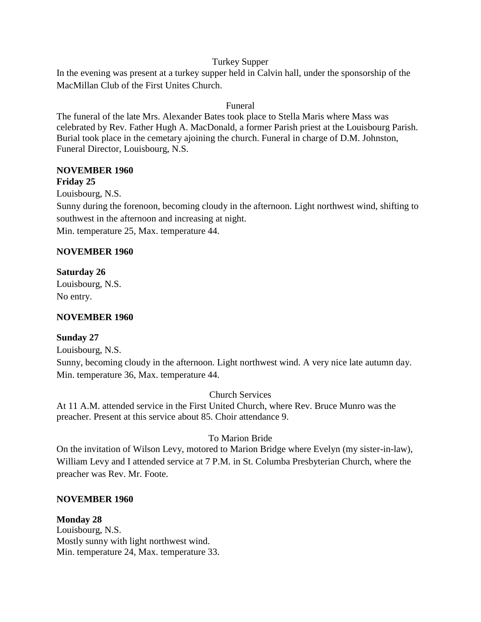### Turkey Supper

In the evening was present at a turkey supper held in Calvin hall, under the sponsorship of the MacMillan Club of the First Unites Church.

## Funeral

The funeral of the late Mrs. Alexander Bates took place to Stella Maris where Mass was celebrated by Rev. Father Hugh A. MacDonald, a former Parish priest at the Louisbourg Parish. Burial took place in the cemetary ajoining the church. Funeral in charge of D.M. Johnston, Funeral Director, Louisbourg, N.S.

#### **NOVEMBER 1960 Friday 25**

Louisbourg, N.S.

Sunny during the forenoon, becoming cloudy in the afternoon. Light northwest wind, shifting to southwest in the afternoon and increasing at night.

Min. temperature 25, Max. temperature 44.

### **NOVEMBER 1960**

### **Saturday 26** Louisbourg, N.S.

No entry.

## **NOVEMBER 1960**

## **Sunday 27**

Louisbourg, N.S.

Sunny, becoming cloudy in the afternoon. Light northwest wind. A very nice late autumn day. Min. temperature 36, Max. temperature 44.

Church Services

At 11 A.M. attended service in the First United Church, where Rev. Bruce Munro was the preacher. Present at this service about 85. Choir attendance 9.

## To Marion Bride

On the invitation of Wilson Levy, motored to Marion Bridge where Evelyn (my sister-in-law), William Levy and I attended service at 7 P.M. in St. Columba Presbyterian Church, where the preacher was Rev. Mr. Foote.

## **NOVEMBER 1960**

**Monday 28** Louisbourg, N.S. Mostly sunny with light northwest wind. Min. temperature 24, Max. temperature 33.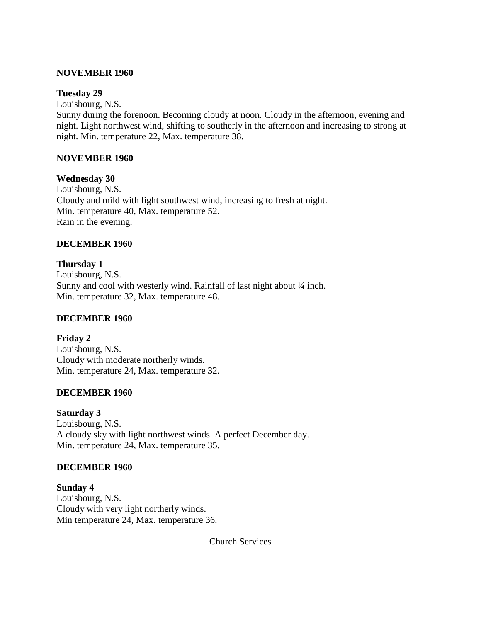#### **NOVEMBER 1960**

#### **Tuesday 29**

Louisbourg, N.S.

Sunny during the forenoon. Becoming cloudy at noon. Cloudy in the afternoon, evening and night. Light northwest wind, shifting to southerly in the afternoon and increasing to strong at night. Min. temperature 22, Max. temperature 38.

#### **NOVEMBER 1960**

#### **Wednesday 30**

Louisbourg, N.S. Cloudy and mild with light southwest wind, increasing to fresh at night. Min. temperature 40, Max. temperature 52. Rain in the evening.

#### **DECEMBER 1960**

**Thursday 1** Louisbourg, N.S. Sunny and cool with westerly wind. Rainfall of last night about  $\frac{1}{4}$  inch. Min. temperature 32, Max. temperature 48.

#### **DECEMBER 1960**

**Friday 2** Louisbourg, N.S. Cloudy with moderate northerly winds. Min. temperature 24, Max. temperature 32.

#### **DECEMBER 1960**

**Saturday 3** Louisbourg, N.S. A cloudy sky with light northwest winds. A perfect December day. Min. temperature 24, Max. temperature 35.

#### **DECEMBER 1960**

**Sunday 4** Louisbourg, N.S. Cloudy with very light northerly winds. Min temperature 24, Max. temperature 36.

Church Services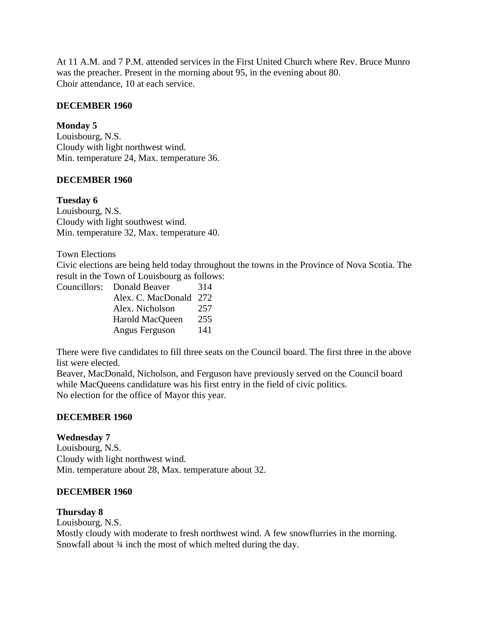At 11 A.M. and 7 P.M. attended services in the First United Church where Rev. Bruce Munro was the preacher. Present in the morning about 95, in the evening about 80. Choir attendance, 10 at each service.

### **DECEMBER 1960**

### **Monday 5**

Louisbourg, N.S. Cloudy with light northwest wind. Min. temperature 24, Max. temperature 36.

#### **DECEMBER 1960**

#### **Tuesday 6**

Louisbourg, N.S. Cloudy with light southwest wind. Min. temperature 32, Max. temperature 40.

Town Elections

Civic elections are being held today throughout the towns in the Province of Nova Scotia. The result in the Town of Louisbourg as follows:

| Councillors: Donald Beaver | 314 |
|----------------------------|-----|
| Alex. C. MacDonald 272     |     |
| Alex. Nicholson            | 257 |
| Harold MacQueen            | 255 |
| Angus Ferguson             | 141 |

There were five candidates to fill three seats on the Council board. The first three in the above list were elected.

Beaver, MacDonald, Nicholson, and Ferguson have previously served on the Council board while MacQueens candidature was his first entry in the field of civic politics. No election for the office of Mayor this year.

#### **DECEMBER 1960**

#### **Wednesday 7**

Louisbourg, N.S. Cloudy with light northwest wind. Min. temperature about 28, Max. temperature about 32.

#### **DECEMBER 1960**

#### **Thursday 8**

Louisbourg, N.S. Mostly cloudy with moderate to fresh northwest wind. A few snowflurries in the morning. Snowfall about  $\frac{3}{4}$  inch the most of which melted during the day.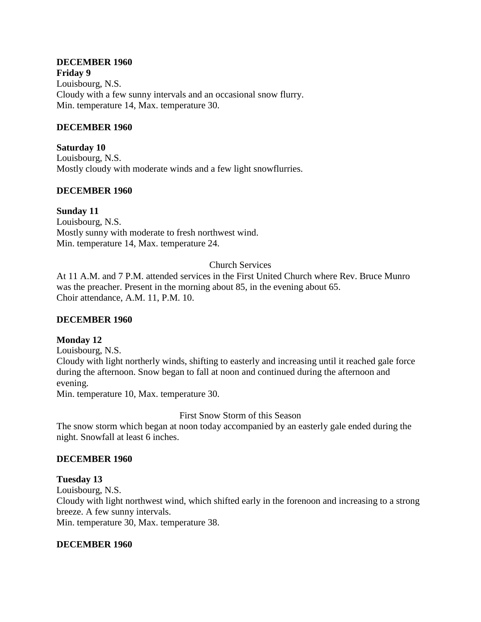# **DECEMBER 1960**

**Friday 9** Louisbourg, N.S. Cloudy with a few sunny intervals and an occasional snow flurry. Min. temperature 14, Max. temperature 30.

### **DECEMBER 1960**

**Saturday 10** Louisbourg, N.S. Mostly cloudy with moderate winds and a few light snowflurries.

#### **DECEMBER 1960**

#### **Sunday 11**

Louisbourg, N.S. Mostly sunny with moderate to fresh northwest wind. Min. temperature 14, Max. temperature 24.

### Church Services

At 11 A.M. and 7 P.M. attended services in the First United Church where Rev. Bruce Munro was the preacher. Present in the morning about 85, in the evening about 65. Choir attendance, A.M. 11, P.M. 10.

#### **DECEMBER 1960**

#### **Monday 12**

Louisbourg, N.S.

Cloudy with light northerly winds, shifting to easterly and increasing until it reached gale force during the afternoon. Snow began to fall at noon and continued during the afternoon and evening.

Min. temperature 10, Max. temperature 30.

First Snow Storm of this Season

The snow storm which began at noon today accompanied by an easterly gale ended during the night. Snowfall at least 6 inches.

#### **DECEMBER 1960**

**Tuesday 13** Louisbourg, N.S. Cloudy with light northwest wind, which shifted early in the forenoon and increasing to a strong breeze. A few sunny intervals. Min. temperature 30, Max. temperature 38.

#### **DECEMBER 1960**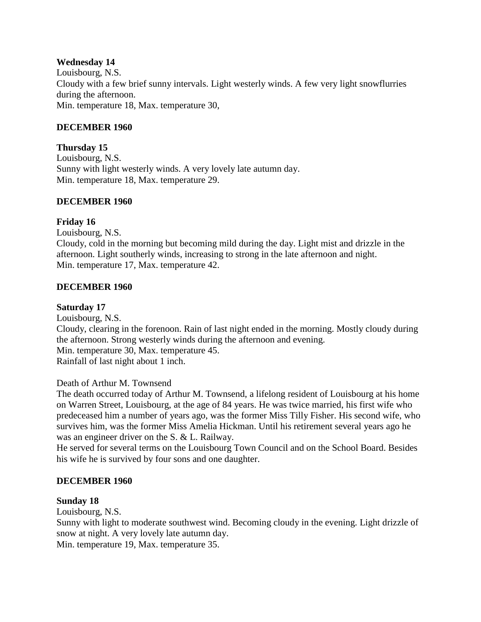### **Wednesday 14**

Louisbourg, N.S. Cloudy with a few brief sunny intervals. Light westerly winds. A few very light snowflurries during the afternoon. Min. temperature 18, Max. temperature 30,

### **DECEMBER 1960**

**Thursday 15** Louisbourg, N.S. Sunny with light westerly winds. A very lovely late autumn day. Min. temperature 18, Max. temperature 29.

#### **DECEMBER 1960**

#### **Friday 16**

Louisbourg, N.S.

Cloudy, cold in the morning but becoming mild during the day. Light mist and drizzle in the afternoon. Light southerly winds, increasing to strong in the late afternoon and night. Min. temperature 17, Max. temperature 42.

#### **DECEMBER 1960**

### **Saturday 17**

Louisbourg, N.S. Cloudy, clearing in the forenoon. Rain of last night ended in the morning. Mostly cloudy during the afternoon. Strong westerly winds during the afternoon and evening. Min. temperature 30, Max. temperature 45. Rainfall of last night about 1 inch.

#### Death of Arthur M. Townsend

The death occurred today of Arthur M. Townsend, a lifelong resident of Louisbourg at his home on Warren Street, Louisbourg, at the age of 84 years. He was twice married, his first wife who predeceased him a number of years ago, was the former Miss Tilly Fisher. His second wife, who survives him, was the former Miss Amelia Hickman. Until his retirement several years ago he was an engineer driver on the S. & L. Railway.

He served for several terms on the Louisbourg Town Council and on the School Board. Besides his wife he is survived by four sons and one daughter.

#### **DECEMBER 1960**

#### **Sunday 18**

Louisbourg, N.S.

Sunny with light to moderate southwest wind. Becoming cloudy in the evening. Light drizzle of snow at night. A very lovely late autumn day.

Min. temperature 19, Max. temperature 35.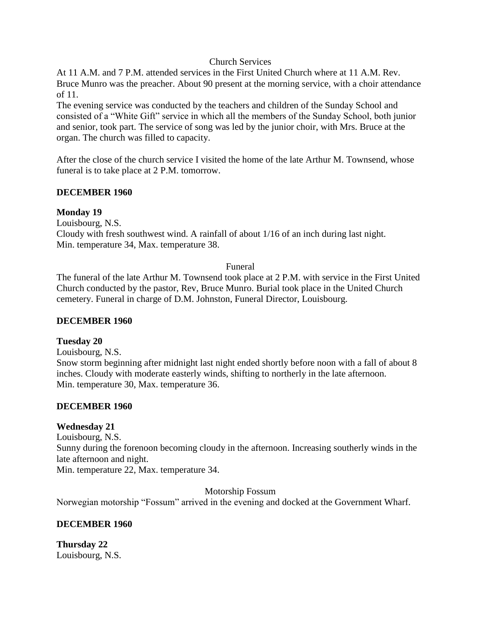### Church Services

At 11 A.M. and 7 P.M. attended services in the First United Church where at 11 A.M. Rev. Bruce Munro was the preacher. About 90 present at the morning service, with a choir attendance of 11.

The evening service was conducted by the teachers and children of the Sunday School and consisted of a "White Gift" service in which all the members of the Sunday School, both junior and senior, took part. The service of song was led by the junior choir, with Mrs. Bruce at the organ. The church was filled to capacity.

After the close of the church service I visited the home of the late Arthur M. Townsend, whose funeral is to take place at 2 P.M. tomorrow.

### **DECEMBER 1960**

### **Monday 19**

Louisbourg, N.S.

Cloudy with fresh southwest wind. A rainfall of about 1/16 of an inch during last night. Min. temperature 34, Max. temperature 38.

### Funeral

The funeral of the late Arthur M. Townsend took place at 2 P.M. with service in the First United Church conducted by the pastor, Rev, Bruce Munro. Burial took place in the United Church cemetery. Funeral in charge of D.M. Johnston, Funeral Director, Louisbourg.

## **DECEMBER 1960**

#### **Tuesday 20**

Louisbourg, N.S. Snow storm beginning after midnight last night ended shortly before noon with a fall of about 8 inches. Cloudy with moderate easterly winds, shifting to northerly in the late afternoon. Min. temperature 30, Max. temperature 36.

## **DECEMBER 1960**

## **Wednesday 21**

Louisbourg, N.S. Sunny during the forenoon becoming cloudy in the afternoon. Increasing southerly winds in the late afternoon and night. Min. temperature 22, Max. temperature 34.

Motorship Fossum

Norwegian motorship "Fossum" arrived in the evening and docked at the Government Wharf.

## **DECEMBER 1960**

**Thursday 22** Louisbourg, N.S.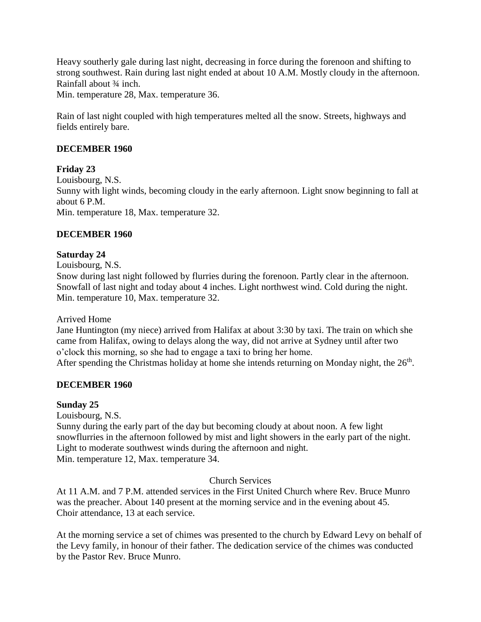Heavy southerly gale during last night, decreasing in force during the forenoon and shifting to strong southwest. Rain during last night ended at about 10 A.M. Mostly cloudy in the afternoon. Rainfall about ¾ inch.

Min. temperature 28, Max. temperature 36.

Rain of last night coupled with high temperatures melted all the snow. Streets, highways and fields entirely bare.

### **DECEMBER 1960**

**Friday 23** Louisbourg, N.S. Sunny with light winds, becoming cloudy in the early afternoon. Light snow beginning to fall at about 6 P.M. Min. temperature 18, Max. temperature 32.

### **DECEMBER 1960**

#### **Saturday 24**

Louisbourg, N.S.

Snow during last night followed by flurries during the forenoon. Partly clear in the afternoon. Snowfall of last night and today about 4 inches. Light northwest wind. Cold during the night. Min. temperature 10, Max. temperature 32.

#### Arrived Home

Jane Huntington (my niece) arrived from Halifax at about 3:30 by taxi. The train on which she came from Halifax, owing to delays along the way, did not arrive at Sydney until after two o'clock this morning, so she had to engage a taxi to bring her home. After spending the Christmas holiday at home she intends returning on Monday night, the  $26<sup>th</sup>$ .

#### **DECEMBER 1960**

#### **Sunday 25**

Louisbourg, N.S.

Sunny during the early part of the day but becoming cloudy at about noon. A few light snowflurries in the afternoon followed by mist and light showers in the early part of the night. Light to moderate southwest winds during the afternoon and night. Min. temperature 12, Max. temperature 34.

### Church Services

At 11 A.M. and 7 P.M. attended services in the First United Church where Rev. Bruce Munro was the preacher. About 140 present at the morning service and in the evening about 45. Choir attendance, 13 at each service.

At the morning service a set of chimes was presented to the church by Edward Levy on behalf of the Levy family, in honour of their father. The dedication service of the chimes was conducted by the Pastor Rev. Bruce Munro.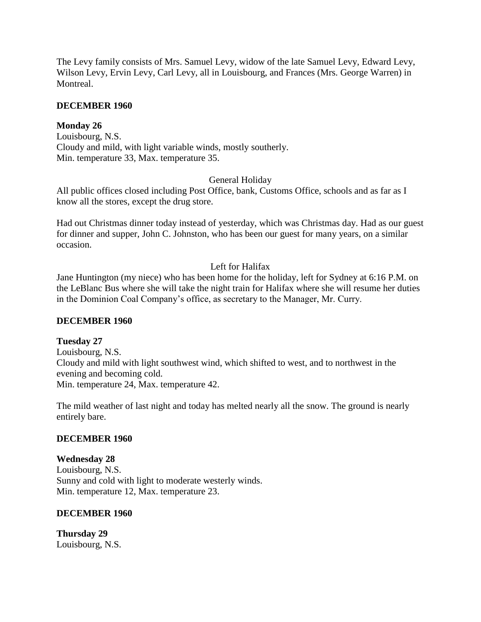The Levy family consists of Mrs. Samuel Levy, widow of the late Samuel Levy, Edward Levy, Wilson Levy, Ervin Levy, Carl Levy, all in Louisbourg, and Frances (Mrs. George Warren) in Montreal.

### **DECEMBER 1960**

### **Monday 26**

Louisbourg, N.S. Cloudy and mild, with light variable winds, mostly southerly. Min. temperature 33, Max. temperature 35.

### General Holiday

All public offices closed including Post Office, bank, Customs Office, schools and as far as I know all the stores, except the drug store.

Had out Christmas dinner today instead of yesterday, which was Christmas day. Had as our guest for dinner and supper, John C. Johnston, who has been our guest for many years, on a similar occasion.

### Left for Halifax

Jane Huntington (my niece) who has been home for the holiday, left for Sydney at 6:16 P.M. on the LeBlanc Bus where she will take the night train for Halifax where she will resume her duties in the Dominion Coal Company's office, as secretary to the Manager, Mr. Curry.

#### **DECEMBER 1960**

#### **Tuesday 27**

Louisbourg, N.S. Cloudy and mild with light southwest wind, which shifted to west, and to northwest in the evening and becoming cold. Min. temperature 24, Max. temperature 42.

The mild weather of last night and today has melted nearly all the snow. The ground is nearly entirely bare.

#### **DECEMBER 1960**

## **Wednesday 28**

Louisbourg, N.S. Sunny and cold with light to moderate westerly winds. Min. temperature 12, Max. temperature 23.

#### **DECEMBER 1960**

**Thursday 29** Louisbourg, N.S.